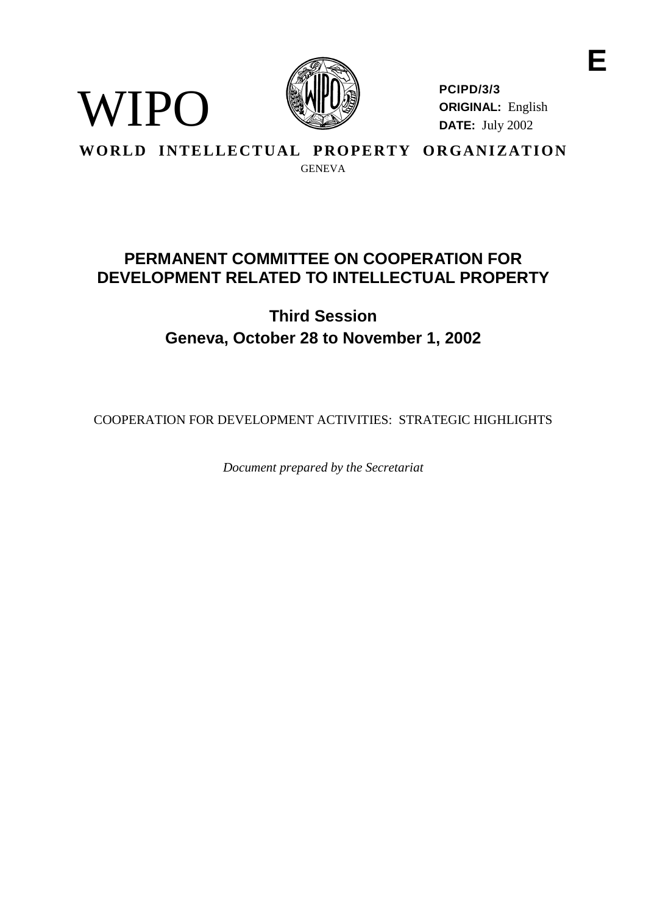

**PCIPD/3/3 ORIGINAL:** English **DATE:** July 2002

**E**

# **WORLD INTELLECTUAL PROPERTY ORGANIZATION** GENEVA

WIPO

# **PERMANENTCOMMITTEE ONCOOPERATIONFOR DEVELOPMENTRELATED TOINTELLECTUALPROP ERTY**

# **Third Session Geneva, October 28 to November 1, 2002**

COOPERATIONFORDEVELOPMENTA CTIVITIES: STRATEGI CHIGHLIGHTS

*Document prepared by the Secretariat*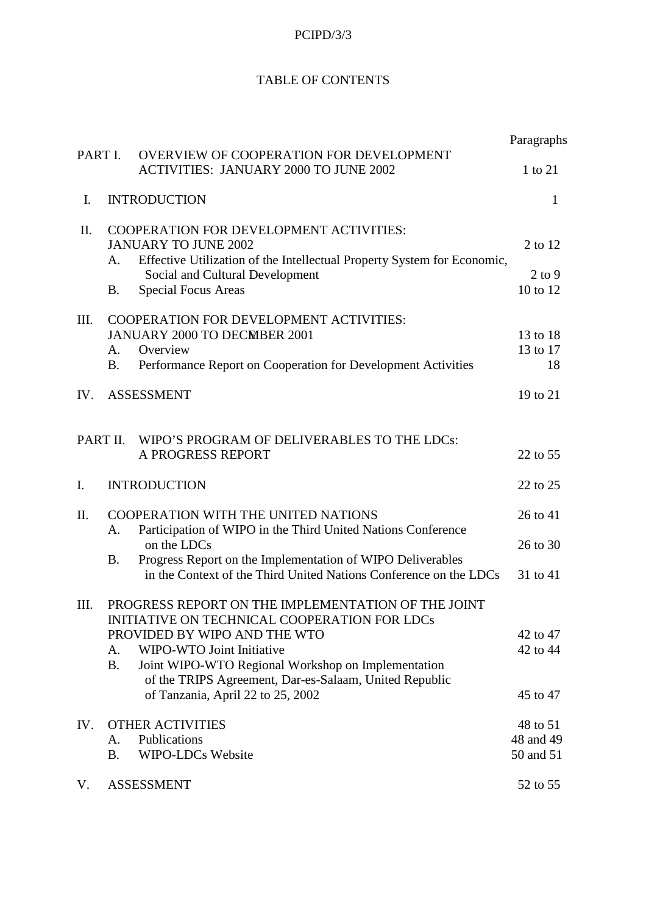# **TABLEOFCONTENTS**

|        |                                                                                                                                                                                                                                                                     |                                                  | Paragraphs                                                     |
|--------|---------------------------------------------------------------------------------------------------------------------------------------------------------------------------------------------------------------------------------------------------------------------|--------------------------------------------------|----------------------------------------------------------------|
| PARTI. | OVERVIEWOFCOOPERAT IONFORDEVELOPMENT<br><b>ACTIVITIES: JANUARY 2000TOJUNE2002</b>                                                                                                                                                                                   | 1 <sub>to</sub>                                  | 21                                                             |
| I.     | <b>INTRODUCTION</b>                                                                                                                                                                                                                                                 |                                                  | $\mathbf{1}$                                                   |
| ΙΙ.    | COOPERATIONFORDEVE LOPMENTACTIVITIES:<br>JANUARYTOJUNE2002<br>EffectiveUtilizationoftheIntellectualPropertySystemforEconomic,<br>А.<br>SocialandCulturalDevelopment<br>SpecialFocusAreas<br>В.                                                                      |                                                  | 2 <sub>to</sub><br>12<br>$2~\text{to}9$<br>10<br>$\text{to}12$ |
| III.   | COOPERATIONFORDEVE LOPMENTACTIVITIES:<br>JANUARY2000TODECMBER2001<br>Overview<br>А.<br>PerformanceReportonCooperationforDevelopmentActivities<br>B.                                                                                                                 |                                                  | 1 3 to 18<br>13to17<br>18                                      |
| IV.    | <b>ASSESSMENT</b>                                                                                                                                                                                                                                                   |                                                  | 19to21                                                         |
|        | PARTII.<br>WIPO'SPROGRAMOFDELIVERABLESTOTHELDCs:<br>APROGRESSREPORT                                                                                                                                                                                                 |                                                  | 22to 55                                                        |
| I.     | <b>INTRODUCTION</b>                                                                                                                                                                                                                                                 |                                                  | 22to25                                                         |
| Π.     | <b>COOPERATIONWITHTHEUNITEDNATIONS</b><br>ParticipationofWIPOintheT hirdUnitedNationsConference<br>A.<br>ontheLDCs<br>ProgressReportontheImplementationofWIPODeliverables<br><b>B.</b><br>intheContextoftheThirdUnitedNationsConferenceontheLDCs                    |                                                  | 26to41<br>26to30<br>31to41                                     |
| III.   | PROGRESSREPORTONTHEIMPLEMENTATIONO<br>INITIATIVEONTECHNICALCOOPERATIONFORLDCs<br>PROVIDEDBYWIPOANDTHEWTO<br>WIPO-WTOJointInitiative<br>A.<br>JointWIPO -WTORegionalWorkshoponImplementation<br><b>B.</b><br>oftheTRIPSAgreement,Dar<br>ofTanzania, April22to25,2002 | <b>FTHEJOINT</b><br>-es-Salaam, Unit ed Republic | 42to47<br>42to44<br>45to47                                     |
| IV.    | <b>OTHERACTIVITIES</b><br>Publications<br>A.<br>WIPO-LDCsWebsite<br><b>B.</b>                                                                                                                                                                                       |                                                  | 48to51<br>48and49<br>50and51                                   |
| V.     | <b>ASSESSMENT</b>                                                                                                                                                                                                                                                   |                                                  | 52to55                                                         |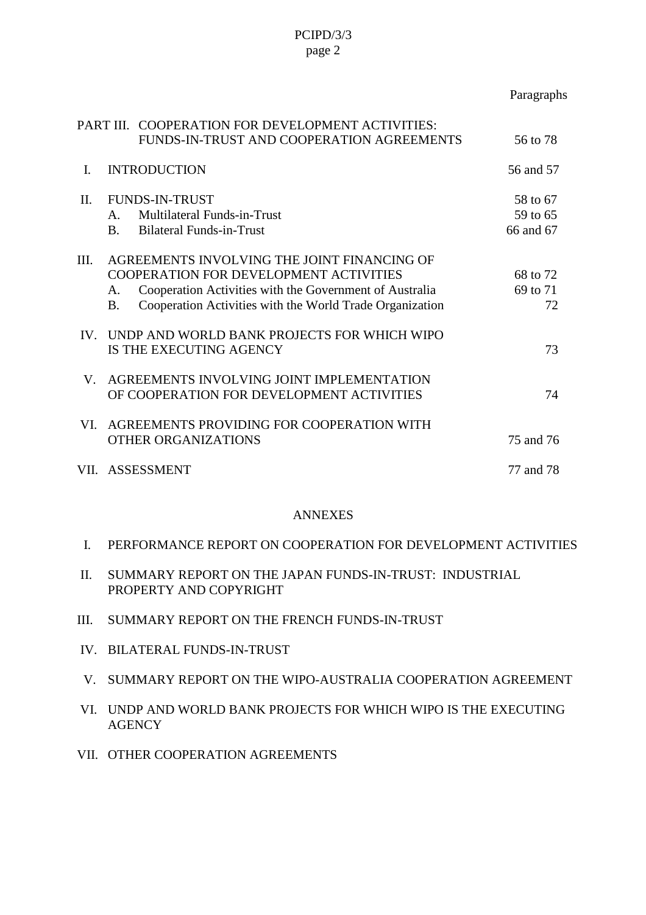|          |                                                                                                                                                                                                                                         | Paragraphs                  |
|----------|-----------------------------------------------------------------------------------------------------------------------------------------------------------------------------------------------------------------------------------------|-----------------------------|
| PARTIII. | COOPERATIONFORDEVELOPMENTACTIVITIES:<br>FUNDS-IN-TRUSTANDCOOPERATIONAGREEMENTS                                                                                                                                                          | 56to78                      |
| L.       | <b>INTRODUCTION</b>                                                                                                                                                                                                                     | 56and57                     |
| II.      | <b>FUNDS-IN-TRUST</b><br>MultilateralFunds -in-Trust<br>$A_{\cdot}$<br>BilateralFunds -in-Trust<br>$\mathbf{B}$                                                                                                                         | 58to67<br>59to65<br>66and67 |
| III.     | <b>AGREEMENTSINVOLVINGTHEJOINTFINANCINGOF</b><br><b>COOPERATIONFORDEVELOPMENTACTIVITIES</b><br>CooperationActivitieswiththeGovernmentofAustralia<br>A.<br>CooperationActivitieswiththeWorldTradeOrganizatio<br><b>B.</b><br>$\mathbf n$ | 68to72<br>69to71<br>72      |
| IV.      | UNDPANDWORLDBANKPROJECTSFORWHICHWIPO<br><b>ISTHEEXECUTINGAGENCY</b>                                                                                                                                                                     | 73                          |
| V.       | AGREEMENTSINVOLVINGJOINTIMPLEMENTATION<br><b>OFCOOPERATIONFORDEVELOPMENTACTIVITIES</b>                                                                                                                                                  | 74                          |
| VL.      | AGREEMENTSPROVIDINGFORCOOPERATIONWITH<br>OTHERORGANIZ ATIONS                                                                                                                                                                            | 75and76                     |
|          | VII. ASSESSMENT                                                                                                                                                                                                                         | 77and78                     |

### ANNEXES

- II. SUMMARY REPORTONTHE JAPAN FUNDS IN-TRUST: INDUSTRIAL PROPERTY AND COPYRIGHT
- III. SUMMARY REPORTONTHEFRE NCHFUNDS -IN-TRUST
- IV. BILATERALFUNDS -IN-TRUST
- V. SUMMARY REPORTONTHE WIPO AUSTRALIA COOPERATION AGREEMENT
- VI. UNDPANDWORLDBANKPROJECTSFORWHICHWIPOISTHEEXECUTING **AGENCY**
- VII. OTHER COOPERATION AGREEMENTS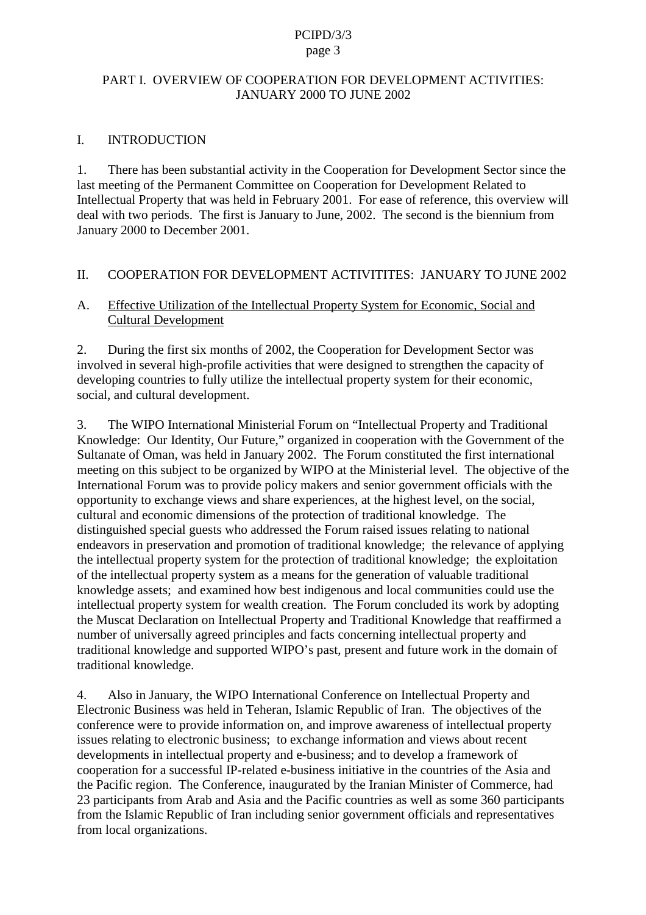### PARTI.OVERVIEWOFCOOPERAT IONFORDEVELOPMENTACTIVITIES: JANUARY 2000 TOJUNE 2002

### I. INTRODUCTION

1. There has been substantial activity in the Cooperation for Development Sector since the last meeting of the Permanent Committee on Cooperation for Development Related Intellectual Property that was held in February 2001. For ease of reference, this overview will deal with two periods. The first is January to June, 2002. The second is the biennium from January 2000 to December 2001.

### II. COOPERATIONFORDEVELOP MENTACTIVITITES: JANUARY TO JUNE 2002

### A. Effective Utilization of the Intellectual Property System for Economic, Social and Cultural Development

2. During the first six months of 2002, the Cooperation for Development Sector was involved inse veral high-profile activities that we redesigned to strengthen the capacity of developing countries to fully utilize the intellectual property system for their economic, social, and cultural development.

3. The WIPO International Ministerial For um on "Intellectual Property and Traditional Knowledge: Our Identity, Our Future, "organized in cooperation with the Government of the Sultanate of Oman, was held in January 2002. The Forum constituted the first international meeting on this subject to b e organized by WIPO at the Ministerial level. The objective of the International Forum was to provide policy makers and senior government of ficials with the opportunity to exchange views and share experiences, at the highest level, on the social, cultural and economic dimensions of the protection of traditional knowledge. The distinguished special guests who addressed the Forum raised is sues relating to national endeavorsinpreservation and promotion of traditional knowledge; the relevance of applying the intellectual property system for the protection of traditional knowledge; the exploitation of the intellectual property system as a means for the generation of valuable traditional knowledge assets; and examined how best indige nous and local communities escould use the intellectual property system for weal the reation. The Forum concluded its work by adopting the Muscat Declaration on Intellectual Property and Traditional Knowledge that reaffirmed a number of universally agreed principles and facts conce rning intellectual property and traditional knowledge and supported WIPO's past, present and future work in the domain of traditional knowledge.

4. Also in January, the WIPO International Conference on Intellectual Property and Electronic Busine sswasheld in Teheran, Islamic Republic of Iran. The objective softhe conference were to provide information on, and improve awareness of intellectual property issues relating to electronic business; to exchange information and views about recent developments in intellectual property and e -business; and to develop a framework of cooperation for a successful IP -related e-business initiative in the countries of the Asia and the Pacific region. The Conference, inaugurated by the Iranian Minister of Commer ce, had 23 participants from Araband Asia and the Pacific countries as well as some 360 participants from the Islamic Republic of Iran including senior government of ficials and representatives from local organizations.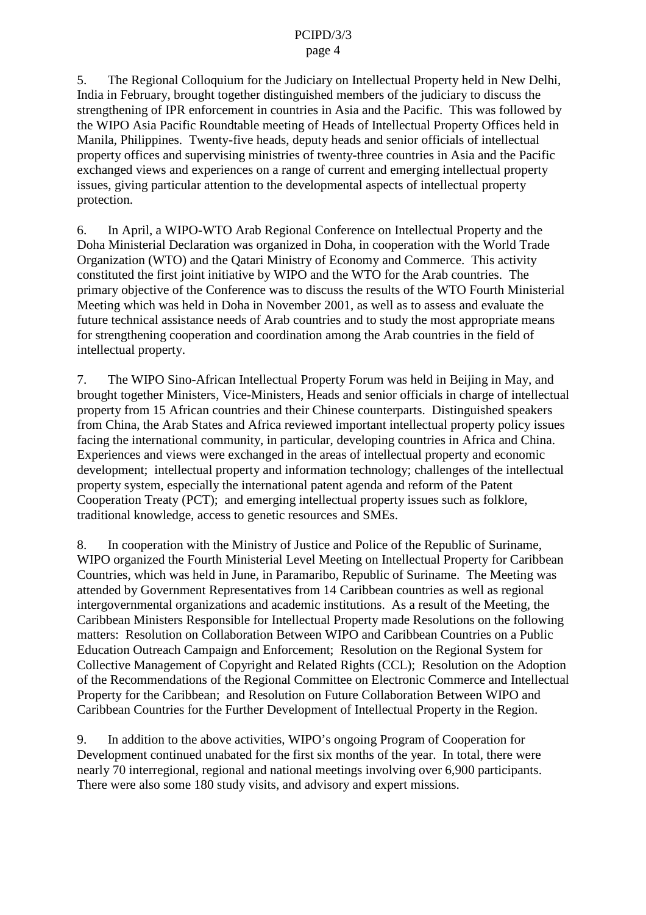#### page 4

5. The Regional Colloquiu m for the Judiciary on Intellectual Property held in New Delhi, India in February, brought together distinguished members of the judiciary to discuss the strengthening of IPR enforcement in countries in Asia and the Pacific. This was followed by the WIPO Asia Pacific Roundtable meeting of Heads of Intellectual Property Offices held in Manila, Philippines. Twenty -five heads, deputy heads and senior officials of intellectual property offices and supervising ministries of twenty -three countries in Asia and the Pacific exchanged views and experiences on a range of current and emerging intellectual property issues, giving particular attention to the developmental aspects of intellectual property protection.

6. In April, a WIPO -WTO Arab Regional Con ference on Intellectual Property and the Doha Ministerial Declaration was organized in Doha, in cooperation with the World Trade Organization (WTO) and the Qatari Ministry of Economy and Commerce. This activity constituted the first joint initiative by WI PO and the WTO for the Arab countries. The primary objective of the Conference was to discuss the results of the WTO Fourth Ministerial Meeting which was held in Dohain November 2001, as well as to assess and evaluate the future technical assistance need sof Arab countries and to study the most appropriate means for strengthening cooperation and coordination among the Arab countries in the field of intellectual property.

7. The WIPO Sino - African Intellectual Property Forum was held in Beijing i nMay, and brought together Ministers, Vice -Ministers, Heads and senior of ficials incharge of intellectual property from 15 African countries and their Chinese counterparts. D istinguished speakers from China, the Arab States and Africa reviewed important intellectual property policy issues facing the international community, in particular, developing countries in Africa and China. Experiences and views were exchanged in the areas of intellectual property and economic development; intellectual property a ndinformation technology; challenges of the intellectual property system, especially the international patent agenda and reform of the Patent Cooperation Treaty (PCT); and emerging intellectual property issues such as folklore, traditional knowledge, acc esstogenetic resources and SMEs.

8. In cooperation with the Ministry of Justice and Police of the Republic of Suriname, WIPO organized the Fourth Ministerial Level Meeting on Intellectual Property for Caribbean Countries, which was held in Jun e, in Paramaribo, Republic of Suriname. The Meeting was attended by Government Representatives from 14 Caribbean countries as well as regional intergovernmental organizations and academic institutions. As a result of the Meeting, the Caribbean Ministers Responsible for Intellectual Property made Resolutions on the following matters: Resolution on Collaboration Between WIPO and Caribbean Countries on a Public Education Outreach Campaign and Enforcement; Resolution on the Regional System for Collective Ma nagement of Copyright and Related Rights (CCL); Resolution on the Adoption of the Recommendations of the Regional Committee on Electronic Commerce and Intellectual Property for the Caribbean; and Resolution on Future Collaboration Between WIPO and Caribbean Countries for the Further Development of Intellectual Property in the Region.

9. In addition to the above activities, WIPO's ongoing Program of Cooperation for Development continued unabated for the first six months of the year. In total, the rewere nearly 70 interregional, regional and national meetings involving over 6,900 participants. There were also some 180 study visits, and advisory and expert missions.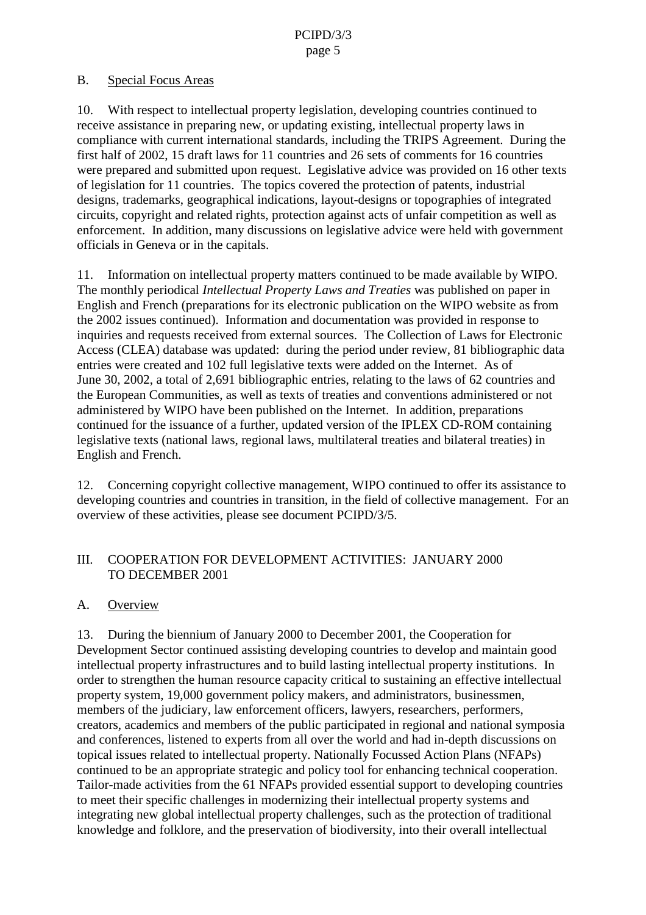### B. Special Focus Areas

10. With respect to intellectual property leg islation, developing countries continued to receive assistance in preparing new, or updating existing, intellectual property laws in compliance with current international standards, including the TRIPS Agreement. During the firsthalf of 2002, 15 draft la ws for 11 countries and 26 sets of comments for 16 countries were prepared and submitted upon request. Legislative advice was provided on 16 other texts of legislation for 11 countries. The topics covered the protection of patents, industrial designs, tr ademarks, geographical indications, layout -designs or topographies of integrated circuits, copyright and related rights, protection against acts of unfair competition as well as enforcement. In addition, many discussions on legislative advice were held wi th government officials in Geneva or in the capitals.

11. Information on intellectual property matters continued to be made available by WIPO. The monthly periodical *Intellectual Property Laws and Treaties* was published on paper in English and F rench (preparations for its electronic publication on the WIPO website as from the 2002 issues continued). Information and documentation was provided in response to inquiries and requests received from external sources. The Collection of Laws for Electronic Access (CLEA) database was updated: during the period under review, 81 bibliographic data entries were created and 102 full legislative texts were added on the Internet. As of June 30, 2002, a total of 2,691 bibliographic entries, relating to the law sof62 countries and the European Communities, as well as texts of treaties and conventions administered or not administered by WIPO have been published on the Internet. In addition, preparations continued for the issuance of a further, updated version of the IPLEX CD -ROM containing legislative texts (national laws, regional laws, multilateral treaties and bilateral treaties) in Englishand French.

12. Concerning copyright collective management, WIPO continued to offer its assistance to developing countries and countries in transition, in the field of collective management. For an overview of these activities, please seed ocument PCIPD/3/5.

### III. COOPERATIONFOR DEVELOPMENTACTIVIT IES: JANUARY 2000 TO DECEMBER 2001

### A. Overview

13. During the biennium of January 2000 to December 2001, the Cooperation for Development Sector continued assisting developing countries to develop and maintain good intellectual property infrastructures and to build lasting intellectual property institutions. In order to strengthen the human resource capacity critical to sustaining an effective intellectual property system, 19,000 government policy makers, and administrators, businessmen, members of the judiciary, law enforcement of ficers, lawyers, researcher s, performers, creators, academics and members of the public participated in regional and national symposia and conferences, listened to experts from all over the world and had in -depth discussions on topical issues related to intellectual property. Nation ally Focussed Action Plans (NFAPs) continued to be an appropriate strategic and policy tool for enhancing technical cooperation. Tailor-made activities from the 61 NFAPs provided essential support to developing countries to meet their specific challenges in modernizing their intellectual property systems and integrating new global intellectual property challenges, such as the protection of traditional knowledge and folklore, and the preservation of biodiversity, into their overall intellectual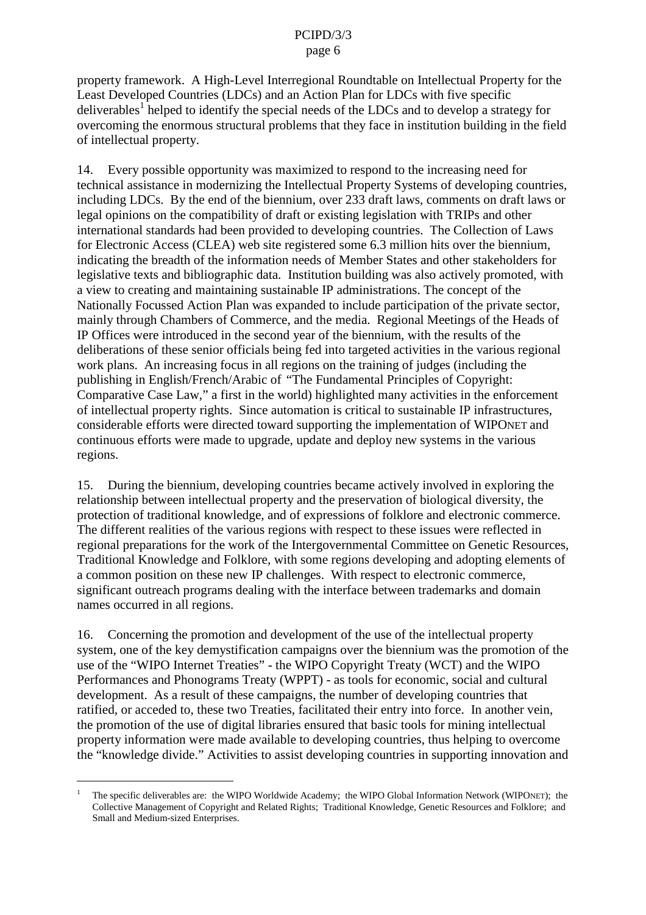property fra mework. A High-Level Interregional Roundtable on Intellectual Property for the Least Developed Countries (LDCs) and an Action Plan for LDCs with five specific deliverables <sup>f</sup>helped to identify the special needs of the LDCs and to develop a strategy for overcoming the enormous structural problems that they face in institution building in the field of intellectual property.

14. Every possible opportunity was maximized to respond to the increasing need for technical assistance in modernizing the Integral Property Systems of developing countries, including LDCs. By the end of the biennium, over 233 draft laws, comments on draft laws or legal opinions on the compatibility of draft or existing legislation with TRIPs and other international standards had been provided to developing countries. The Collection of Laws<br>for Electronic Access (CLEA) web site registered some 6.3 million hits over the biennium. site registered some 6.3 million hits over the biennium, indicating the breadth of the information needs of Member States and other stakeholders for legislative texts and bibliographic data. Institution building was also actively promoted, with aview to creating and maintaining sustainable IP administrations. The concept of the Nationally Focussed Action Plan was expanded to include participation of the production ivate sector, mainly through Chambers of Commerce, and the media. Regional Meetings of the Heads of IP Offices were introduced in the second year of the biennium, with the results of the deliberations of these senior of ficials being fed into targeted activative intervals vities in the various regional work plans. An increasing focus in all regions on the training of judges (including the publishing in English/French/Arabic of "The Fundamental Principles of Copyright: Comparative Case Law," a first in the world) highlighte d many activities in the enforcement of intellectual property rights. Since automation is critical to sustainable IP infrastructures, considerable efforts were directed towards upporting the implementation of WIPO NET and continuous efforts were made to up grade, update and deploynews ystems in the various regions.

15. During the biennium, developing countries became actively involved in exploring the relationship between intellectual property and the preservation of biological diversity, the protection of traditional knowledge, and of expressions of folklore and electronic commerce. The different realities of the various regions with respect to these issues were reflected in regional preparations for the work of the Intergovernmental Committee on Genetic Resources, Traditional Knowledge and Folklore, with some regions developing and adopting elements of a common position on the senew IP challenges. With respect to electronic commerce, significant outreach programs dealing with the interface betw een trademarks and domain names occurred in all regions.

16. Concerning the promotion and development of the use of the intellectual property system, one of the key demystification campaigns over the biennium was the promotion of the use of the "WIPOInternet Treaties" - the WIPO Copyright Treaty (WCT) and the WIPO Performances and Phonograms Treaty (WPPT) -astools for economic, social and cultural development. As a result of these campaigns, the number of developing countries that ratified, o racceded to, these two Treaties, facilitated their entry into force. In another vein, the promotion of the use of digital libraries ensured that basic tools for mining intellectual property information were made available to developing countries, thus he lping to overcome the "knowledge divide." Activities to assist developing countries in supporting innovation and

<sup>1</sup> The specific deliverables are: the WIPO Worldwide Academy; the WIPO Global Info rmation Network (WIPO NET); the Collective Management of Copyright and Related Rights; Traditional Knowledge, Genetic Resources and Folklore; and Small and Medium -sized Enterprises.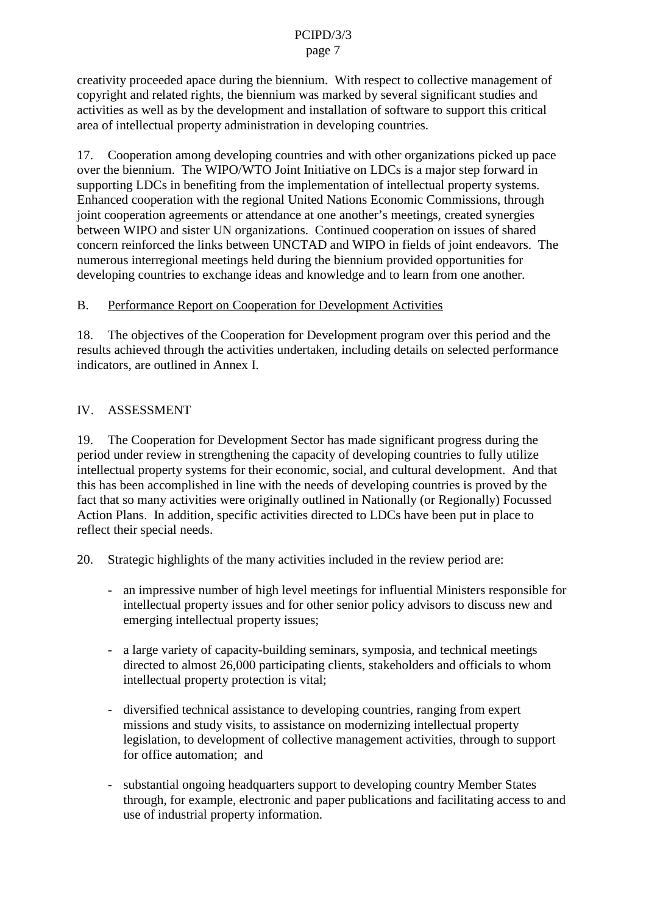creativity proceeded apace during the biennium. With respect to collective management of copyright and related rights, the biennium was marked by several significant studies and activities as well as by the development and installation of software to support this critical area of intellectual property administration indeveloping countries.

17. Cooperation among developing countries a nd with other organizations picked up pace overthe biennium. The WIPO/WTO Joint Initiative on LDCs is a major step forward in supporting LDCs in benefiting from the implementation of intellectual property systems. Enhanced cooperation with the regional United Nations Economic Commissions, through joint cooperation agreements or attendance at one another' smeetings, created synergies between WIPO and sister UN organizations. Continued cooperation on issues of shared concern reinforced the links between UNCTAD and WIPO infields of jointend eavors. The numerous interregional meetings held during the biennium provided opportunities for developing countries to exchange ideas and knowledge and to learn from one another.

B. Performance Report on Cooperatio n for Development Activities

18. The objectives of the Cooperation for Development program over this period and the results achieved through the activities undertaken, including details on selected performance indicators, are outlined in Annex I.

## IV. ASSESSMENT

19. The Cooperation for Development Sector has made significant progress during the period under review in strengthening the capacity of developing countries to fully utilize intellectual property systems for their economic, soc ial, and cultural development. And that this has been accomplished in line with the needs of developing countries is proved by the fact that somany activities were originally outlined in Nationally (or Regionally) Focussed Action Plans. In addition, spe cificactivities directed to LDCs have been put in place to reflect their special needs.

- 20. Strategic highlights of the many activities included in the review period are:
	- an impressive number of high level meetings for influential Minist ers responsible for intellectual property issues and for other senior policy advisors to discuss new and emerging intellectual property issues;
	- alargevariety of capacity -building seminars, symposia, and technical meetings directed to almost 26,000 participating clients, stakeholders and official stowhom intellectual property protection is vital;
	- diversified technical assistance to developing countries, ranging from expert missions and study visits, to assistance on modernizing intellectual proper ty legislation, to development of collective management activities, through to support for office automation; and
	- substantial ongoing headquarters support to developing country Member States through, for example, electronic and paper publications and facilitating access to and use of industrial property information.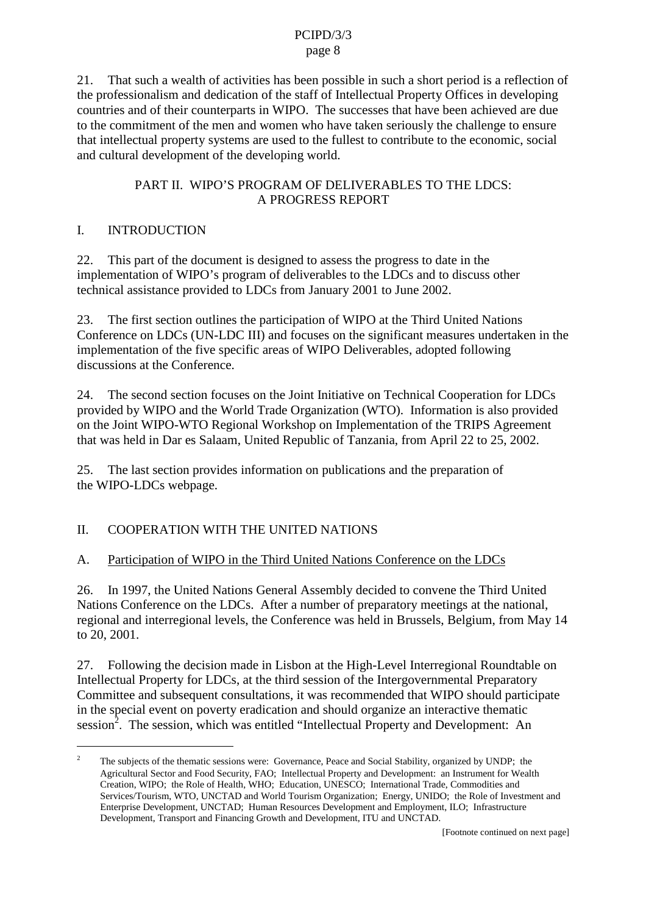21. That such a wealth of activities has been possible in such as hort periodisare flection of the professional ism and dedication of the staff of Intellectual Property Offices i ndeveloping countries and of their counterparts in WIPO. The successes that have been achieved are due to the commitment of the men and women who have taken seriously the challenge to ensure that intellectual property systems are used to the fullest to contribute to the economic, social and cultural development of the developing world.

## PARTII. WIPO'S PRO GRAMOF DELIVERABLES TO THE LDCS: **APROGRESSREPORT**

# I. INTRODUCTION

22. This part of the document is designed to assess the progress to dat ein the implementation of WIPO's program of deliverables to the LDCs and to discuss other technical assistance provided to LDCs from January 2001 to June 2002.

23. The first section outlines the participation of WIPO at the Third United Nations Conference on LDCs (UN -LDCIII) and focuses on the significant measures undertaken in the implementation of the five specific areas of WIPO Deliverables, adopted following discussions at the Conference.

24. Thesecondsection focuses on the Joint Initiative on Technical Cooperation for LDCs provided by WIPO and the World Trade Organization (WTO). Information is also provided onthe Joint WIPO -WTO Regional Workshop on Implementation of the TRIPS Agreement that was held in Dares Salaam, United Rep ublic of Tanzania, from April 22 to 25, 2002.

25. The last section provides information on publications and the preparation of the WIPO -LDCs webpage.

# II. COOPERATION WITH THE UNITED NATIONS

A. Participation of WIPO in the Third United Nations Conference on the LDCs

26. In 1997, the United Nations General Assembly decided to convene the Third United Nations Conference on the LDCs. After a number of preparatory meetings at the national, regional and interregional levels, the Conferen cewas held in Brussels, Belgium, from May 14 to 20, 2001.

27. Following the decision made in Lisbon at the High -Level Interregional Round table on Intellectual Property for LDCs, at the third session of the Intergovernmental Preparatory Committee and subsequent consultations, it was recommended that WIPO should participate in the special eventon poverty eradication and should organize an interactive thematic session<sup>2</sup>. The session, which was entitled "Intellectual Property and Development: An

<sup>&</sup>lt;sup>2</sup> The subjects of the thematic sessions were: Governance, Peace and So cial Stability, organized by UNDP; the Agricultural Sector and Food Security, FAO; Intellectual Property and Development: an Instrument for Wealth Creation, WIPO; the Role of Health, WHO; Education, UNESCO; International Trade, Commodities and Services/Tourism, WTO, UNCTAD and World Tourism Organization; Energy, UNIDO; the Role of Investment and Enterprise Development, UNCTAD; Human Resources Development and Employment, ILO; Infrastructure Development, Transport and Financing Growth and Developmen t, ITU and UNCTAD.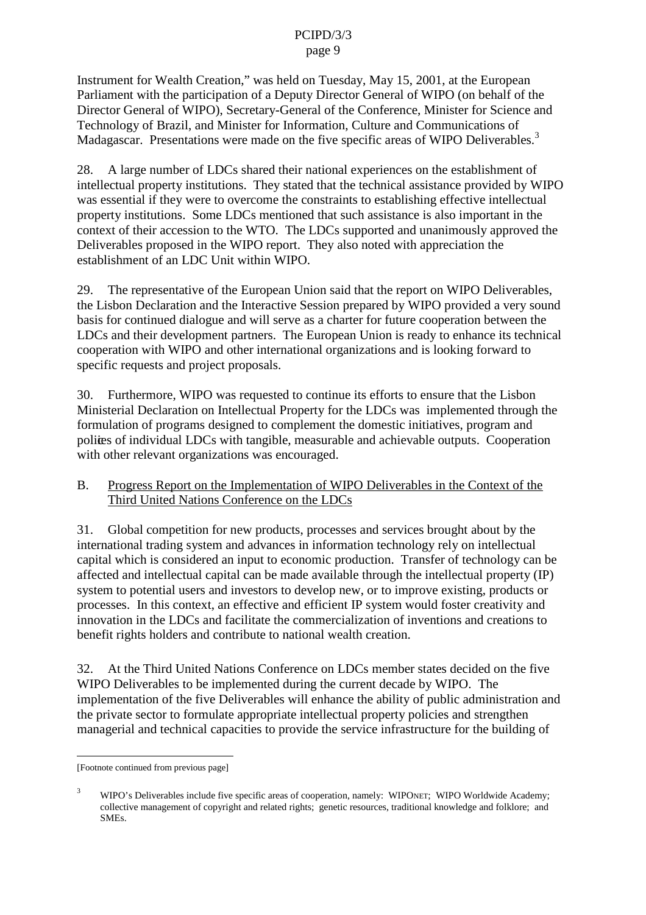Instrument for Wealth Creation," was held on Tuesday, May 15, 2001, at the European Parliament with the participation of a Deputy Director General of WIPO (on behalf of the DirectorGeneralofWIPO), Secretary -General of the Conference, Ministerfor Science and Technology of Brazil, and Minister for Information, Culture and Communications of Madagascar. Presentations were made on the five specific areas of WIPO Deliverables.

28. A large number of LDCs shared their national experiences on the estable lishment of intellectual property institutions. The vstated that the technical assistance provided by WIPO was essential if they were to overcome the constraints to establishing effective intellectual property institutions. Some LDCs mentioned that such assistance is also important in the context of their accession to the WTO. The LDCs supported and unanimously approved the Deliverables proposed in the WIPO report. The valso noted with appreciation the establishment of an LDC Unit within WIPO.

29. The representative of the European Unionsaid that the report on WIPO Deliverables, the Lisbon Declaration and the Interactive Session prepared by WIPO provided a very sound basis for continued dialogue and will serve as a charter for future cooperat in between the LDCs and their development partners. The European Union is ready to enhance its technical cooperation with WIPO and other international organizations and is looking forward to specific requests and project proposals.

30. Furthermore, WIPO was requested to continue its efforts to ensure that the Lisbon Ministerial Declaration on Intellectual Property for the LDCs was implemented through the formulation of programs designed to complement the domestic initiatives, program and polices of individual LDCs with tangible, measurable and achievable outputs. Cooperation with other relevant organizations was encouraged.

B. Progress Report on the Implementation of WIPO Deliverables in the Context of the Third United Nations Conference on the LDCs

31. Global competition for new products, processes and services brought about by the international trading system and advances in information technology rely on intellectual capital which is considered an input to economic production. T ransfer of technology can be affected and intellectual capital can be made available through the intellectual property (IP) system to potential users and investors to develop new, or to improve existing, products or processes. In this context, an effectiv eand efficient IP system would foster creativity and innovation in the LDCs and facilitate the commercialization of inventions and creations to benefitrightsholders and contribute to national wealth creation.

32. Atthe Third United Nations Con ference on LDCs members tates decided on the five WIPO Deliverables to be implemented during the current decade by WIPO. The implementation of the five Deliverables will enhance the ability of public administration and the private sector to formulate appr opriate intellectual property policies and strengthen managerial and technical capacities to provide the service infrastructure for the building of

<sup>[</sup>Footnotecontinu edfrom previous page]

WIPO's Deliverables include five specific areas of cooperation, namely: WIPO NET; WIPO Worldwide Academy; collective management of copyright and related rights; genetic resources, traditional knowledge and folklore; and SMEs.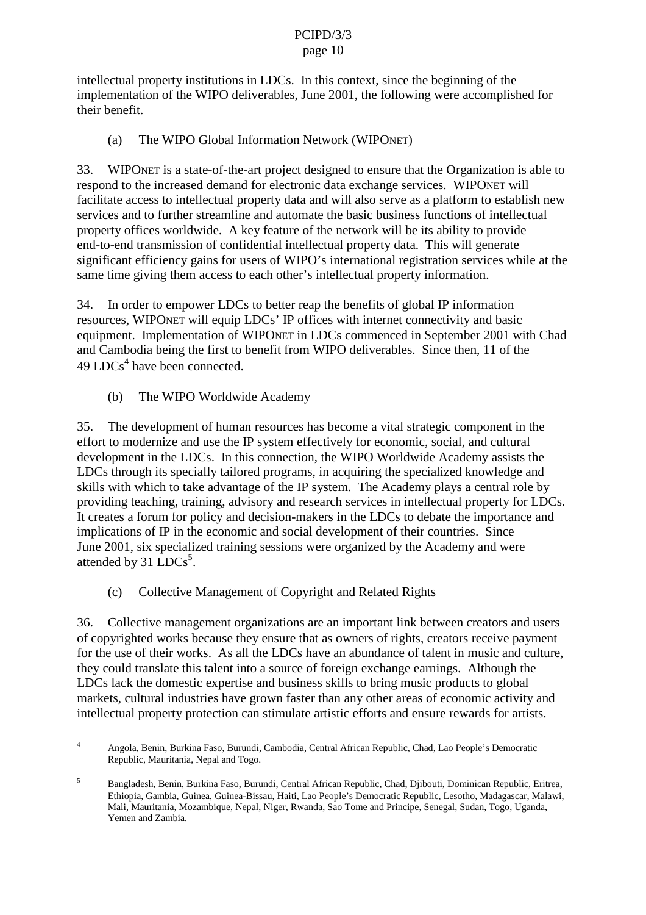intellectual property institutions in LDCs. In this context, since the beginning of the implementation of the WIPO deliverables, June 2001, the following were accomplished for their benefit.

(a) The WIPO Global Information Network (WIPO NET)

33. WIPONET is a state -of-the-art project designed to ensure that the Organization is able to respond to the increased demand for electronic data exchange services. WIPO NET will facilitate access to intellectual property data and will also serve as a platform to establish new services and to further streamline and automate the basic business functions of in tellectual property offices worldwide. A key feature of the network will be its ability to provide end-to-endtransmission of confidential intellectual property data. This will generate significant efficiency gains for users of WIPO's international regis trationservices while at the sametime giving them access to each other's intellectual property information.

34. InordertoempowerLDCstobetterreapthebenefits of global IP information resources, WIPO NET will equip LDCs' IP offices within ternet connectivity and basic equipment. Implementation of WIPO NETinLDCs commenced in September 2001 with Chad and Cambodia being the first to benefit from WIPO deliverables. Since then, 11 of the 49 LDCs<sup>4</sup>havebeenconnected.

(b) The WIPO Worldwide Academy

35. The development of human resources has become a vital strategic component in the efforttomodernize and use the IP system effectively for economic, social, and cultural development in the LDCs. In this connection, the WIPO Worldwide Academy assists the LDCsthroughits specially tailored programs, in acquiring the specialized knowledge and skills with which to take advantage of the IP system. The Academy plays a central role by providing teaching, training, advisory and research ser vices in intellectual property for LDCs. It creates a forum for policy and decision -makers in the LDCs to debate the importance and implications of IP in the economic and social development of their countries. Since June 2001, six specialized training se ssions were organized by the Academy and were attended by  $31$  LDCs<sup>5</sup>.

(c) Collective Management of Copyright and Related Rights

36. Collective management organizations are an important link between creators and users of copyrighted works because the yensure that as owners of rights, creators receive payment for the use of their works. As all the LDCs have an abundance of talent in music and culture, they could translate this talent into a source of foreign exchange earnings. Although the LDCsla ckthedomestic expertise and business skills to bring music products to global markets, cultural industries have grown faster than any other areas of economic activity and intellectual property protection can stimulate artistic efforts and ensure rewards for artists.

<sup>4</sup> Angola, Benin, Burkina Faso, Burundi, Cambodia, Central African Republic, Chad, Lao People's Democratic Republic, Mauritania, Nepaland Togo.

<sup>5</sup> Bangladesh, Benin, Burkina Faso, Burundi, Central African Republic, Chad, Djibouti, Dominican Republic, Eritrea , Ethiopia, Gambia, Guinea, Guinea -Bissau, Haiti, Lao People's Democratic Republic, Lesotho, Madagascar, Malawi, Mali, Mauritania, Mozambique, Nepal, Niger, Rwanda, Sao Tome and Principe, Senegal, Sudan, Togo, Uganda, Yemen and Zambia.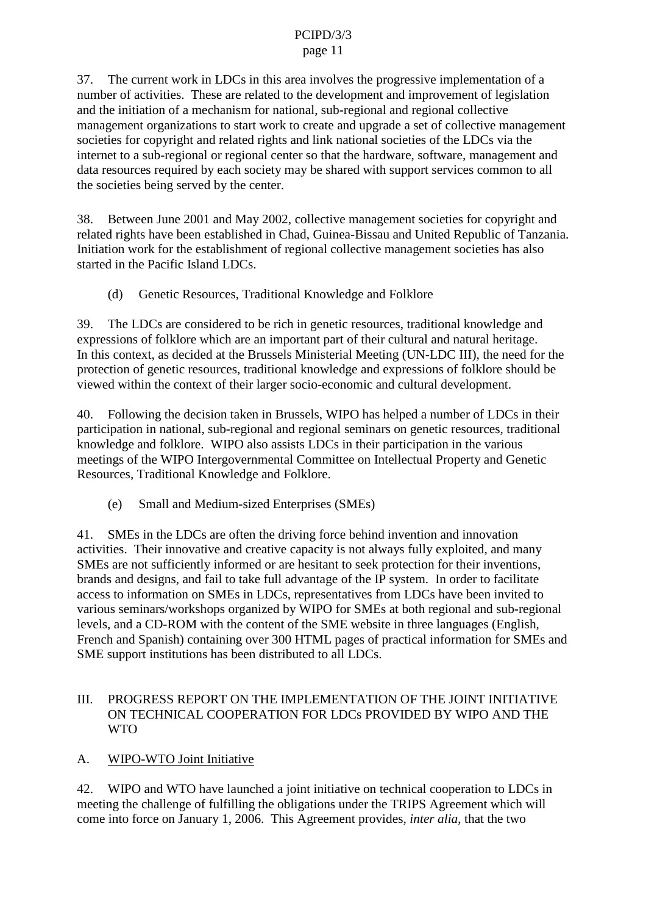37. The current work in LDCs in this area involves the progressive implementation of a number of activities. These are related to the development and improvement of legislation and the initiation of a mechanism for national, sub eregional and regional collective management organizations to start work to create and upgrade a set of collective management societies for copyright and related rights and link national societies of the LDCs via the internet to a sub-regional or regional center rsothat the hardware, software, management and dataresources required by each society may be shared with supports ervices common to all the societies being served by the center.

38. BetweenJune 2001 and May 2002, collective managements ocietie sforcopyright and related rights have been established in Chad, Guinea -Bissau and United Republic of Tanzania. Initiation work for the establishment of regional collective management societies has also started in the Pacific Island LDCs.

(d) GeneticR esources, Traditional Knowledge and Folklore

39. The LDCs are considered to be riching enetic resources, traditional knowledge and expressions of folklore which are an important part of their cultural and natural heritage. In this context, as decided at the Brussels Ministerial Meeting (UN -LDCIII), the need for the protection of genetic resources, traditional knowledge and expressions of folklore should be viewed within the context of their larger socio -economic and cultural development.

40. Following the decision taken in Brussels, WIPO has helped a number of LDCs in their participation in national, sub -regional and regional seminars on genetic resources, traditional knowledge and folklore. WIPO also assists LDCs in their participat ion in the various meetings of the WIPO Intergovernmental Committee on Intellectual Property and Genetic Resources, Traditional Knowledge and Folklore.

(e) Small and Medium -sized Enterprises (SMEs)

41. SMEsinthe LDCs are often the driving force behind invention and innovation activities. Their innovative and creative capacity is not always fully exploited, and many SMEs are not sufficiently informed or are hesitant to seek protection for their inventions, brands and designs, and fail to take full advantage of the IP system. In order to facilitate access to information on SMEs in LDCs, representatives from LDCs have been invited to various seminars/workshops organized by WIPO for SME sat both regional and sub -regional levels, and a CD -ROM with the content of the SME website in three languages (English, Frenchand Spanish) containing over 300 HTML pages of practical information for SME sand SME support institutions has been distributed to all LDCs.

### III. PROGRESS REPORTON THE IMPLEMENTATION FTHE JOINT INITIATIVE ON TECHNICAL COOPERATION FOR LDCs PROVIDE DBY WIPO AND THE WTO

A. WIPO-WTOJointInitiative

42. WIPO and WTO have launched a joint initiative on technical cooperation to LDCs in meeting the challenge of fulfilling the obli gations under the TRIPS Agreement which will come into force on January 1, 2006. This Agreement provides, *interalia*, that the two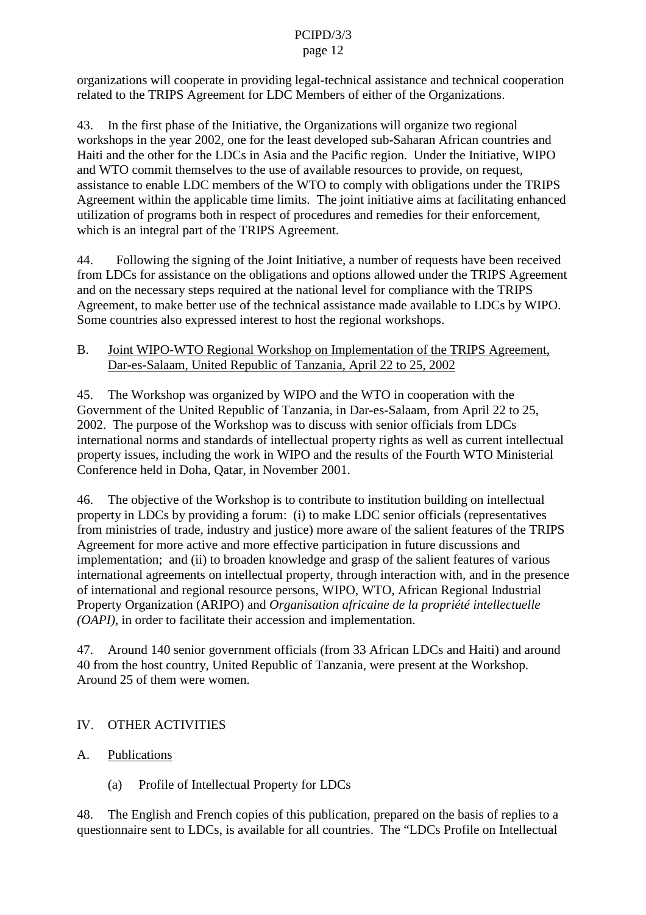organizations will cooperate in providing legal -technical assistance and technical cooperation related to the TRIPS Agreemen tfor LDC Members of either of the Organizations.

43. In the first phase of the Initiative, the Organizations will organize two regional workshops in the year 2002, one for the least developed sub -Saharan African countries and Haitiand the othe r for the LDCs in Asia and the Pacific region. Under the Initiative, WIPO and WTO commit themselves to the use of available resources to provide, on request, assistance to enable LDC members of the WTO to comply with obligations under the TRIPS Agreement within the applicable time limits. The joint initiative aims at facilitating enhanced utilization of programs both in respect of procedures and remedies for their enforcement, which is an integral part of the TRIPS Agreement.

44. Following the summarial ending ignormal term of the Indian representation Fig. can received from LDCs for assistance on the obligations and options allowed under the TRIPS Agreement and on the necessary steps required at the national level for compliance with the TRIPS Agreement, to make better use of the technical assistance made available to LDCs by WIPO. Some countries also expressed interest to host the regional workshops.

### B. Joint WIPO - WTO Regional Workshop on Implementation of the TRIPS Agreement, Dar-es-Salaam, United Republic of Tanzania, April 22 to 25, 2002

45. The Workshop was organized by WIPO and the WTO incooperation with the Government of the United Republic of Tanzania, in Dar -es-Salaam, from April 22 to 25, 2002. The purpose of the Workshop was to discuss with senior of ficials from LDCs international norms and standards of intellectual property rights as well as current intellectual property issues, including the work in WIPO and the results of the Fourth WTO Ministerial Conference held in Doha, Oa tar, in November 2001.

46. The objective of the Workshop is to contribute to institution building on intellectual property in LDCs by providing a forum: (i) to make LDC senior of ficials (representatives from ministries of trade, industry and just tice) more aware of the salient features of the TRIPS Agreement for more active and more effective participation in future discussions and implementation; and (ii) to broaden knowledge and grasp of the salient features of various international agreements on intellectual property, through interaction with, and in the presence of international and regional resource persons, WIPO, WTO, African Regional Industrial Property Organization (ARIPO) and *Organisation africaine de la propriété intellectuelle (OAPI)*, i norder to facilitate their accession and implementation.

47. Around 140 senior government of ficials (from 33 African LDCs and Haiti) and around 40 from the host country, United Republic of Tanzania, we represent at the Workshop. Around 25 of them we rewomen.

# IV. OTHER ACTIVITIES

- A. Publications
	- (a) Profile of Intellectual Property for LDCs

48. The English and French copies of this publication, prepared on the basis of replies to a questionnairesent to LDCs, is available for all countrie s. The "LDCs Profile on Intellectual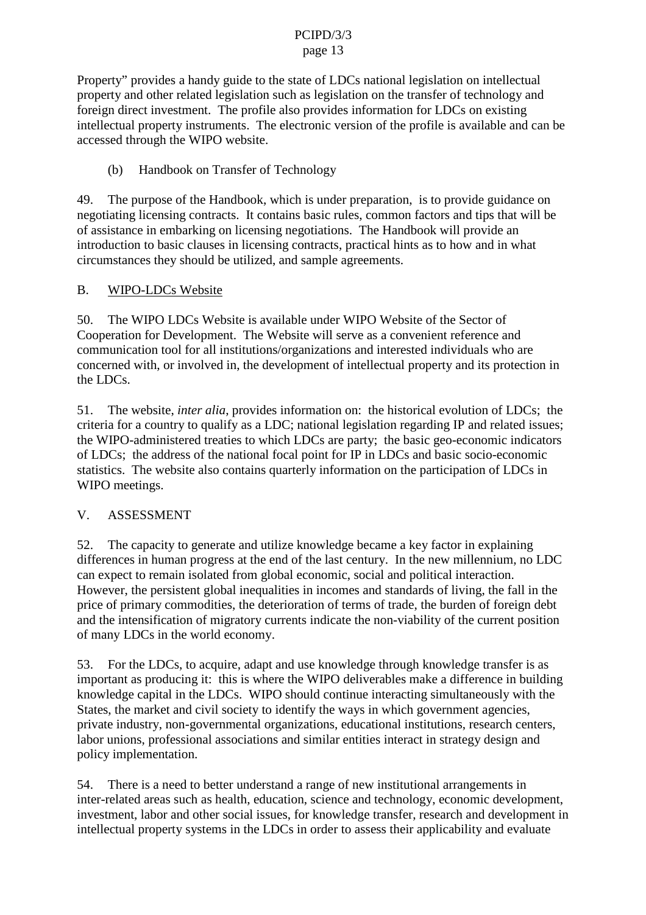Property" provides a handy guide to the state of LDCs national legislation on intellectual property and other related legislation such as legislation on the transfer of technology and foreign direct investment. The pr ofile also provides information for LDCs on existing intellectual property instruments. The electronic version of the profile is available and can be accessed through the WIPO website.

## (b) Handbook on Transfer of Technology

49. The purpose of the Handbo ok, which is underpreparation, is to provide guidance on negotiating licensing contracts. It contains basic rules, common factors and tips that will be of assistance in embarking on licensing negotiations. The Handbook will provide an introduction to b asic clauses in licensing contracts, practical hints as to how and in what circumstances they should be utilized, and sample agreements.

## B. WIPO-LDCs Website

50. The WIPO LDCs Website is available under WIPO Website of the Sector of Cooperation for Devel opment. The Website will serve as a convenient reference and communication tool for all institutions/organizations and interested individuals who are concerned with, or involved in, the development of intellectual property and its protection in the LDCs.

51. The website, *interalia*, provides information on: the historical evolution of LDCs; the criteria for a country to qualify as a LDC; national legislation regarding IP and related issues; the WIPO -administered treaties to which LDCs are party; the base is consequence of sic geo -economic indicators of LDCs; the address of the national focal point for IP in LDCs and basic socio -economic statistics. The website also contains quarterly information on the participation of LDCs in WIPO meetings.

# V. ASSESSMENT

52. The capaci ty to generate and utilize knowledge became a key factor in explaining differences in human progress at the end of the last century. In the new millennium, no LDC can expect to remain isolated from global economic, social and political interaction. However, the persistent global inequalities in incomes and standards of living, the fall in the price of primary commodities, the deterioration of terms of trade, the burden of foreign debt and the intensification of migratory currents indicate the non -viability of the current position of many LDCs in the world economy.

53. For the LDCs, to acquire, adaptand use knowledge through knowledge transferisas important as producing it: this is where the WIPO deliverables make a difference in building knowledgeca pital in the LDCs. WIPO should continue interacting simultaneously with the States, the market and civil society to identify the ways in which government agencies, private industry, non -governmental organizations, educational institutions, research center s, laborunions, professional associations and similar entities interactinstrategy designand policy implementation.

54. There is a need to better understand a range of new institutional arrangements in inter-related areas such as health, education, science and technology, economic development, investment, labor and other social issues, for knowledge transfer, research and development in intellectual property systems in the LDCs in order to assess their applicability and evaluate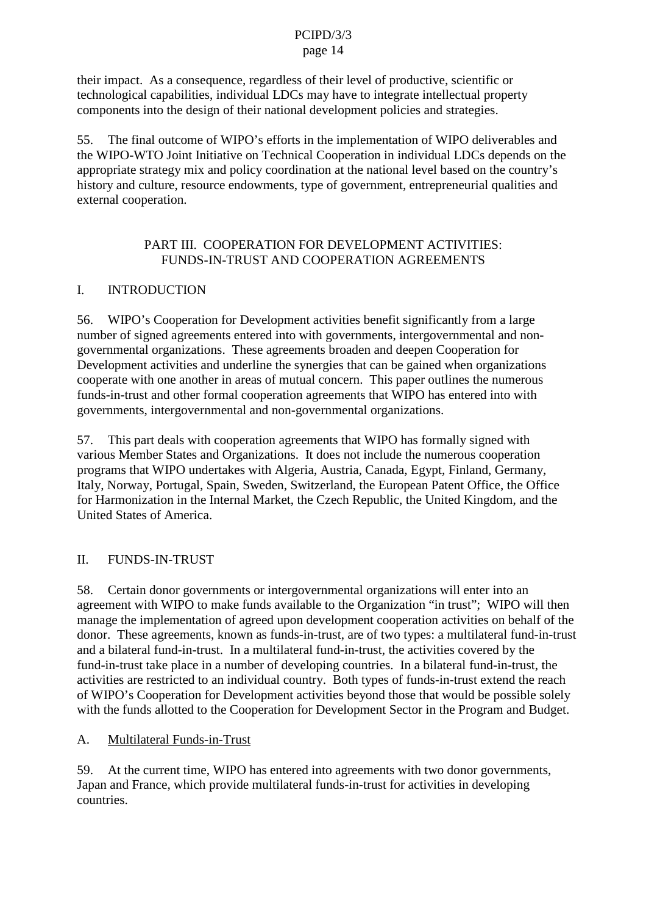their impact. As a c onsequence, regardless of their level of productive, scientific or technological capabilities, individual LDCs may have to integrate intellectual property components into the design of their national development policies and strategies.

55. The final out come of WIPO's efforts in the implementation of WIPO deliverables and the WIPO -WTO Joint Initiative on Technical Cooperation in individual LDCs depends on the appropriate strategy mix and policy coordination at the national level based on the country's history and culture, resource endowments, type of government, entrepreneurial qualities and external cooperation.

### PARTIII.COOPERATIONFORDEVELOPMENTACTIVITIES: FUNDS-IN-TRUST AND COOPER ATION AGREEMENTS

# I. INTRODUCTION

56. WIPO's Cooperation for Dev elopment activities benefit significantly from a large number of signed agreements entered into with governments, intergovernmental and nongovernmental organizations. These agreements broaden and deepen Cooperation for Development activities and underlin ether synergies that can be gained when organizations cooperate with one another in areas of mutual concern. This paper outlines the numerous funds-in-trust and other formal cooperation agreements that WIPO has entered into with governments, intergovernme ntal and non-governmental organizations.

57. This part deals with cooperation agreements that WIPO has formally signed with various Member States and Organizations. It does not include the numerous cooperation programs that WIPO undertakes with Algeri a, Austria, Canada, Egypt, Finland, Germany, Italy, Norway, Portugal, Spain, Sweden, Switzerland, the European Patent Office, the Office for Harmonization in the Internal Market, the Czech Republic, the United Kingdom, and the United States of America.

# II. FUNDS-IN-TRUST

58. Certaindonor governments or intergovernmental organizations will enter into an agreement with WIPO to make funds available to the Organization "intrust"; WIPO will then manage the implementation of agreed upon development coopera tion activities on behalf of the donor. These agreements, known as funds -in-trust, are of two types: a multilateral fund -in-trust and a bilateral fund  $-$ in-trust. In a multilateral fund  $-$ in-trust, the activities covered by the fund-in-trust take place in a number of developing countries. In a bilateral fund -in-trust, the activities are restricted to an individual country. Both types of funds  $\qquad -$ in-trust extend the reach of WIPO's Cooperation for Development activities beyond those that would be possible solel y with the funds allotted to the Cooperation for Development Sector in the Program and Budget.

# A. Multilateral Funds -in-Trust

59. At the current time, WIPO has entered into a gree ments with two donor governments, Japan and France, which provide multilate ral funds -in-trust for activities indeveloping countries.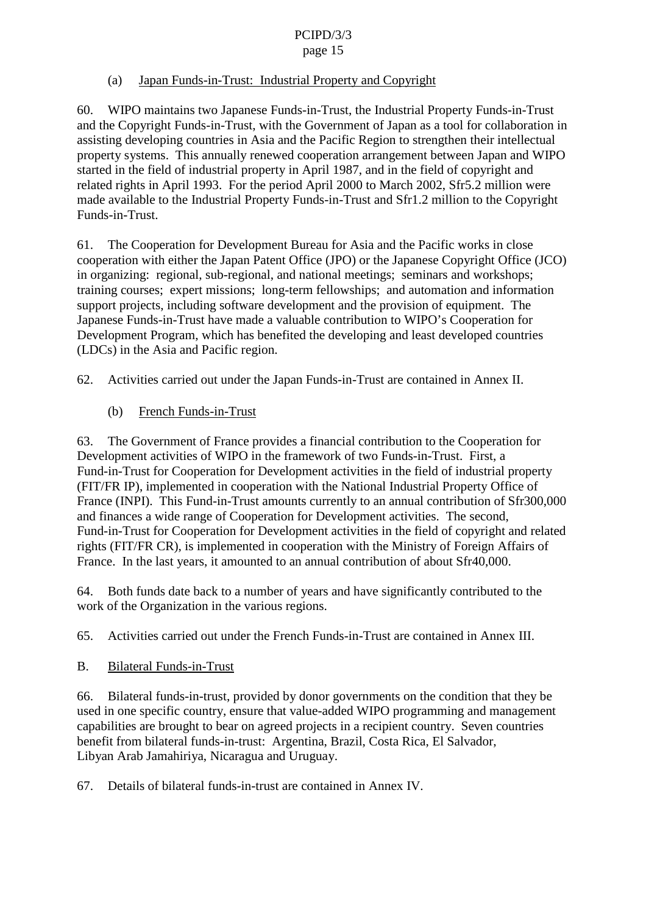### page 15

## (a) Japan Funds -in-Trust: Industrial Property and Copyright

60. WIPO maintains two Japanese Funds - in-Trust, the Industrial Property Funds - in-Trust and the Copyright Funds -in-Trust, with the G overnment of Japan as a tool for collaboration in assisting developing countries in Asia and the Pacific Region to strengthen their intellectual property systems. This annually renewed cooperation arrangement between Japan and WIPO started in the field of industrial property in April 1987, and in the field of copyright and related rights in April 1993. For the period April 2000 to March 2002, Sfr 5.2 million were made available to the Industrial Property Funds  $-$ in-Trust and Sfr1.2 million to the Copyright Funds-in-Trust.

61. The Cooperation for Development Bureau for Asia and the Pacific works in close cooperation with either the Japan Patent Office (JPO) or the Japanese Copyright Office (JCO) in organizing: regional, sub -regional, and national meetings; seminars and workshops; training courses; expertmissions; long -term fellowships; and automation and information support projects, including software development and the provision of equipment. The Japanese Funds -in-Trust have made a valuable contribu tion to WIPO's Cooperation for Development Program, which has benefited the developing and least developed countries (LDCs) in the Asia and Pacific region.

62. Activities carried out under the Japan Funds - in-Trust are contained in Annex II.

 $(b)$  French F unds-in-Trust

63. The Government of France provides a financial contribution to the Cooperation for Development activities of WIPO in the framework of two Funds -in-Trust. First, a Fund-in-TrustforCooperationforDevelopment activities in the field of industrial property (FIT/FR IP), implemented in cooperation with the National Industrial Property Office of France (INPI). This Fund -in-Trust amounts currently to an annual contribution of Sfr 300,000 and finances a wide range of Cooperation for Developmen tactivities. The second, Fund-in-TrustforCooperation for Development activities in the field of copyright and related rights (FIT/FRCR), is implemented in cooperation with the Ministry of Foreign Affairs of France. In the last years, it amounted to an annual contribution of about Sfr40,000.

64. Both funds date back to a number of years and have significantly contributed to the work of the Organization in the various regions.

65. Activities carried out under the French Funds -in-Trust are contained i n Annex III.

B. Bilateral Funds -in-Trust

66. Bilateral funds -in-trust, provided by donor governments on the condition that they be usedinonespecific country, ensure that value -added WIPO programming and management capabilities are brought to bear on a greed projects in a recipient country. Seven countries benefit from bilateral funds- in-trust: Argentina, Brazil, Costa Rica, El Salvador, Libyan Arab Jamahiriya, Nicaragua and Uruguay.

 $67.$  Details of bilateral funds -in-trust are contained in Annex IV.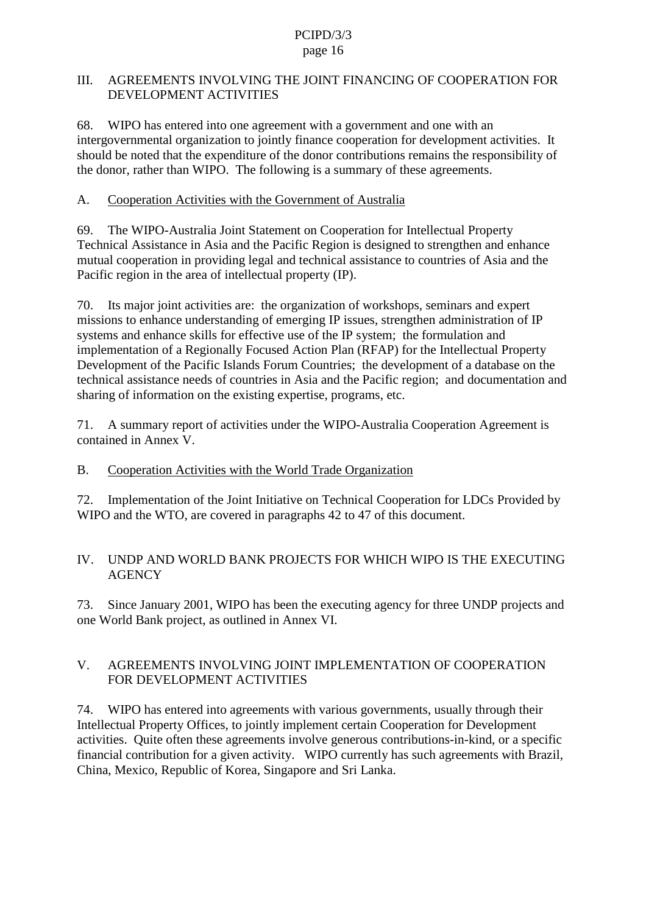### III. AGREEMENTS INVOLVING THE JOINT FINANCING OF COOPERATION FOR DEVELOPMENT ACTIVITIES

68. WIPO has entered into one agreement with a government and one with an intergovernmental organization to jointly finance cooperation for development activities . It should be noted that the expenditure of the donor contributions remains the responsibility of the donor, rather than WIPO. The following is a summary of the seagreements.

A. Cooperation Activities with the Government of Australia

69. The WIPO - Australia Joint Statement on Cooperation for Intellectual Property Technical Assistance in Asia and the Pacific Region is designed to strengthen and enhance mutual cooperation in providing legal and technical assistance to countries of Asia and the Pacific reg ion in the area of intellectual property (IP).

70. Its major joint activities are: the organization of workshops, seminars and expert missions to enhance understanding of emerging IP issues, streng then administration of IP systems and enhance skills for effective use of the IP system; the formulation and implementation of a Regionally Focused Action Plan (RFAP) for the Intellectual Property Development of the Pacific Islands Forum Countries; the development of a database on the technical assistance need sof countries in Asia and the Pacific region; and documentation and sharing of information on the existing expertise, programs, etc.

71. A summary report of activities under the WIPO -Australia Cooperation Agreement is  $contained in AnnexV.$ 

B. Cooperation Activities with the World Trade Organization

72. Implementation of the Joint Initiative on Technical Cooperation for LDCs Provided by WIPO and the WTO, are covered in paragraphs 42 to 47 of this document.

## IV. UNDPANDWORLDBANKPROJECTSFORWHICHWI POISTHEEXECUTING **AGENCY**

73. Since January 2001, WIPO has been the executing agency for three UNDP projects and one World Bank project, as outlined in Annex VI.

# V. AGREEMENTS INVOLVING JOINT IMPLEMENTATION OF COOPERATION FOR DEVELOPMENTACTIVITIES

74. WIPO has entered into agreements with various governments, usually through their Intellectual Property Offices, to jointly implement certain Cooperation for Development activities. Quite often these agreements involve generous contributions -in-kind, or aspecific financial contribution for a given activity. WIPO currently has such a greements with Brazil, China, Mexico, Republic of Korea, Singapore and Sri Lanka.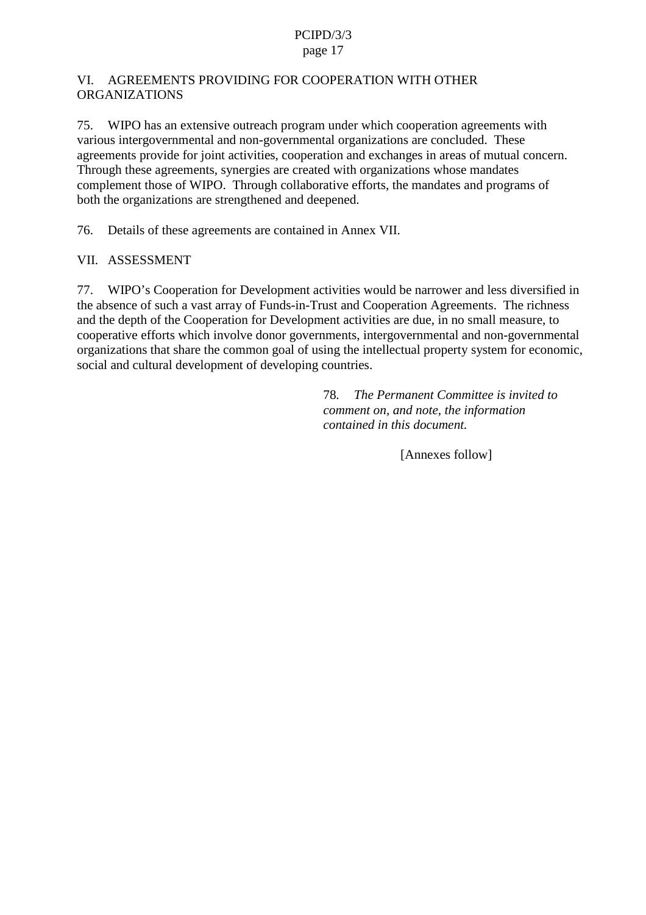### VI. AGREEMENTSPROVI DINGFORCOOPERATION WITHOTHER ORGANIZATIONS

75. WIPO has an exten sive outreach program under which cooperation agreements with various intergovernmental and non -governmental organizations are concluded. These agreements provide for joint activities, cooperation and exchanges in areas of mutual concern. Through these a greements, synergies are created with organizations whose mandates complement those of WIPO. Through collaborative efforts, the mandates and programs of both the organizations are strengthened and deepened.

76. Details of these agreements are contained in Annex VII.

VII. ASSESSMENT

77. WIPO's Cooperation for Development activities would be narrower and less diversified in the absence of such a vast array of Funds -in-Trust and Cooperation Agreements. The richness and the depth of the Cooperation for D evelopment activities are due, in no small measure, to cooperative efforts which involved on orgovernments, intergovernmental and non -governmental organizations that share the common goal of using the intellectual property system for economic, social and c ultural development of developing countries.

> 78*. The Permanent Committee is invited to comment on, and note, the information contained in this document.*

> > [Annexes follow]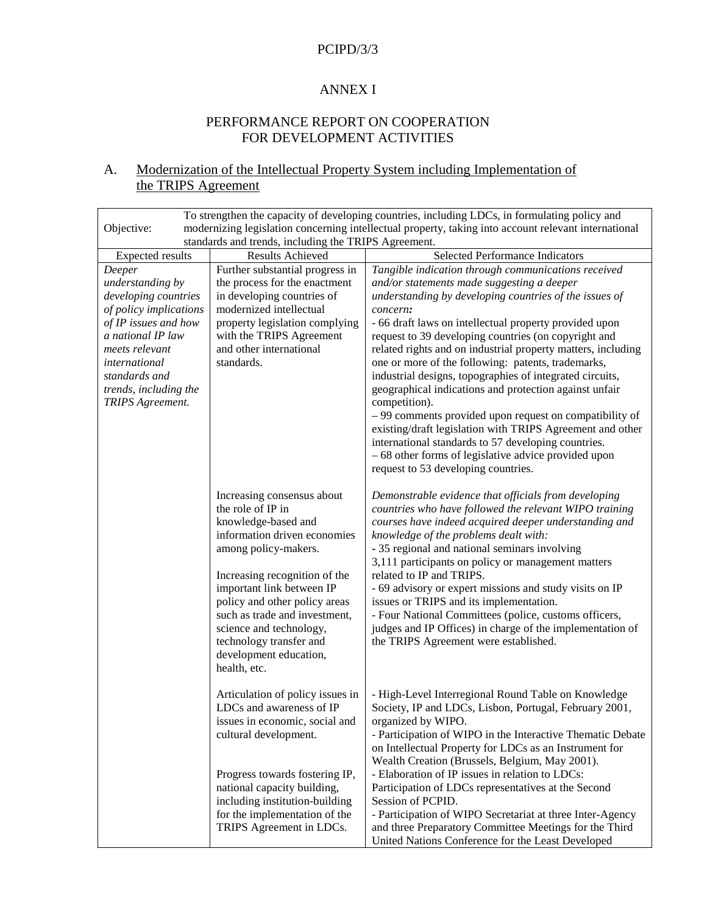### **ANNEXI**

### PERFORMANCEREPORTONCOOPERATION FOR DEVELOPMENTA CTIVITIES

## A. Modernization of the Intellectual Property System including Implementation of the TRIPS Agreement

| Tostrengthenthecapacityofdevelopingcountries,includingLDCs,in<br>formulatingpolicyand<br>modernizinglegislationconcerningintellectualproperty,takingintoaccountrelevantinternational<br>Objective:            |                                                                                                                                                                                                                                                                                                                                    |                                                                                                                                                                                                                                                                                                                                                                                                                                                                                                                                                                                                                                                                                                                                                         |
|---------------------------------------------------------------------------------------------------------------------------------------------------------------------------------------------------------------|------------------------------------------------------------------------------------------------------------------------------------------------------------------------------------------------------------------------------------------------------------------------------------------------------------------------------------|---------------------------------------------------------------------------------------------------------------------------------------------------------------------------------------------------------------------------------------------------------------------------------------------------------------------------------------------------------------------------------------------------------------------------------------------------------------------------------------------------------------------------------------------------------------------------------------------------------------------------------------------------------------------------------------------------------------------------------------------------------|
|                                                                                                                                                                                                               | standardsandtrends, including the TRIPS                                                                                                                                                                                                                                                                                            | Agreement.                                                                                                                                                                                                                                                                                                                                                                                                                                                                                                                                                                                                                                                                                                                                              |
| Expectedresults                                                                                                                                                                                               | ResultsAchieved                                                                                                                                                                                                                                                                                                                    | SelectedPerformanceIndicators                                                                                                                                                                                                                                                                                                                                                                                                                                                                                                                                                                                                                                                                                                                           |
| Deeper<br>understandingby<br>developingcountries<br>ofpolicyimplications<br>ofIPissuesandhow<br>anationalIPlaw<br>meetsrelevant<br>international<br>standardsand<br>trends, including the<br>TRIPS Agreement. | Furthersubstantialprogressin<br>theprocessfortheenactment<br>indevelopingco untriesof<br>modernizedintellectual<br>propertylegislationcomplying<br>withtheTRIPS Agreement<br>andotherinternational<br>standards.                                                                                                                   | Tangibleindicationthroughcommunicationsreceived<br>and/orstatementsmadesuggestingadeeper<br>understandingbydevelopingcountriesoftheissuesof<br>concern:<br>-66draftlawsonintellectualpropertyprovidedupon<br>requestto39developingcountries(oncopyrightand<br>relatedrightsandonindustrialpropertymatt<br>ers, including<br>oneormoreofthefollowing:patents,trademarks,<br>industrialdesigns,topographiesofintegratedcircuits,<br>geographicalindicationsandprotectionagainstunfair<br>competition).<br>-99commentsprovideduponrequestoncompatibilityof<br>existing/draftlegislationwithTRIPS<br>Agreementandother<br>internationalstandardsto57developingcountries.<br>-68otherformsoflegislativeadviceprovidedupon<br>requestto53developingcountries. |
|                                                                                                                                                                                                               | Increasingconsensusabout<br>theroleofIPin<br>knowledge-basedand<br>informationdriveneconomies<br>amongpolicy -makers.<br>Increasingrecognitionofthe<br>importantlinkbetweenIP<br>policyandotherpolicyareas<br>suchastradeandinvestment,<br>scienceandtechnology,<br>technologytransferand<br>developmenteducation,<br>health, etc. | Demonstrableevidencethatofficialsfromdeveloping<br>countries whohavefollowedtherelevantWIPOtraining<br>courseshaveindeedacquireddeeperunderstandingand<br>knowledgeoftheproblemsdealtwith:<br>- 35 regional and national seminars involving<br>3,111participantsonpolicyormanagementmatters<br>relatedtoIPandTRI PS.<br>-69advisoryorexpertmissionsandstudyvisitsonIP<br>issuesorTRIPSanditsimplementation.<br>-FourNationalCommittees(police,customsofficers,<br>judgesandIPOffices)inchargeoftheimplementationof<br>theTRIPS Agreementwereestablished.                                                                                                                                                                                                |
|                                                                                                                                                                                                               | Articulationofpolicyissuesin<br>LDCsandawarenessofIP<br>issuesineconomic, social and<br>culturaldevelopment.<br>ProgresstowardsfosteringIP,<br>nationalcapacitybuilding,<br>including<br>institution -building<br>fortheimplementationofthe<br>TRIPS AgreementinLDCs.                                                              | - High-LevelInterregionalRoundTableonKnowledge<br>Society, IPandLDCs, Lisbon, Portugal, February 2001,<br>organizedbyWIPO.<br>-ParticipationofWIPOintheInteractiveThematicDebate<br>onIntellectualPropertyforLDCsasanInstrumentfor<br>WealthCreation(Brussels, Belgium, May2001).<br>-ElaborationofIPissuesinrelationtoLDCs:<br>ParticipationofLDCsrepresentatives attheSecond<br>SessionofPCPID.<br>-ParticipationofWIPOSecretariat<br>atthreeInter -Agency<br>andthreePreparatoryCommitteeMeetingsforthe<br>Third<br>UnitedNationsConferencefortheLeastDeveloped                                                                                                                                                                                      |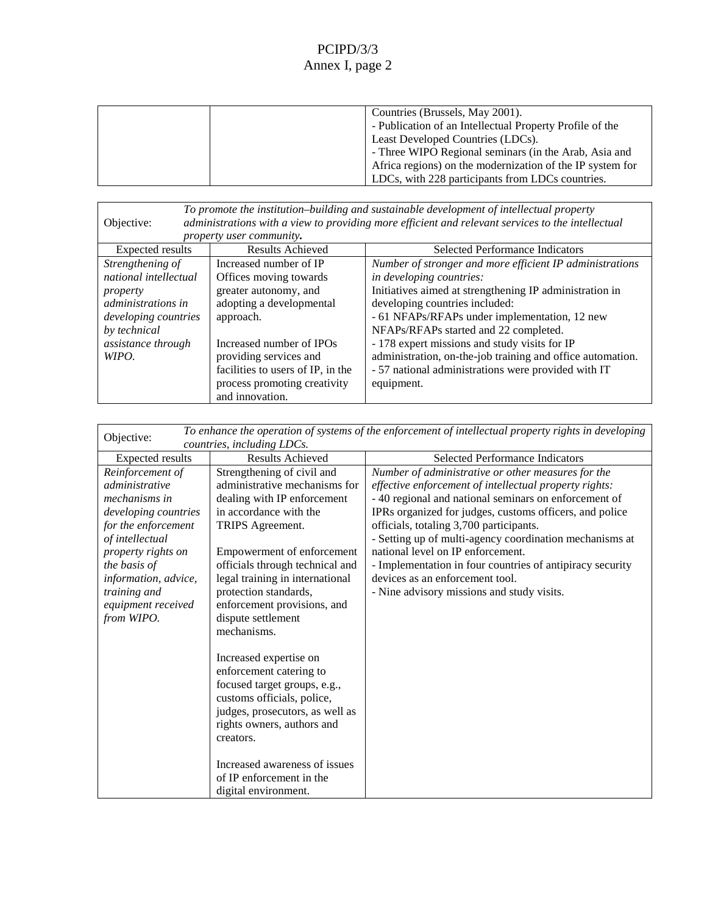| Countries (Brussels, May 2001).                         |
|---------------------------------------------------------|
| -Publication of an Intellectual Property Profile of the |
| LeastDevelopedCountries(LDCs).                          |
| -ThreeWIPORegionalseminars(intheArab,Asiaand            |
| Africaregions) on the modernization of the IPsystem for |
| LDCs, with 228 participants from LDCs countries.        |

| Objective:           | administrationswithaviewtoprovidingmoreefficientandrelevant<br><i>propertyusercommunity</i> . | Topromotetheinstitution -buildingandsustainabledevelopmentofintellectualproperty<br>servicestotheintellectual |
|----------------------|-----------------------------------------------------------------------------------------------|---------------------------------------------------------------------------------------------------------------|
| Expectedresults      | ResultsAchieved                                                                               | <b>SelectedPerformanceIndicators</b>                                                                          |
| Strengtheningof      | <b>IncreasednumberofIP</b>                                                                    | ientIPadministrations<br>Numberofstrongerandmoreeffic                                                         |
| nationalintellectual | Offices moving towards                                                                        | indevelopingcountries:                                                                                        |
| property             | greaterautonomy, and                                                                          | InitiativesaimedatstrengtheningIPadministrationin                                                             |
| administrationsin    | adoptingadevelopmental                                                                        | developing countries included:                                                                                |
| developing countries | approach.                                                                                     | -61NFAPs/RFAPsunderimplementation, 12new                                                                      |
| bytechnical          |                                                                                               | NFAPs/RFAPsstartedand22completed.                                                                             |
| assistancethrough    | <b>IncreasednumberofIPOs</b>                                                                  | -178expertmissionsandstudyvisi<br>tsforIP                                                                     |
| WIPO.                | providingservicesand                                                                          | administration, on -the-jobtraining and office automation.                                                    |
|                      | facilitiestousers of IP, in the                                                               | -57nationaladministrationswereprovidedwithIT                                                                  |
|                      | processpromotingcreativity                                                                    | equipment.                                                                                                    |
|                      | andinnovation.                                                                                |                                                                                                               |

| Toenhancetheoperationofsystemsoftheenforcementofintellectualpropertyrightsindeveloping<br>Objective:<br>countries, including LDCs. |                                   |                                                      |
|------------------------------------------------------------------------------------------------------------------------------------|-----------------------------------|------------------------------------------------------|
| Expectedresults                                                                                                                    | <b>ResultsAchieved</b>            | SelectedPerformanceIndicators                        |
| Reinforcementof                                                                                                                    | Strengtheningofciviland           | Numberofadministrativeorothermeasuresforthe          |
| administrative                                                                                                                     | administrativemechanismsfor       | effectiveenforcementofintellectualpropertyrights:    |
| mechanismsin                                                                                                                       | dealingwithIPenforcement          | -40regionalandnationalseminarsonenforcementof        |
| developingcountries                                                                                                                | inaccordancewiththe               | IPRsorganizedforjudges, cu stomsofficers, and police |
| fortheenforcement                                                                                                                  | TRIPS Agreement.                  | officials, totaling 3, 700 participants.             |
| ofintellectual                                                                                                                     |                                   | -Settingupofmulti -agencycoordinationmechanismsat    |
| propertyrightson                                                                                                                   | Empowermentofenforcement          | nationallevelonIPenforcement.                        |
| thebasisof                                                                                                                         | officialsthroughtechnicaland      | -Implementationinfourcountriesofantipiracysecurity   |
| information, advice,                                                                                                               | legaltrainingininternational      | devices as a nenforcement tool.                      |
| trainingand                                                                                                                        | protectionstandards,              | -Ninead visorymissionsandstudyvisits.                |
| equipmentreceived                                                                                                                  | enforcementprovisions, and        |                                                      |
| fromWIPO.                                                                                                                          | disputesettlement<br>mechanisms.  |                                                      |
|                                                                                                                                    |                                   |                                                      |
|                                                                                                                                    | Increasedexpertiseon              |                                                      |
|                                                                                                                                    | enforcementcateringto             |                                                      |
|                                                                                                                                    | focusedtargetgroups,e.g.,         |                                                      |
|                                                                                                                                    | customsofficials, police,         |                                                      |
|                                                                                                                                    | judges, prosecutors, as well as   |                                                      |
|                                                                                                                                    | rightsowners, authorsand          |                                                      |
|                                                                                                                                    | creators.                         |                                                      |
|                                                                                                                                    |                                   |                                                      |
|                                                                                                                                    | <b>Increasedawarenessofissues</b> |                                                      |
|                                                                                                                                    | ofIPenforcementinthe              |                                                      |
|                                                                                                                                    | digitalenvironment.               |                                                      |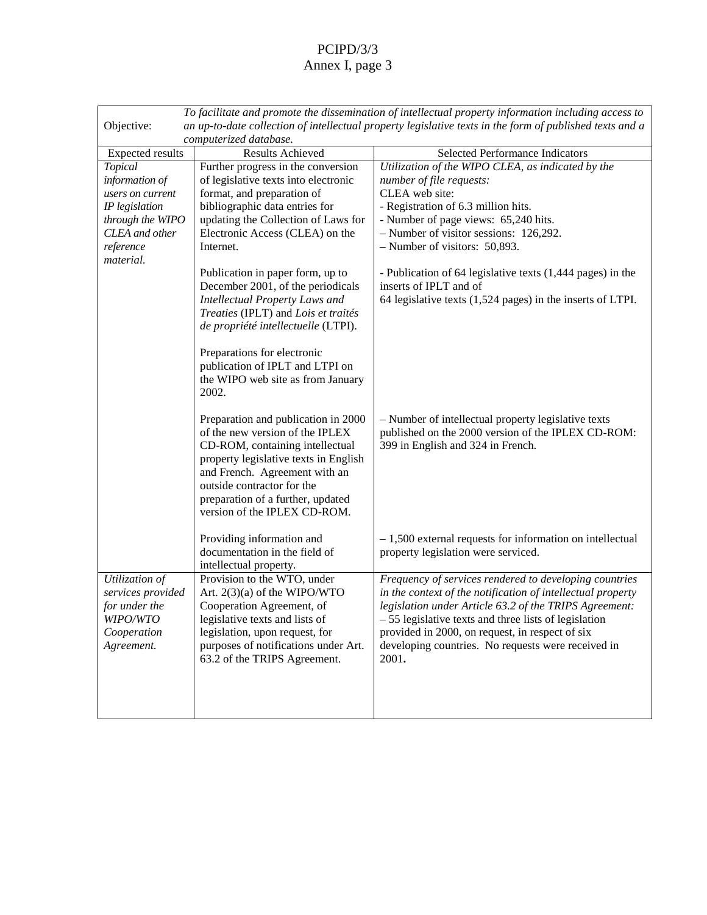| Tofacilitateandpromotethedisseminationofintellectualpropertyinformationincludingaccessto<br>anup -to-datecollectionofintellectualpropertylegislativetextsintheformofpublishedtextsanda<br>Objective: |                                                                                                                                                                                                                                                                                                                                                                                                                                                                                            |                                                                                                                                                                                                                                                                                                                                                                                             |
|------------------------------------------------------------------------------------------------------------------------------------------------------------------------------------------------------|--------------------------------------------------------------------------------------------------------------------------------------------------------------------------------------------------------------------------------------------------------------------------------------------------------------------------------------------------------------------------------------------------------------------------------------------------------------------------------------------|---------------------------------------------------------------------------------------------------------------------------------------------------------------------------------------------------------------------------------------------------------------------------------------------------------------------------------------------------------------------------------------------|
|                                                                                                                                                                                                      | computerizeddatabase.                                                                                                                                                                                                                                                                                                                                                                                                                                                                      |                                                                                                                                                                                                                                                                                                                                                                                             |
| Expectedresults                                                                                                                                                                                      | ResultsAchieved                                                                                                                                                                                                                                                                                                                                                                                                                                                                            | SelectedPerformanceIndicators                                                                                                                                                                                                                                                                                                                                                               |
| Topical<br>informationof<br>usersoncurrent<br><b>IPlegislation</b><br>throughtheWIPO<br><b>CLEA</b> andother<br>reference<br>material.                                                               | Furtherprogressinthe conversion<br>oflegislativetextsinto electronic<br>format, and preparation of<br>bibliographicdataentriesfor<br>updatingtheCollectionofLawsfor<br>ElectronicAccess(CLEA)onthe<br>Internet.<br>Publicationinpaperform,upto<br>December 2001, of the periodicals<br>IntellectualPropertyLawsand<br>Treaties(IPLT)and Loisettraités<br>depropriétéintellectuelle (LTPI).<br>Preparationsforelectronic<br>publicationofIPLTandLTPIon<br>the WIPO web site as from January | UtilizationoftheWIPOCLEA, asindicatedbythe<br>numberoffilerequests:<br>CLEA web site:<br>-Registrationof6.3millionhits.<br>-Numberofpageviews:<br>65,240 hits.<br>-Numberofvisitorsessions:<br>126,292.<br>-Numberofvisitors:<br>50,893.<br>-Publication of 64 legislative texts (1,444 pages) in the<br>insertsofIPLTandof<br>$64$ legislativetexts $(1,524)$<br>pages)intheinsertsofLTPI. |
|                                                                                                                                                                                                      | 2002.<br>Preparationandpublicationin2000<br>ofthenewversionoftheIPLEX<br>CD-ROM, containingi ntellectual<br>propertylegislativetextsinEnglish<br>andFrench.Agreementwithan<br>outsidecontractorforthe<br>preparationofafurther, updated<br>versionoftheIPLEXCD -ROM.<br>Providinginformationand                                                                                                                                                                                            | -Numberofintellectualpropertylegislativetexts<br>-ROM:<br>publishedonthe2000versionoftheIPLEXCD<br>399inEnglishand324in<br>French.<br>$-1,500$ external requests for information on intellectual                                                                                                                                                                                            |
|                                                                                                                                                                                                      | documentationinthefieldof<br>intellectualproperty.                                                                                                                                                                                                                                                                                                                                                                                                                                         | propertylegislationwereserviced.                                                                                                                                                                                                                                                                                                                                                            |
| Utilizationof<br>servicesprovided<br>forunderthe<br>WIPO/WTO<br>Cooperation<br>Agreement.                                                                                                            | ProvisiontotheWTO, under<br>Art. 2(3)(a)oftheWIPO/WTO<br>CooperationAgreement, of<br>legislativetextsandlistsof<br>legislation, uponrequest, for<br>purposesofnotificationsunderArt.<br>63.2oftheTRIPS Agreement.                                                                                                                                                                                                                                                                          | Frequencyofservicesrenderedtodevelopingcountries<br>inthecontextofthenotificationofintellectualprope<br>rty<br>legislationunderArticle 63.2oftheTRIPS Agreement:<br>-55legislativetextsandthreelistsoflegislation<br>providedin2000,onrequest,inrespectofsix<br>developingcountries.Norequestswerereceivedin<br>2001.                                                                       |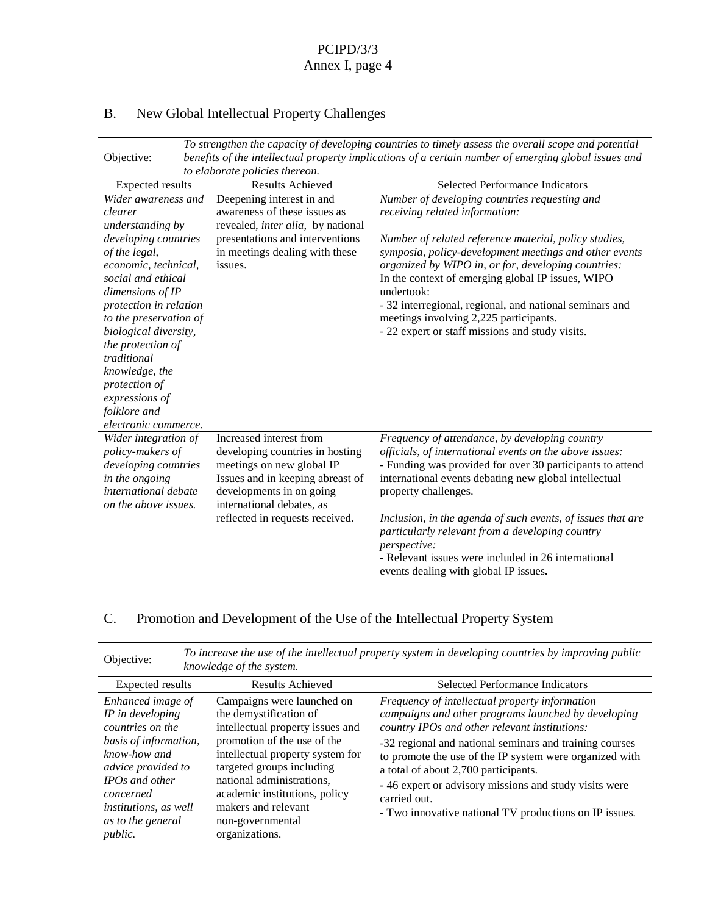# B. New Global Intellectual Prop erty Challenges

| Tostrengthenthecapacityofdevelopingcountriestotimelyassesstheoverallscopeandpotential<br>benefitsoftheintellectualpropertyimplicationsofacertainnumberofemergingglobalissuesand<br>Objective: |                                                        |                                                          |
|-----------------------------------------------------------------------------------------------------------------------------------------------------------------------------------------------|--------------------------------------------------------|----------------------------------------------------------|
|                                                                                                                                                                                               | toelaboratepoliciesthere on.<br><b>ResultsAchieved</b> | SelectedPerformanceIndicators                            |
| Expectedresults<br>Widerawarenessand                                                                                                                                                          |                                                        |                                                          |
|                                                                                                                                                                                               | Deepeninginterestinand                                 | Numberofdevelopingcountriesrequestingand                 |
| clearer                                                                                                                                                                                       | awarenessoftheseissuesas                               | receiving relatedinformation:                            |
| understandingby                                                                                                                                                                               | revealed, interalia, bynational                        |                                                          |
| developingcountries                                                                                                                                                                           | presentationsand<br>interventions                      | Numberofrelatedreferencematerial, policystudies,         |
| ofthelegal,                                                                                                                                                                                   | inme etingsdealingwiththese                            | symposia, policy -developmentmeetingsandotherevents      |
| economic, technical,                                                                                                                                                                          | issues.                                                | organizedbyWIPOin, orfor, dev<br>elopingcountries:       |
| socialandethical                                                                                                                                                                              |                                                        | InthecontextofemergingglobalIPissues, WIPO               |
| dimensionsofIP                                                                                                                                                                                |                                                        | undertook:                                               |
| protectioninrelation                                                                                                                                                                          |                                                        | -32interregional,regional,andnationalseminarsand         |
| tothepreservationof                                                                                                                                                                           |                                                        | meetingsinvolving2,225participants.                      |
| biologicaldiversity,                                                                                                                                                                          |                                                        | -22expertorstaffmissionsandstudyvisits.                  |
| theprotectionof                                                                                                                                                                               |                                                        |                                                          |
| traditional                                                                                                                                                                                   |                                                        |                                                          |
| knowledge, the                                                                                                                                                                                |                                                        |                                                          |
| protectionof                                                                                                                                                                                  |                                                        |                                                          |
| expressionsof                                                                                                                                                                                 |                                                        |                                                          |
| folkloreand                                                                                                                                                                                   |                                                        |                                                          |
| electroniccommerce.                                                                                                                                                                           |                                                        |                                                          |
| Widerintegrationof                                                                                                                                                                            | Increasedinterestfrom                                  | Frequencyofattendance, bydeveloping country              |
| policy-makersof                                                                                                                                                                               | developingcountriesinhosting                           | officials, of international events on the above issues:  |
| developingcountries                                                                                                                                                                           | meetingsonnewglobalIP                                  | -Fundingwasprovidedforover30participantstoattend         |
| intheongoing                                                                                                                                                                                  | Issuesandinkeepingabreastof                            | internationaleventsdebatingnewglobalintellectual         |
| internationaldebate                                                                                                                                                                           | developmentsinongoing                                  | propertychal lenges.                                     |
| ontheaboveissues.                                                                                                                                                                             | internationaldebates,as                                |                                                          |
|                                                                                                                                                                                               | reflectedinrequestsreceived.                           | Inclusion, intheagendaof such events, of issues that are |
|                                                                                                                                                                                               |                                                        | particularlyrelevantfromadevelopingcountry               |
|                                                                                                                                                                                               |                                                        | perspective:                                             |
|                                                                                                                                                                                               |                                                        | -Relevantissueswereincludedin26international             |
|                                                                                                                                                                                               |                                                        | eventsdealingwithglobalIPissues                          |

# C. Promotion and Development of the Use of the Intellectual Property System

| Toincreasetheuseoftheintellectualpropertysystemindevelopingcountriesbyimprovingpublic<br>Objective:<br>knowledgeofthesystem.                                                                                          |                                                                                                                                                                                                                                                                                                |                                                                                                                                                                                                                                                                                                                                                                                                    |
|-----------------------------------------------------------------------------------------------------------------------------------------------------------------------------------------------------------------------|------------------------------------------------------------------------------------------------------------------------------------------------------------------------------------------------------------------------------------------------------------------------------------------------|----------------------------------------------------------------------------------------------------------------------------------------------------------------------------------------------------------------------------------------------------------------------------------------------------------------------------------------------------------------------------------------------------|
| Expectedresults                                                                                                                                                                                                       | <b>ResultsAchieved</b>                                                                                                                                                                                                                                                                         | <b>SelectedPerformanceIndicators</b>                                                                                                                                                                                                                                                                                                                                                               |
| Enhancedimageof<br><b>IPindeveloping</b><br>countriesonthe<br>basisofinformation,<br>know-howand<br>adviceprovidedto<br><b>IPO</b> sandother<br>concerned<br><i>institutions, aswell</i><br>astothegeneral<br>public. | Campaignswere launchedon<br>thedemystificationof<br>intellectualpropertyissuesand<br>promotionoftheuseofthe<br>intellectualpropertysystemfor<br>targetedgroupsincluding<br>nationaladministrations,<br>academicinstitutions, policy<br>makersandrelevant<br>non-governmental<br>organizations. | Frequencyofintellectualpropertyinformation<br>campaignsando therprogramslaunchedbydeveloping<br>countryIPOsandotherrelevantinstitutions:<br>-32regionalandnationalseminarsandtrainingcourses<br>topromotetheuseoftheIPsystemwereorganizedwith<br>atotalofabout2,700participants.<br>-46expertoradvisory missionsandstudyvisitswere<br>carriedout.<br>-TwoinnovativenationalTVproductionsonIPissues |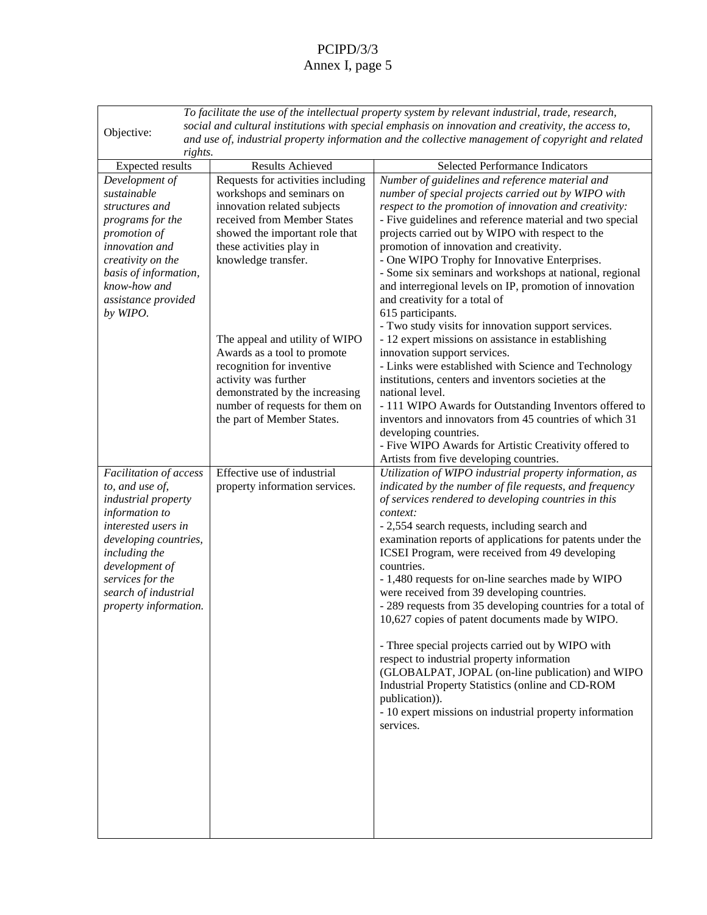| Tofacilitatetheuseoftheintellectualpropertysystembyrelevantindustrial,trade,research,                     |                                |                                                                   |  |
|-----------------------------------------------------------------------------------------------------------|--------------------------------|-------------------------------------------------------------------|--|
| socialandculturalinstitutionswithspecial<br>emphasisoninnovationandcreativity, theaccessto,<br>Objective: |                                |                                                                   |  |
| anduseof,industrialpropertyinformationandthecollectivemanagementofcopyrightandrelated                     |                                |                                                                   |  |
| rights.                                                                                                   |                                |                                                                   |  |
| Expectedresults                                                                                           | ResultsAchieved                | SelectedPerformanceIndicators                                     |  |
| Developmentof                                                                                             | Requestsforactivitiesincluding | Numberofguidelinesandreferencematerialand                         |  |
| sustainable                                                                                               | workshopsandseminarson         | numberofspecialprojectscarriedoutbyWIPOwith                       |  |
| structuresand                                                                                             | innovationrelatedsubjects      | respecttothepromotionofinnovationandcreativity:                   |  |
| programsforthe                                                                                            | receivedfromMemberStat es      | -Fiveguidelinesandreferencematerialandtwospecial                  |  |
| promotionof                                                                                               | showedtheimportantrolethat     | projectscarriedou tbyWIPOwithrespecttothe                         |  |
| innovationand                                                                                             | theseactivitiesplayin          | promotionofinnovationandcreativity.                               |  |
| creativityonthe                                                                                           | knowledge transfer.            | -OneWIPOTrophyforInnovativeEnterprises.                           |  |
| basisofinformation,                                                                                       |                                | -Somesixseminarsandworkshopsatnational, regional                  |  |
| know-howand                                                                                               |                                | andinterregionallevelsonIP,promotionofinnovation                  |  |
| assistanceprovided                                                                                        |                                | andcreativityforatotalo<br>f                                      |  |
| byWIPO.                                                                                                   |                                | 615participants.                                                  |  |
|                                                                                                           |                                | -Two studyvisitsforinnovationsupportservices.                     |  |
|                                                                                                           | TheappealandutilityofWIPO      | -12 expertmissionsonassistanceinestablishing                      |  |
|                                                                                                           | Awardsasatooltopromote         | innovationsupportservices.                                        |  |
|                                                                                                           | recognitionfor<br>inventive    | -LinkswereestablishedwithScienceandTechnology                     |  |
|                                                                                                           | activitywasfurther             | institutions, centers and inventors societies att<br>he           |  |
|                                                                                                           | demonstratedbytheincreasing    | nationallevel.                                                    |  |
|                                                                                                           | numberofrequestsforthemon      | -111WIPOAwardsforOutstandingInventorsofferedto                    |  |
|                                                                                                           | thepartofMemberStates.         | inventorsandinnovatorsfrom45countriesofwhich31                    |  |
|                                                                                                           |                                | developingcountries.                                              |  |
|                                                                                                           |                                | -FiveWIPOAwardsforArtisticCreativityofferedto                     |  |
|                                                                                                           |                                | Artistsfromfivedevelopingcountries.                               |  |
| Facilitationofaccess                                                                                      | Effectiveuseofindustrial       | UtilizationofWIPOindustrialpropertyinformation,as                 |  |
| to, anduse of,                                                                                            | propertyinformationservices.   | indicatedbythenumberoffilerequests, and frequency                 |  |
| industrialproperty                                                                                        |                                | ofservicesrenderedtodevelopingcountriesinthis                     |  |
| informationto                                                                                             |                                | context:                                                          |  |
| interestedusersin                                                                                         |                                | -2,554 searchrequests, including search and                       |  |
| developingcountries,                                                                                      |                                | examinationreportsofapplicationsf orpatentsunderthe<br>developing |  |
| includingthe                                                                                              |                                | ICSEIProgram, werereceivedfrom49<br>countries.                    |  |
| developmentof<br>servicesforthe                                                                           |                                | -1,480 requestsforon -linesearchesmadebyWIPO                      |  |
| searchofindustrial                                                                                        |                                | werereceivedfrom39<br>developing countries.                       |  |
| propertyinformation.                                                                                      |                                | -289 requestsfrom35 developingcountriesforatotalof                |  |
|                                                                                                           |                                | 10,627 copiesofpaten tdocumentsmadebyWIPO.                        |  |
|                                                                                                           |                                |                                                                   |  |
|                                                                                                           |                                | -ThreespecialprojectscarriedoutbyWIPOwith                         |  |
|                                                                                                           |                                | respecttoindustrialpropertyinformation                            |  |
|                                                                                                           |                                | (GLOBALPAT, JOPAL(on -linepublication)andWIPO                     |  |
|                                                                                                           |                                | IndustrialPropertyStatistics(onlineandCD<br>-ROM                  |  |
|                                                                                                           |                                | publication)).                                                    |  |
|                                                                                                           |                                | -10 expertmissionso nindustrialpropertyinformation                |  |
|                                                                                                           |                                | services.                                                         |  |
|                                                                                                           |                                |                                                                   |  |
|                                                                                                           |                                |                                                                   |  |
|                                                                                                           |                                |                                                                   |  |
|                                                                                                           |                                |                                                                   |  |
|                                                                                                           |                                |                                                                   |  |
|                                                                                                           |                                |                                                                   |  |
|                                                                                                           |                                |                                                                   |  |
|                                                                                                           |                                |                                                                   |  |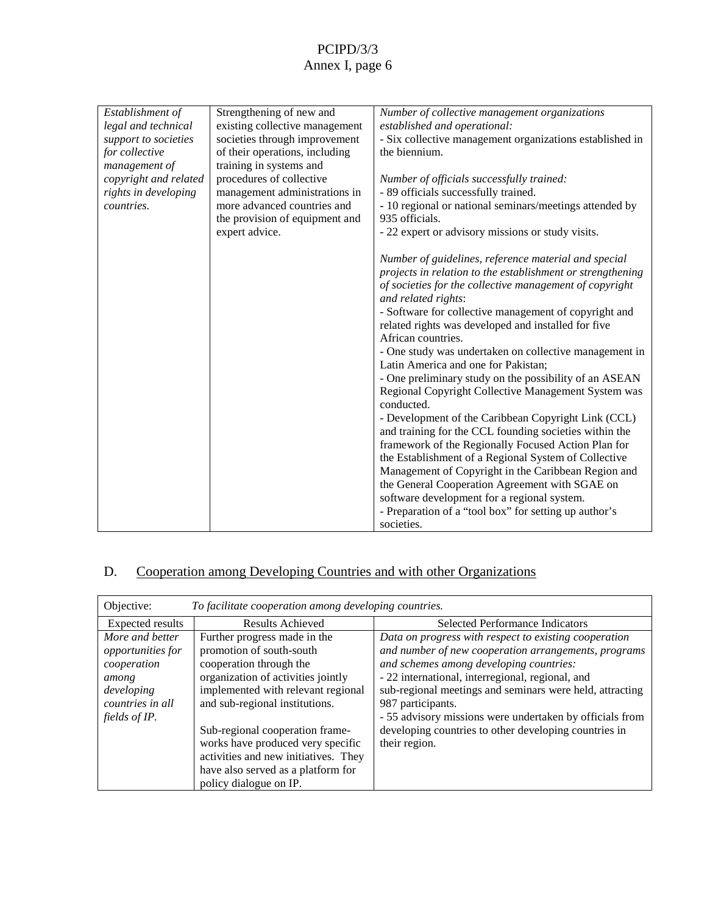| existingcollectivemanagement<br>legalandtechnical<br>establishedandoperational:<br>societiesthroughimprovement<br>-Sixcollectivemanagementorganizationsestablishedin<br>supporttosocieties<br>oftheiroperations, including<br>thebiennium.<br>forcollective<br>traininginsystemsand<br>managementof<br>proceduresofcollective<br>copyrightandrelated<br>Numberofofficialssuccessfullytrained:<br>- 89officialssuccessfullytrained.<br>rightsindeveloping<br>managementadministrationsin<br>moreadvancedcountriesand<br>- 10 regional ornational seminars/meetings attended by<br>countries.<br>theprovisionofequipmentand<br>935 officials.<br>-22 expertoradvisorymissionsorstudyvisits.<br>expertadvice.<br>Numberofguidelines, referencematerialandspecial<br>projectsinrelationtotheestablishmentorstrengthening<br>ofsocietiesforthecollectivemanagementofcopyright<br>andrelatedrights:<br>-Softwareforcollec tivemanagementofcopyrightand<br>relatedrightswasdevelopedandinstalledforfive<br>Africancountries.<br>-Onestudywasundertakenoncollectivemanagementin<br>LatinAmericaandoneforPakistan;<br>-OnepreliminarystudyonthepossibilityofanASEAN<br>RegionalCopyrightCollectiveManagementSystemwas<br>conducted.<br>-DevelopmentoftheCaribbeanCopyrightLink(CCL)<br>andtrainingfortheCCLfoundingsocietieswithinthe<br>frameworkoftheRegionallyFocusedActionPlanfor<br>theEstablishmentofaRegionalSystem<br>ofCollective<br>ManagementofCopyrightintheCaribbeanRegionand<br>theGeneralCooperationAgreementwithSGAEon<br>softwaredevelopmentforaregionalsystem. |                 |                       |                                              |
|-------------------------------------------------------------------------------------------------------------------------------------------------------------------------------------------------------------------------------------------------------------------------------------------------------------------------------------------------------------------------------------------------------------------------------------------------------------------------------------------------------------------------------------------------------------------------------------------------------------------------------------------------------------------------------------------------------------------------------------------------------------------------------------------------------------------------------------------------------------------------------------------------------------------------------------------------------------------------------------------------------------------------------------------------------------------------------------------------------------------------------------------------------------------------------------------------------------------------------------------------------------------------------------------------------------------------------------------------------------------------------------------------------------------------------------------------------------------------------------------------------------------------------------------------------------------------|-----------------|-----------------------|----------------------------------------------|
|                                                                                                                                                                                                                                                                                                                                                                                                                                                                                                                                                                                                                                                                                                                                                                                                                                                                                                                                                                                                                                                                                                                                                                                                                                                                                                                                                                                                                                                                                                                                                                         | Establishmentof | Strengtheningofnewand | Numberofcollectivemanagementorganizations    |
|                                                                                                                                                                                                                                                                                                                                                                                                                                                                                                                                                                                                                                                                                                                                                                                                                                                                                                                                                                                                                                                                                                                                                                                                                                                                                                                                                                                                                                                                                                                                                                         |                 |                       |                                              |
|                                                                                                                                                                                                                                                                                                                                                                                                                                                                                                                                                                                                                                                                                                                                                                                                                                                                                                                                                                                                                                                                                                                                                                                                                                                                                                                                                                                                                                                                                                                                                                         |                 |                       |                                              |
|                                                                                                                                                                                                                                                                                                                                                                                                                                                                                                                                                                                                                                                                                                                                                                                                                                                                                                                                                                                                                                                                                                                                                                                                                                                                                                                                                                                                                                                                                                                                                                         |                 |                       |                                              |
|                                                                                                                                                                                                                                                                                                                                                                                                                                                                                                                                                                                                                                                                                                                                                                                                                                                                                                                                                                                                                                                                                                                                                                                                                                                                                                                                                                                                                                                                                                                                                                         |                 |                       |                                              |
|                                                                                                                                                                                                                                                                                                                                                                                                                                                                                                                                                                                                                                                                                                                                                                                                                                                                                                                                                                                                                                                                                                                                                                                                                                                                                                                                                                                                                                                                                                                                                                         |                 |                       |                                              |
|                                                                                                                                                                                                                                                                                                                                                                                                                                                                                                                                                                                                                                                                                                                                                                                                                                                                                                                                                                                                                                                                                                                                                                                                                                                                                                                                                                                                                                                                                                                                                                         |                 |                       |                                              |
|                                                                                                                                                                                                                                                                                                                                                                                                                                                                                                                                                                                                                                                                                                                                                                                                                                                                                                                                                                                                                                                                                                                                                                                                                                                                                                                                                                                                                                                                                                                                                                         |                 |                       |                                              |
|                                                                                                                                                                                                                                                                                                                                                                                                                                                                                                                                                                                                                                                                                                                                                                                                                                                                                                                                                                                                                                                                                                                                                                                                                                                                                                                                                                                                                                                                                                                                                                         |                 |                       |                                              |
|                                                                                                                                                                                                                                                                                                                                                                                                                                                                                                                                                                                                                                                                                                                                                                                                                                                                                                                                                                                                                                                                                                                                                                                                                                                                                                                                                                                                                                                                                                                                                                         |                 |                       |                                              |
|                                                                                                                                                                                                                                                                                                                                                                                                                                                                                                                                                                                                                                                                                                                                                                                                                                                                                                                                                                                                                                                                                                                                                                                                                                                                                                                                                                                                                                                                                                                                                                         |                 |                       |                                              |
|                                                                                                                                                                                                                                                                                                                                                                                                                                                                                                                                                                                                                                                                                                                                                                                                                                                                                                                                                                                                                                                                                                                                                                                                                                                                                                                                                                                                                                                                                                                                                                         |                 |                       |                                              |
|                                                                                                                                                                                                                                                                                                                                                                                                                                                                                                                                                                                                                                                                                                                                                                                                                                                                                                                                                                                                                                                                                                                                                                                                                                                                                                                                                                                                                                                                                                                                                                         |                 |                       |                                              |
|                                                                                                                                                                                                                                                                                                                                                                                                                                                                                                                                                                                                                                                                                                                                                                                                                                                                                                                                                                                                                                                                                                                                                                                                                                                                                                                                                                                                                                                                                                                                                                         |                 |                       |                                              |
|                                                                                                                                                                                                                                                                                                                                                                                                                                                                                                                                                                                                                                                                                                                                                                                                                                                                                                                                                                                                                                                                                                                                                                                                                                                                                                                                                                                                                                                                                                                                                                         |                 |                       |                                              |
|                                                                                                                                                                                                                                                                                                                                                                                                                                                                                                                                                                                                                                                                                                                                                                                                                                                                                                                                                                                                                                                                                                                                                                                                                                                                                                                                                                                                                                                                                                                                                                         |                 |                       |                                              |
|                                                                                                                                                                                                                                                                                                                                                                                                                                                                                                                                                                                                                                                                                                                                                                                                                                                                                                                                                                                                                                                                                                                                                                                                                                                                                                                                                                                                                                                                                                                                                                         |                 |                       |                                              |
|                                                                                                                                                                                                                                                                                                                                                                                                                                                                                                                                                                                                                                                                                                                                                                                                                                                                                                                                                                                                                                                                                                                                                                                                                                                                                                                                                                                                                                                                                                                                                                         |                 |                       |                                              |
|                                                                                                                                                                                                                                                                                                                                                                                                                                                                                                                                                                                                                                                                                                                                                                                                                                                                                                                                                                                                                                                                                                                                                                                                                                                                                                                                                                                                                                                                                                                                                                         |                 |                       |                                              |
|                                                                                                                                                                                                                                                                                                                                                                                                                                                                                                                                                                                                                                                                                                                                                                                                                                                                                                                                                                                                                                                                                                                                                                                                                                                                                                                                                                                                                                                                                                                                                                         |                 |                       |                                              |
|                                                                                                                                                                                                                                                                                                                                                                                                                                                                                                                                                                                                                                                                                                                                                                                                                                                                                                                                                                                                                                                                                                                                                                                                                                                                                                                                                                                                                                                                                                                                                                         |                 |                       |                                              |
|                                                                                                                                                                                                                                                                                                                                                                                                                                                                                                                                                                                                                                                                                                                                                                                                                                                                                                                                                                                                                                                                                                                                                                                                                                                                                                                                                                                                                                                                                                                                                                         |                 |                       |                                              |
|                                                                                                                                                                                                                                                                                                                                                                                                                                                                                                                                                                                                                                                                                                                                                                                                                                                                                                                                                                                                                                                                                                                                                                                                                                                                                                                                                                                                                                                                                                                                                                         |                 |                       |                                              |
|                                                                                                                                                                                                                                                                                                                                                                                                                                                                                                                                                                                                                                                                                                                                                                                                                                                                                                                                                                                                                                                                                                                                                                                                                                                                                                                                                                                                                                                                                                                                                                         |                 |                       |                                              |
|                                                                                                                                                                                                                                                                                                                                                                                                                                                                                                                                                                                                                                                                                                                                                                                                                                                                                                                                                                                                                                                                                                                                                                                                                                                                                                                                                                                                                                                                                                                                                                         |                 |                       |                                              |
|                                                                                                                                                                                                                                                                                                                                                                                                                                                                                                                                                                                                                                                                                                                                                                                                                                                                                                                                                                                                                                                                                                                                                                                                                                                                                                                                                                                                                                                                                                                                                                         |                 |                       |                                              |
|                                                                                                                                                                                                                                                                                                                                                                                                                                                                                                                                                                                                                                                                                                                                                                                                                                                                                                                                                                                                                                                                                                                                                                                                                                                                                                                                                                                                                                                                                                                                                                         |                 |                       |                                              |
|                                                                                                                                                                                                                                                                                                                                                                                                                                                                                                                                                                                                                                                                                                                                                                                                                                                                                                                                                                                                                                                                                                                                                                                                                                                                                                                                                                                                                                                                                                                                                                         |                 |                       |                                              |
|                                                                                                                                                                                                                                                                                                                                                                                                                                                                                                                                                                                                                                                                                                                                                                                                                                                                                                                                                                                                                                                                                                                                                                                                                                                                                                                                                                                                                                                                                                                                                                         |                 |                       |                                              |
|                                                                                                                                                                                                                                                                                                                                                                                                                                                                                                                                                                                                                                                                                                                                                                                                                                                                                                                                                                                                                                                                                                                                                                                                                                                                                                                                                                                                                                                                                                                                                                         |                 |                       |                                              |
|                                                                                                                                                                                                                                                                                                                                                                                                                                                                                                                                                                                                                                                                                                                                                                                                                                                                                                                                                                                                                                                                                                                                                                                                                                                                                                                                                                                                                                                                                                                                                                         |                 |                       |                                              |
|                                                                                                                                                                                                                                                                                                                                                                                                                                                                                                                                                                                                                                                                                                                                                                                                                                                                                                                                                                                                                                                                                                                                                                                                                                                                                                                                                                                                                                                                                                                                                                         |                 |                       | -Preparationofa"toolbox"forsettingupauthor's |
| societies.                                                                                                                                                                                                                                                                                                                                                                                                                                                                                                                                                                                                                                                                                                                                                                                                                                                                                                                                                                                                                                                                                                                                                                                                                                                                                                                                                                                                                                                                                                                                                              |                 |                       |                                              |

# D. Cooperation among Developing Countries and with other Organizations

| Tofacilitatecooperationamongdevelopingcountries.<br>Objective:                                           |                                                                                                                                                                                                                                                                                                                                |                                                                                                                                                                                                                                                                                                                                                                                               |
|----------------------------------------------------------------------------------------------------------|--------------------------------------------------------------------------------------------------------------------------------------------------------------------------------------------------------------------------------------------------------------------------------------------------------------------------------|-----------------------------------------------------------------------------------------------------------------------------------------------------------------------------------------------------------------------------------------------------------------------------------------------------------------------------------------------------------------------------------------------|
| Expectedresults                                                                                          | <b>ResultsAchieved</b>                                                                                                                                                                                                                                                                                                         | <b>SelectedPerformanceIndicators</b>                                                                                                                                                                                                                                                                                                                                                          |
| Moreandbetter<br>opportunitiesfor<br>cooperation<br>among<br>developing<br>countriesinall<br>fieldsofIP. | Furtherprogressmadeinthe<br>promotionofsouth -south<br>cooperationthroughthe<br>organizationofactivitiesjointly<br>implementedwithrelevantregional<br>andsub-regional<br>institutions.<br>Sub-regionalcooperationframe -<br>workshaveproducedveryspecific<br>activitiesandnewinitiatives. They<br>havealsoservedasaplatformfor | Dataonprogresswithrespecttoexistingcooperation<br>andnumberofnewcooperationarrangements, programs<br>andschemesamongdevelopingcountries:<br>-22intern ational, interregional, regional, and<br>sub-regionalmeetingsandseminarswereheld, attracting<br>987participants.<br>-55advisorymissionswereundertakenbyofficialsfrom<br>developingcountriestootherdevelopingcountriesin<br>theirregion. |
|                                                                                                          | policydialogue on IP.                                                                                                                                                                                                                                                                                                          |                                                                                                                                                                                                                                                                                                                                                                                               |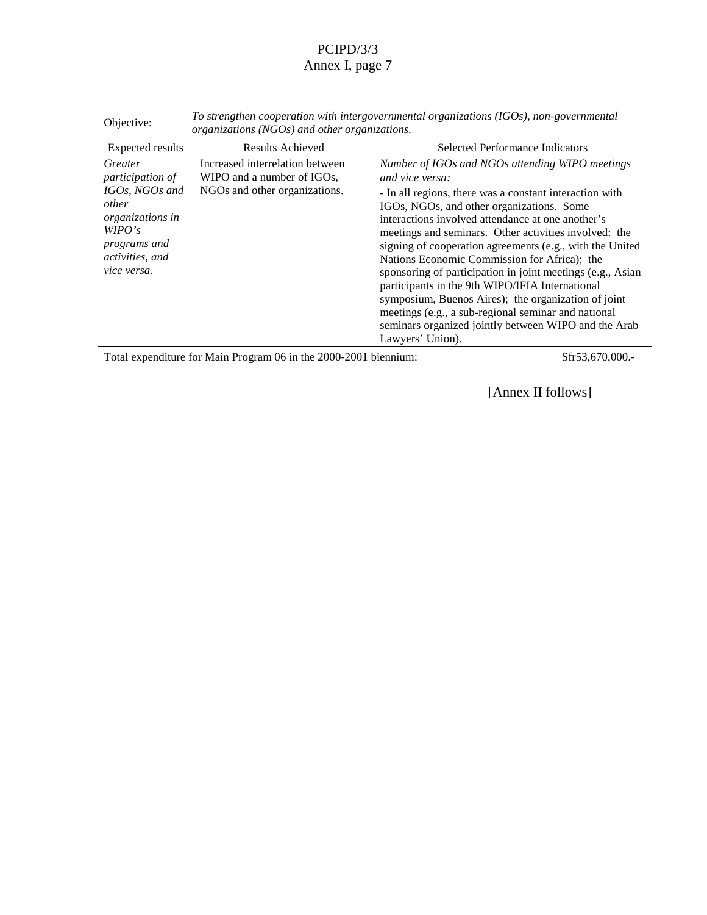| $To strength en cooperation with intergovernmental organizations (IGOs), non$<br>-governmental<br>Objective:<br>organizations(NGOs)andotherorganizations. |                                                                                      |                                                                                                                                                                                                                                                                                                                                                                                                                                                                                                                                                                                                                                                                           |
|-----------------------------------------------------------------------------------------------------------------------------------------------------------|--------------------------------------------------------------------------------------|---------------------------------------------------------------------------------------------------------------------------------------------------------------------------------------------------------------------------------------------------------------------------------------------------------------------------------------------------------------------------------------------------------------------------------------------------------------------------------------------------------------------------------------------------------------------------------------------------------------------------------------------------------------------------|
| Expectedresults                                                                                                                                           | ResultsAchieved                                                                      | <b>SelectedPerformanceIndicators</b>                                                                                                                                                                                                                                                                                                                                                                                                                                                                                                                                                                                                                                      |
| Greater<br>participationof<br>IGOs,NGOsand<br>other<br>organizationsin<br>WPO's<br>programsand<br>activities, and<br>vice versa.                          | Increasedinterrelationbetween<br>WIPOandanumberofIGOs,<br>NGOsandotherorganizations. | NumberofIGOsandNGOsattendingWIPOmeetings<br>andviceversa:<br>actionwith<br>-Inallregions, there was a constant inter<br>IGOs, NGOs, and other organizations. Some<br>interactionsinvolvedattendanceatoneanother's<br>meetingsandseminars. Otheractivities involved: the<br>signingofcooperationagreements(e.g., with the United<br>NationsEconomicCommissionforAfrica );the<br>sponsoring of participation injoint meetings (e.g., Asian<br>participantsinthe9thWIPO/IFIAInternational<br>symposium, Buenos Aires); the organization of joint<br>meetings(e.g., asub -regional seminar and national<br>seminarsorganizedjointlybetweenW IPOandtheArab<br>Lawyers' Union). |
| -2001 biennium:<br>TotalexpenditureforMainProgram06inthe2000<br>Sfr53,670,000.-                                                                           |                                                                                      |                                                                                                                                                                                                                                                                                                                                                                                                                                                                                                                                                                                                                                                                           |

[AnnexIIfollows]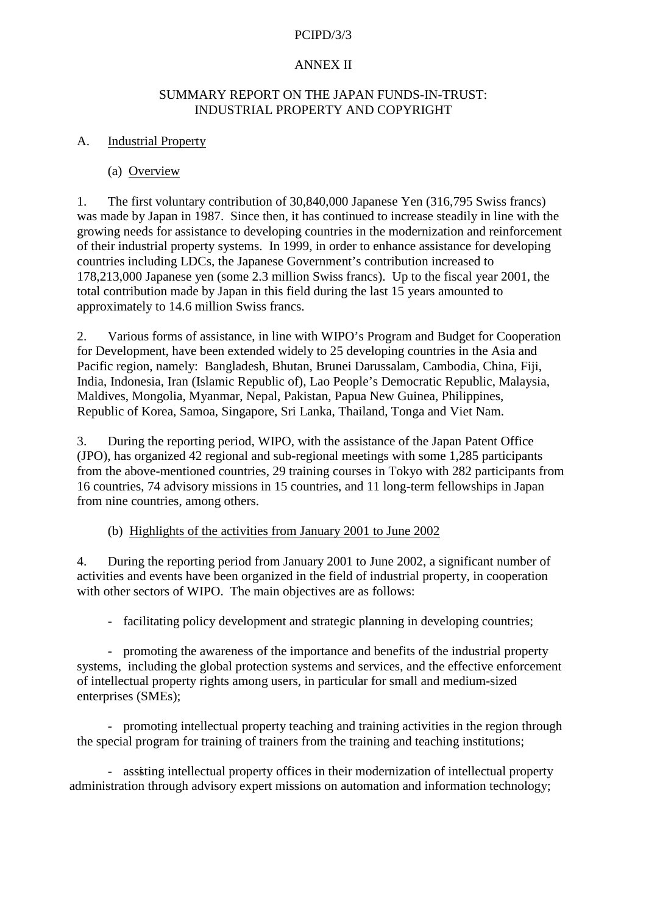### **ANNEXII**

### $SUMMARY REPORTONTHEJAPAN FIINDS - IN-TRUST:$ INDUSTRIAL PROPERTY AND COPYRIGHT

### A. Industrial Property

## (a) Overview

1. The first voluntary contribution of 30,840,000 Japanese Yen (316,795 Swiss francs) was made by Japan in 1987. Since then, it has continued to increase steadily in line with the growing needs for assistance to developing countries in the modernization and reinforcement of their industrial property systems. In 1999, in order to enhance assistance for developing countries inclu ding LDCs, the Japanese Government's contribution increased to 178,213,000 Japanese yen (some 2.3 million Swiss francs). Up to the fiscal year 2001, the total contribution made by Japan in this field during the last 15 years amounted to approximatelyto 1 4.6 million Swiss francs.

2. Various forms of assistance, in line with WIPO's Program and Budget for Cooperation for Development, have been extended widely to 25 developing countries in the Asia and Pacific region, namely: Bangladesh, Bhutan, Brunei Darussalam, Cambodia, China, Fiji, India, Indonesia, Iran (Islamic Republic of), Lao People's Democratic Republic, Malaysia, Maldives, Mongolia, Myanmar, Nepal, Pakistan, Papua New Guinea, Philippines, Republic of Korea, Samoa, Singapore, Sri Lanka, Thailand, Tonga and Viet Nam.

3. During the reporting period, WIPO, with the assistance of the Japan Patent Office (JPO), has organized 42 regional and sub -regional meetings with some 1,285 participants from the above -mentioned countries, 29 training courses in Tok yowith 282 participants from 16 countries, 74 advisory missions in 15 countries, and 11 long -term fellowships in Japan from nine countries, among others.

(b) Highlights of the activities from January 2001 to June 2002

4. During the reporting period from m January 2001 to June 2002, as ignificant number of activities and events have been organized in the field of industrial property, in cooperation with other sectors of WIPO. The main objectives are as follows:

- facilitating policy development and strated gic planning indeveloping countries;

- promoting the awareness of the importance and benefits of the industrial property systems, including the global protections ystems and services, and the effective enforcement of intellectual property rights among users, in particular for small and medium -sized enterprises (SMEs):

- promoting intellectual property teaching and training activities in the region through the special program for training of trainers from the training and teaching institutions;

- assisting intellectual property offices in their modernization of intellectual property administration through advisory expertmissions on automation and information technology;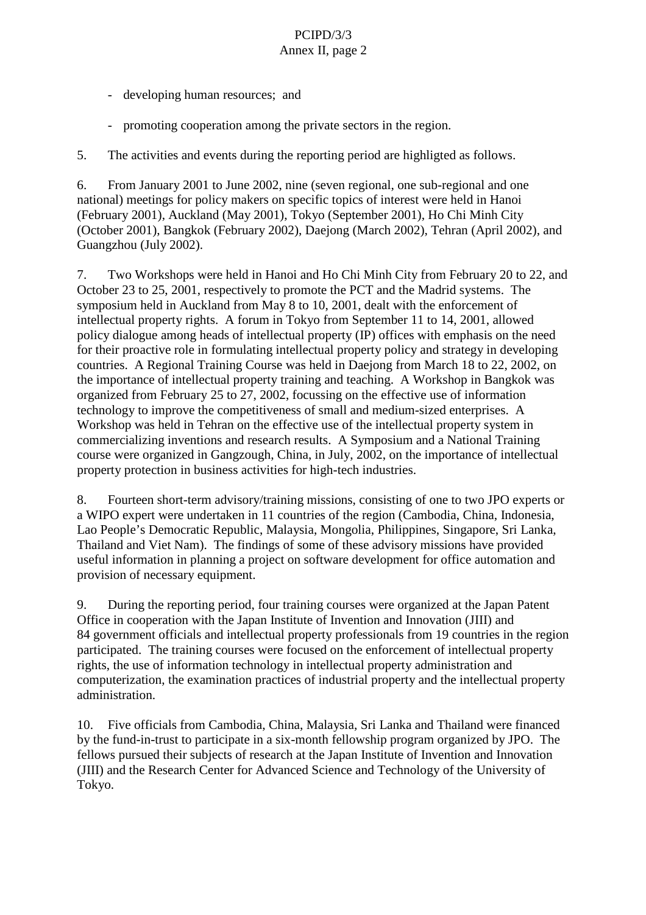- developing human resources; and
- promoting cooperation among the private sectors in the region.

5. The activities and events during the reporting period are highligted as follows.

6. From January 2001 to June 2002, nine (seven regional, one sub -regional and one national) meetings for policy makers on specific topics of interes twere held in Hanoi (February 2001), Auckland (May 2001), Tokyo (September 2001), Ho Chi Minh City (October 2001), Bangkok (February 2002), Daejong (March 2002), Tehran (April 2002), and Guangzhou(July 2002).

7. Two Workshops were held in Hanoi and HoC hi Minh City from February 20to 22, and October 23 to 25, 2001, respectively to promote the PCT and the Madrid systems. The symposium held in Auckland from May 8 to 10, 2001, dealt with the enforcement of intellectual property rights. A forum in Toky of rom September 11 to 14, 2001, allowed policy dialogue among heads of intellectual property (IP) offices with emphasis on the need for their proactive role informulating intellectual property policy and strategy indeveloping countries. A Regional Trainin g Course was held in Daejong from March 18 to 22, 2002, on the importance of intellectual property training and teaching. A Workshop in Bangkok was organized from February 25 to 27, 2002, focussing on the effective use of information technology to improve the competitiveness of small and medium -sized enterprises. A Workshopwasheld in Tehran on the effective use of the intellectual property system in commercializing inventions and research results. A Symposium and a National Training coursewere organiz edin Gangzough, China, in July, 2002, on the importance of intellectual property protection in business activities for high -tech industries.

8. Fourteenshort-term advisory/training missions, consisting of one to two JPO experts or a WIPO expert were und ertaken in 11 countries of the region (Cambodia, China, Indonesia, Lao People's Democratic Republic, Malaysia, Mongolia, Philippines, Singapore, Sri Lanka, Thailand and Viet Nam). The findings of some of these advisory missions have provided useful inform ation in planning aprojector software development for office automation and provision of necessary equipment.

9. During the reporting period, four training courses were organized at the Japan Patent Office in cooperation with the Japan Institute of Investorian into and Innovation (JIII) and 84 government of ficials and intellectual property professionals from 19 countries in the region participated. The training courses we refocused on the enforcement of intellectual property rights, the use of information tech nology in intellectual property administration and computerization, the examination practices of industrial property and the intellectual property administration.

10. Five officials from Cambodia, China, Malaysia, SriLanka and Thailand were financed by the fund -in-trust to participate in a six -month fellowship program organized by JPO. The fellows pursued their subjects of research at the Japan Institute of Invention and Innovation (JIII) and the Research Center for Advanced Science and Technology of th e University of Tokyo.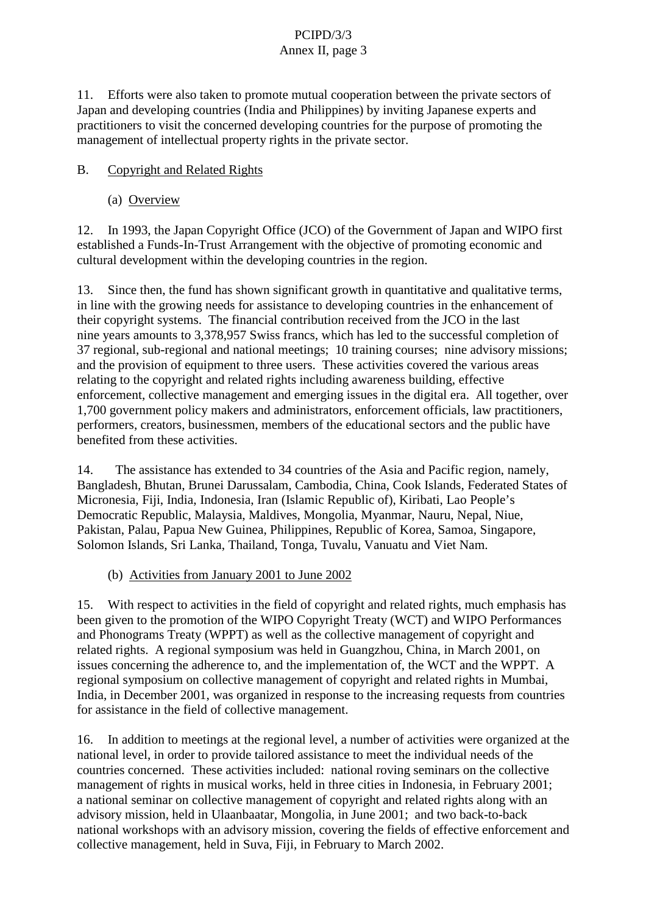11. Efforts were also taken to promote mutual cooperation between the private sectors of Japan and developing countries (India and Philippines) by inviting Japanese experts and practitioners to visit the concerned developing countr ies for the purpose of promoting the management of intellectual property rights in the private sector.

B. Copyright and Related Rights

(a) Overview

12. In 1993, the Japan Copyright Office (JCO) of the Government of Japan and WIPO first establisheda Funds-In-TrustArrangement with the objective of promoting economic and cultural development within the developing countries in the region.

13. Since then, the fund has shown significant growth in quantitative and qualitative terms, in line with the group wing needs for assistance to developing countries in the enhancement of their copyright systems. The financial contribution received from the JCO in the last nine years amounts to 3,378,957S wiss francs, which has led to the successful completion of 37 re gional, sub -regional and national meetings; 10 training courses; nine advisory missions; and the provision of equipment to three users. The seactivities covered the various areas relating to the copyright and related rights including awareness building , effective enforcement, collective management and emerging issues in the digital era. All together, over 1,700 government policy makers and administrators, enforcement of ficials, law practitioners, performers, creators, businessmen, members of the educat ional sectors and the public have benefited from the seactivities.

14. The assistance has extended to 34 countries of the Asia and Pacific region, namely, Bangladesh, Bhutan, Brunei Darussalam, Cambodia, China, Cook Islands, Federated States of Micronesia, Fiji, India, Indonesia, Iran (Islamic Republic of), Kiribati, Lao People's Democratic Republic, Malaysia, Maldives, Mongolia, Myanmar, Nauru, Nepal, Niue, Pakistan, Palau, Papua New Guinea, Philippines, Republic of Korea, Samoa, Singapore, Solomon Isla nds, Sri Lanka, Thailand, Tonga, Tuvalu, Vanuatu and Viet Nam.

(b) Activities from January 2001 to June 2002

15. With respect to activities in the field of copyright and related rights, much emphasished been given to the promotion of the WIPO Copyri ght Treaty (WCT) and WIPO Performances and Phonograms Treaty (WPPT) as well as the collective management of copyright and related rights. A regional symposium was held in Guangzhou, China, in March 2001, on issues concerning the adherence to, and the implementation of, the WCT and the WPPT. A regional symposium on collective management of copyright and related rights in Mumbai, India, in December 2001, was organized in response to the increasing requests from countries for assistance in the field of colle ctive management.

16. In addition to meetings at the regional level, a number of activities were organized at the nationallevel, in order to provide tailored assistance to meet the individual needs of the countries concerned. These activities included: national roving seminars on the collective management of rights in musical works, held in three cities in Indonesia, in February 2001; a national seminar oncollective management of copyright and related rights along with an advisory mission, held in Ul aanbaatar, Mongolia, in June 2001; and two back -to-back national workshops with an advisory mission, covering the fields of effective enforcement and collective management, held in Suva, Fiji, in February to March 2002.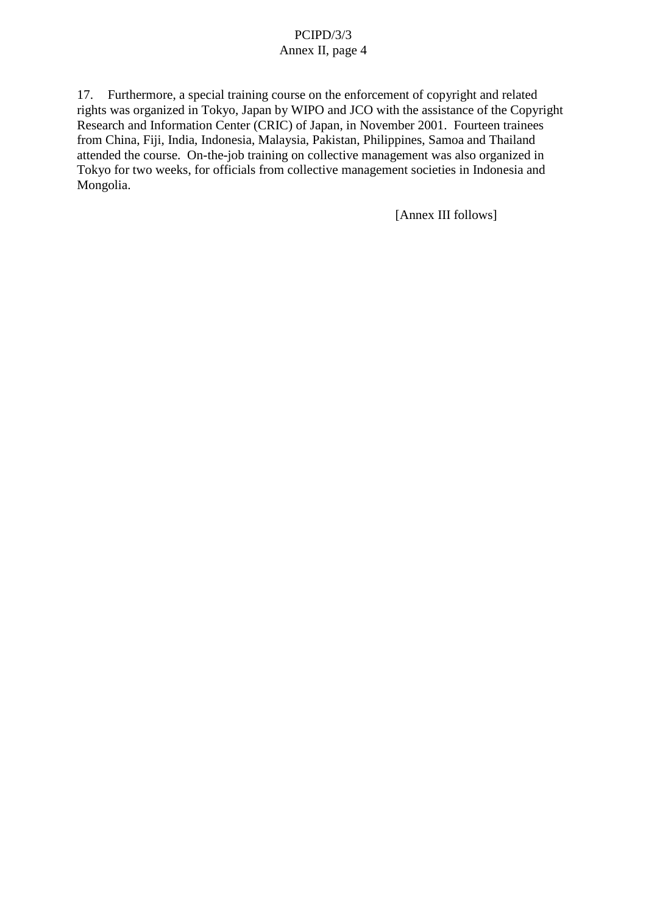17. Furthermore, aspecial traini ng course on the enforcement of copyright and related rights was organized in Tokyo, Japan by WIPO and JCO with the assistance of the Copyright Research and Information Center (CRIC) of Japan, in November 2001. Fourteen trainees from China, Fiji, India, I ndonesia, Malaysia, Pakistan, Philippines, Samoa and Thailand attended the course. On -the-job training on collective management was also organized in Tokyo for two weeks, for officials from collective managements ocieties in Indonesia and Mongolia.

[Annex III follows]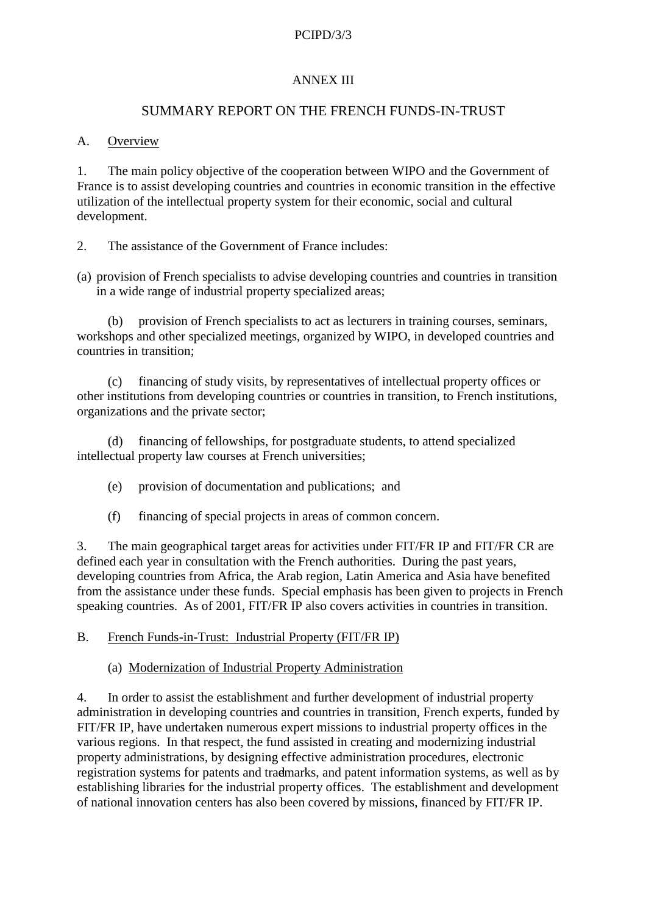### **ANNEXIII**

### SUMMARY REPORTON THE FRENCH FUNDS - IN-TRUST

### A. Overview

1. The main policy objective of the cooperation between WIPO and the Government of France is to assist developing countries and countries in economic transition in the effective utilization of the intellectual property system for their economic, social and cultural development.

- 2. The assistance of the Government of France includes:
- (a) provision of French specialists to advise developing countries and countries in transition in a wide rang eofindustrial property specialized areas;

(b) provision of French specialists to act as lecturers intraining courses, seminars, workshops and other specialized meetings, organized by WIPO, indeveloped countries and countries intransition:

(c) financing of study visits, by representatives of intellectual property offices or other institutions from developing countries or countries in transition, to French institutions, organizations and the private sector;

(d) financing of fellowships, for postgra duate students, to attend specialized intellectual property law courses at French universities;

- (e) provision of documentation and publications; and
- (f) financing of special projects in a reasof common concern.

3. The main geographical target areas for activities under FIT/FRIP and FIT/FRCR are defined each year in consultation with the French authorities. During the past years, developing countries from Africa, the Arab region, Latin America and Asia have benefited from the assistance under thes efunds. Special emphasis has been given to projects in French speaking countries. As of 2001, FIT/FRIP also covers activities in countries in transition.

B. French Funds -in-Trust: Industrial Property (FIT/FRIP)

(a) Modernization of Industrial Prop erty Administration

4. In order to assist the establishment and further development of industrial property administration indeveloping countries and countries in transition, French experts, funded by FIT/FRIP, have undertaken numerous expert missions to industrial property offices in the various regions. In that respect, the fundassisted increating and modernizing industrial property administrations, by designing effective administration procedures, electronic registrations ystems for patents and trademarks, and patent informations ystems, as well as by establishing libraries for the industrial property offices. The establishment and development of national innovation centers has also been covered by missions, financed by FIT/FRIP.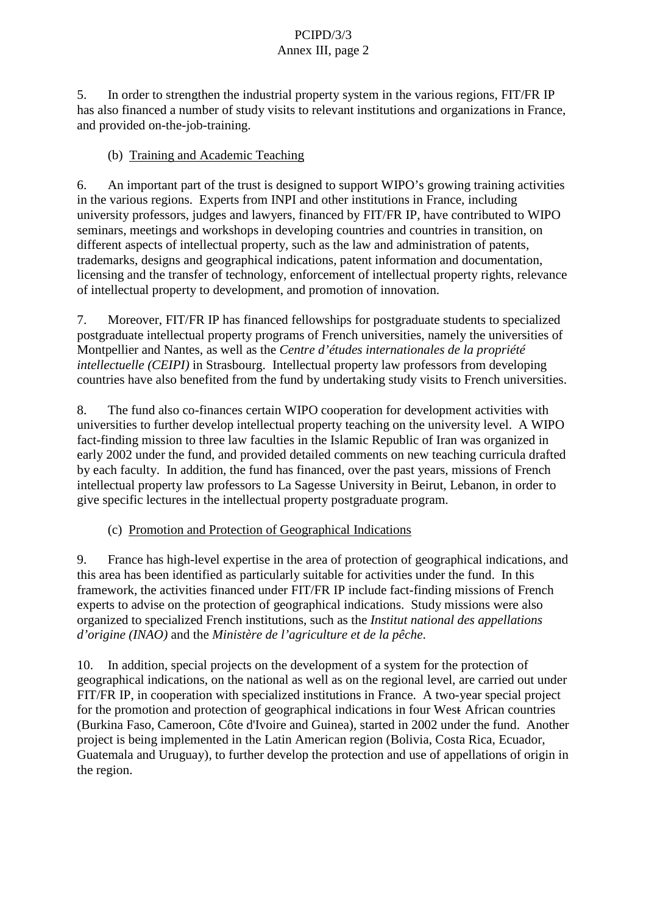5. In order to strengthen the industrial property system in the various regions, FIT/FRIP has also financed a number of study visits to relevant institutions and organizations in France, and provided on -the-job-training.

(b) Training and Academic Teaching

6. An import anter antest of the trust is designed to support WIPO's growing training activities in the various regions. Experts from INPI and other institutions in France, including university professors, judges and lawyers, financed by FIT/FRIP, have contributed to WIP O seminars, meetings and workshops indeveloping countries and countries in transition, on different aspects of intellectual property, such as the law and administration of patents, trademarks, designs and geographical indications, patent information and d ocumentation, licensing and the transfer of technology, enforcement of intellectual property rights, relevance of intellectual property to development, and promotion of innovation.

7. Moreover, FIT/FRIP has financed fellowships for postgraduate students to specialized postgraduate intellectual property programs of French universities, namely the universities of Montpellier and Nantes, as well as the *Centre d'études internationales de la propriété intellectuelle (CEIPI)* in Strasbourg. Intellectual proper ty law professors from developing countries have also benefited from the fund by undertaking study visits to French universities.

8. The fundalso co-finances certain WIPO cooperation for development activities with universities to further develop intelle ctual property teaching on the university level. A WIPO fact-finding mission to three law faculties in the Islamic Republic of Iran was organized in early 2002 under the fund, and provided detailed comments on new teaching curricula drafted by each facult y. In addition, the fund has financed, over the past years, missions of French intellectual property law professors to La Sagesse University in Beirut, Lebanon, in order to give specific lectures in the intellectual property postgraduate program.

(c) Promotion and Protection of Geographical Indications

9. France has high -level expertise in the area of protection of geographical indications, and this area has been identified as particularly suitable for activities under the fund. In this framework, the activities financed under FIT/FRIP include fact -finding missions of French experts to advise on the protection of geographical indications. Study missions were also organized to specialized French institutions, such as the *Institut national des appellati ons d'origine* (*INAO*) and the *Ministère de l'agriculture et de la pêche* 

10. In addition, special projects on the development of a system for the protection of geographical indications, on the national as well as on the regional level, are carried out unde FIT/FRIP, incooperation with specialized institutions in France. A two -years pecial project for the promotion and protection of geographical indications in four West African countries (Burkina Faso, Cameroon, Côte d'Ivoire and Guinea), started in 2002 under the fund. Another projectisbeing implemented in the Latin American region (Bolivia, Costa Rica, Ecuador, Guatemala and Uruguay), to further develop the protection and use of appellations of origin in theregion.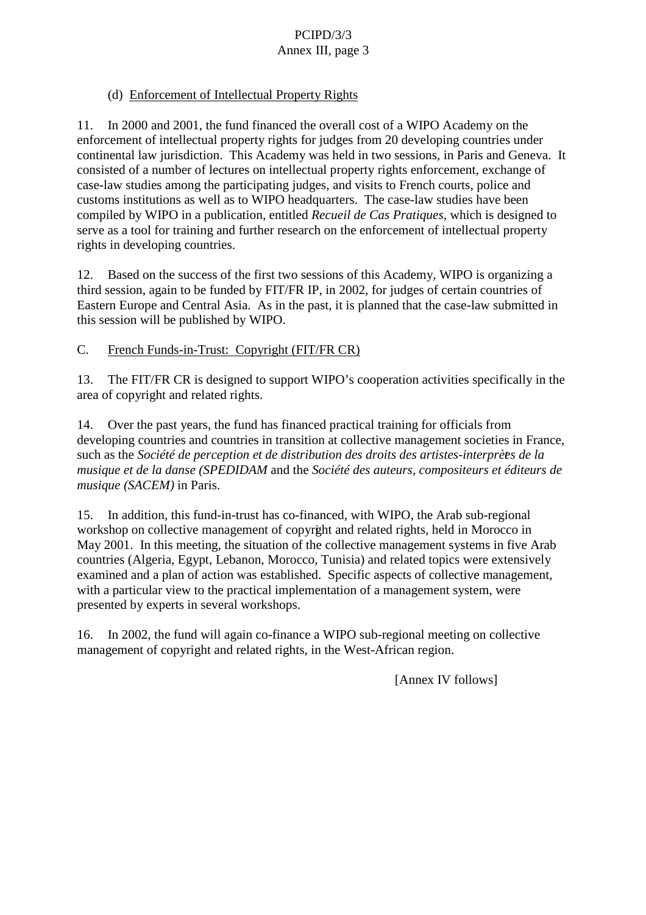## (d) Enforcement of Intellectua IProperty Rights

11. In 2000 and 2001, the fund financed the overall cost of a WIPO Academy on the enforcement of intellectual property rights for judges from 20 developing countries under continental law jurisdiction. This Academy was held in two sessi ons, in Paris and Geneva. It consisted of a number of lectures on intellectual property rights enforcement, exchange of case-law studies among the participating judges, and visits to French courts, police and customs institutions as well as to WIPO headqu arters. The case -law studies have been compiled by WIPO in a publication, entitled Recueil de Cas Pratiques , which is designed to serve as a tool for training and further research on the enforcement of intellectual property rights indeveloping countries.

12. Based on the success of the first two sessions of this Academy, WIPO is organizing a third session, again to be funded by FIT/FRIP, in 2002, for judges of certain countries of Eastern Europe and Central Asia. As in the past, it is planned that the case -law submitted in this session will be published by WIPO.

C. French Funds -in-Trust: Copyright (FIT/FRCR)

13. The FIT/FRC Risdesigned to support WIPO's cooperation activities specifically in the area of copyright and related rights.

14. Overt he past years, the fund has financed practical training for officials from developing countries and countries in transition at collective managements ocieties in France, such as the *Société de perception et de distribution des droits des artistes -interprètes de la musique et de la danse (SPEDIDAM* and the *Société des auteurs, compositeurs et éditeurs de musique* (SACEM) in Paris.

15. In addition, this fund -in-trust has co-financed, with WIPO, the Arab sub -regional workshoponcollective management of copyright and related rights, held in Morocco in May 2001. In this meeting, the situation of the collective managements y stems in five Arab countries (Algeria, Egypt, Lebanon, Morocco, Tunisia) and related topics were extensively examined and a plan of action w as established. Specific aspects of collective management, with a particular view to the practical implementation of a managements y stem, were presented by experts in several workshops.

16. In 2002, the fund will again co -finance a WIPO sub -regional mee ting one collective management of copyright and related rights, in the West -African region.

[Annex IV follows]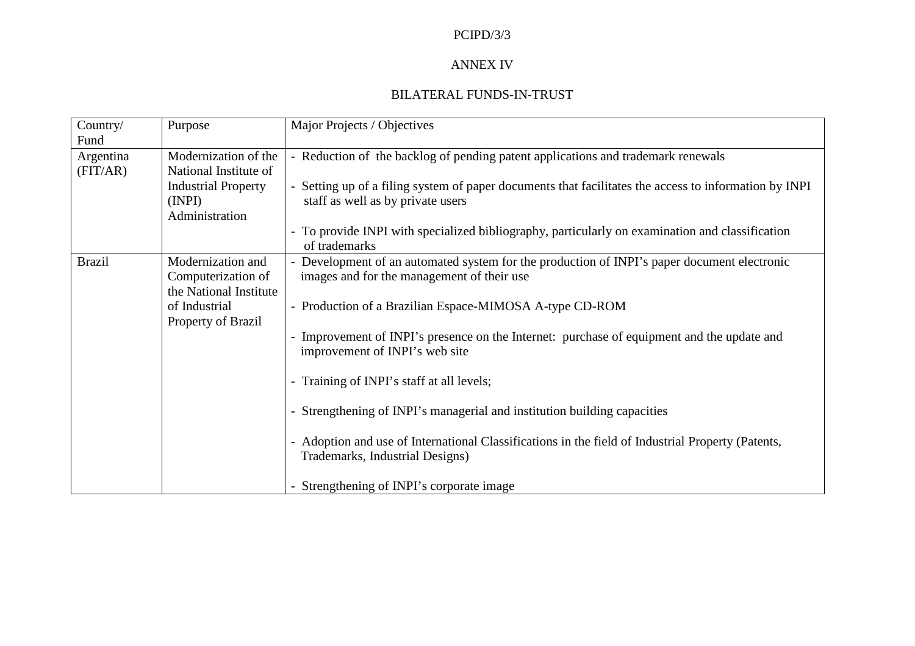### ANNEX IV

### BILATERALFUNDS -IN-TRUST

| Country/      | Purpose                   | MajorProjects/Objectives                                                                  |  |
|---------------|---------------------------|-------------------------------------------------------------------------------------------|--|
| Fund          |                           |                                                                                           |  |
| Argentina     | Modernizationofthe        | -Reductionofthebacklogofpendingpatentapplicationsandtrademarkr<br>enewals                 |  |
| (FIT/AR)      | NationalInstituteof       |                                                                                           |  |
|               | <b>IndustrialProperty</b> | -SettingupofafilingsystemofpaperdocumentsthatfacilitatestheaccesstoinformationbyINPI      |  |
|               | (INPI)                    | staffaswellasbyprivateusers                                                               |  |
|               | Administration            |                                                                                           |  |
|               |                           | -ToprovideINPIwithspecializedbibliography,particularlyonexaminationandclassification      |  |
|               |                           | rademarks<br>oft                                                                          |  |
| <b>Brazil</b> | Modernizationand          | -DevelopmentofanautomatedsystemfortheproductionofINPI'spaperdocumentelectronic            |  |
|               | Computerizationof         | imagesandforthemanagementoftheiruse                                                       |  |
|               | theNationalInstitute      |                                                                                           |  |
|               | ofIndustrial              | -Pr oductionofaBrazilianEspace -MIMOSAA -typeCD -ROM                                      |  |
|               | PropertyofBrazil          |                                                                                           |  |
|               |                           | -Improvement of INPI's presence on the Internet: purchase of equipment and the update and |  |
|               |                           | improvementofINPI's website                                                               |  |
|               |                           |                                                                                           |  |
|               |                           | -TrainingofINPI'sstaffatalllevels;                                                        |  |
|               |                           |                                                                                           |  |
|               |                           | -Strengthening of INPI's mana<br>gerialandinstitutionbuildingcapacities                   |  |
|               |                           |                                                                                           |  |
|               |                           | -AdoptionanduseofInternationalClassificationsinthefieldofIndustrialProperty(Patents,      |  |
|               |                           | Trademarks, Industrial Designs)                                                           |  |
|               |                           |                                                                                           |  |
|               |                           | -StrengtheningofINPI'scorporateimage                                                      |  |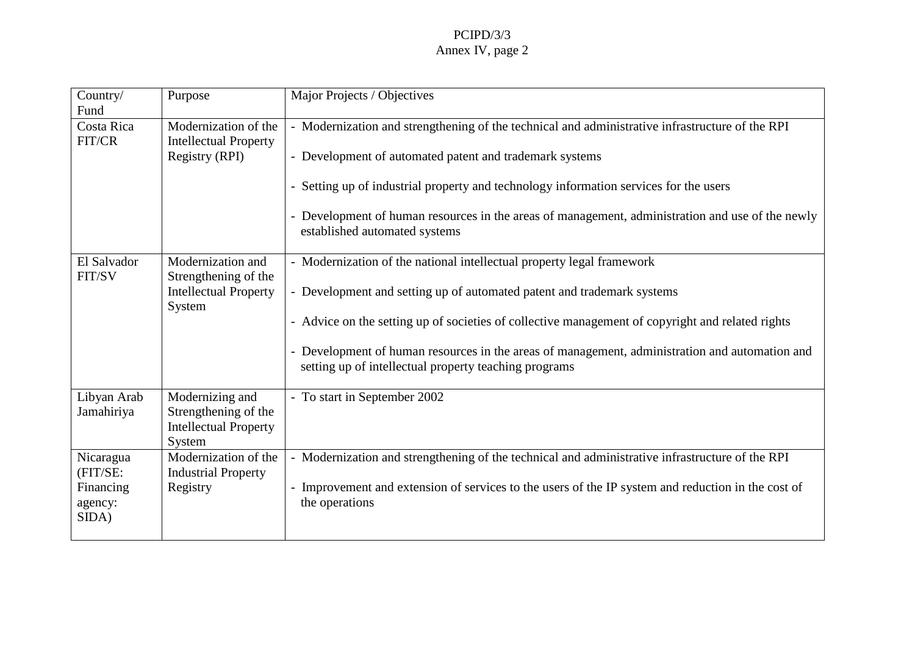| Country/<br>Fund                                       | Purpose                                                                  | MajorProjects/Objectives                                                                                                                                                                                                                                                                                                                                      |
|--------------------------------------------------------|--------------------------------------------------------------------------|---------------------------------------------------------------------------------------------------------------------------------------------------------------------------------------------------------------------------------------------------------------------------------------------------------------------------------------------------------------|
| CostaRica<br>FIT/CR                                    | Modernizationo fthe<br>IntellectualProperty<br>Registry(RPI)             | -ModernizationandstrengtheningofthetechnicalandadministrativeinfrastructureoftheRPI<br>-Developmentofautomatedpatentandtrademarksystems<br>rmationservicesfortheusers<br>-Settingupofindustrialpropertyandtechnologyinfo<br>-Developmentofhumanresourcesintheareasofmanagement, administrationanduseofthenewly<br>establishedautomatedsystems                 |
| ElSalvador<br>FIT/SV                                   | Modernizationand<br>Strengtheningofthe<br>IntellectualProperty<br>System | -M odernizationofthenationalintellectualpropertylegalframework<br>-Developmentandsettingupofautomatedpatentandtrademarksystems<br>-Adviceonthesettingupofsocietiesofcollectivemanagementofcopyrightandrelatedrights<br>-Developmento fhumanresourcesintheareasofmanagement, administrationandautomationand<br>settingupofintellectualpropertyteachingprograms |
| LibyanArab<br>Jamahiriya                               | Modernizingand<br>Strengtheningofthe<br>IntellectualProperty<br>System   | -TostartinSeptember200<br>$\overline{2}$                                                                                                                                                                                                                                                                                                                      |
| Nicaragua<br>(FIT/SE:<br>Financing<br>agency:<br>SIDA) | Modernizationofthe<br>IndustrialProperty<br>Registry                     | -ModernizationandstrengtheningofthetechnicalandadministrativeinfrastructureoftheRPI<br>-Improvementandextensionofservicestotheusersof<br>theIPsystemandreductioninthecostof<br>theoperations                                                                                                                                                                  |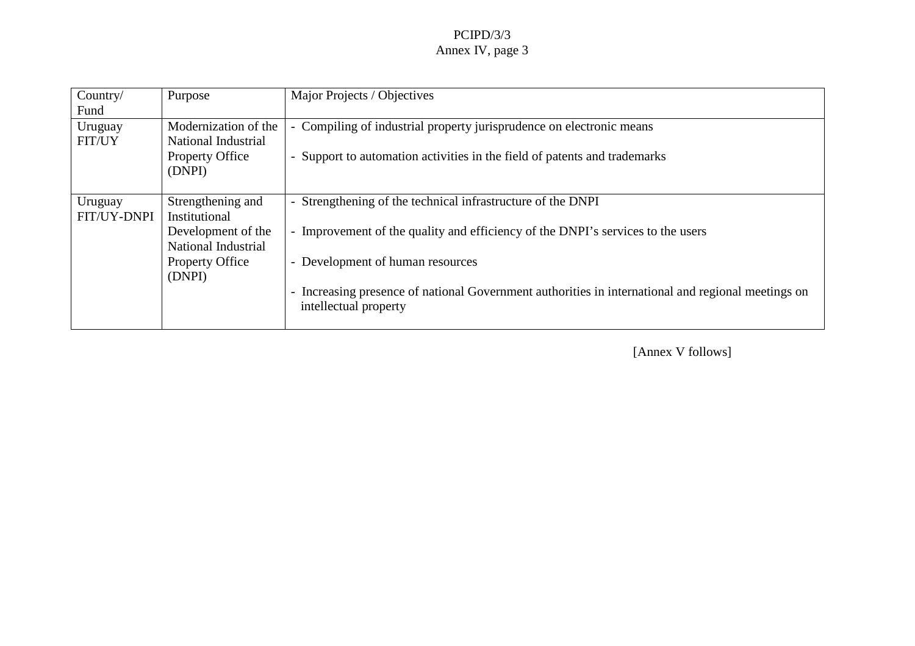| Country/<br>Fund         | Purpose                                    | MajorProjects/Objectives                                                                                       |  |
|--------------------------|--------------------------------------------|----------------------------------------------------------------------------------------------------------------|--|
| Uruguay<br><b>FIT/UY</b> | Modernization of the<br>NationalIndustrial | -Compilingofindustrialpropertyjurisprudenceonelectronicmeans                                                   |  |
|                          | PropertyOffice<br>(DNPI)                   | -Supporttoautomationactivitiesi<br>nthefieldofpatentsandtrademarks                                             |  |
| Uruguay                  | Strengtheningand                           | -StrengtheningofthetechnicalinfrastructureoftheDNPI                                                            |  |
| <b>FIT/UY-DNPI</b>       | Institutional                              |                                                                                                                |  |
|                          | Development of the<br>NationalIndustrial   | -Improvement of the quality and effic<br>iencyoftheDNPI'sservicestotheusers                                    |  |
|                          | PropertyOffice                             | -Developmentofhumanresources                                                                                   |  |
|                          | (DNPI)                                     |                                                                                                                |  |
|                          |                                            | -IncreasingpresenceofnationalGovernmentauthoritiesininternationalandregionalmeetingson<br>intellectualproperty |  |
|                          |                                            |                                                                                                                |  |

[Annex V follows]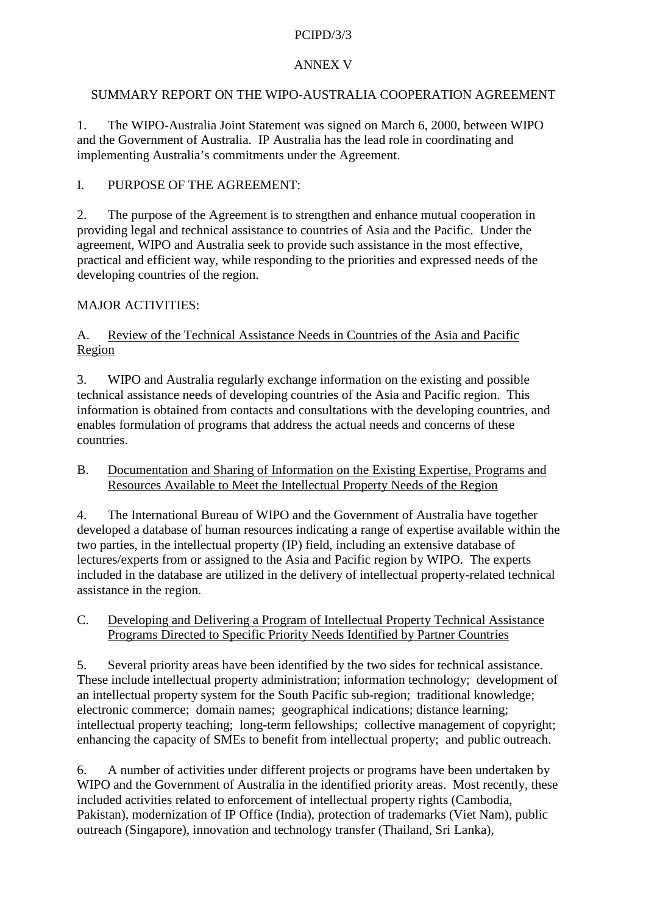## **ANNEXV**

# SUMMARY REPORTONTHE WIPO - AUSTRALIA COOPERATION AGREEMENT

1. The WIPO - Australia Joint Statement was signed on March 6, 2000, between WIPO and the Government of Australia. IP Australia has the lead role in coordinating and implementing Australia 's commitments under the Agreement.

# I. PURPOSE OF THE AGREEMENT:

2. The purpose of the Agreement is to strengthen and enhance mutual cooperation in providing legal and technical assistance to countries of Asia and the Pacific. Under the agreement, WIPO and Australia seek to provide such assistance in the most effective, practical and efficient way, while responding to the priorities and expressed needs of the developing countries of the region.

# MAJOR ACTIVITIES:

A. Review of the Technical Assistance Ne edsin Countries of the Asia and Pacific Region

3. WIPO and Australia regularly exchange information on the existing and possible technical assistance needs of developing countries of the Asia and Pacific region. This information is obtained from contact sand consultations with the developing countries, and enables formulation of programs that address the actual needs and concerns of these countries.

B. Documentation and Sharing of Information on the Existing Expertise, Programs and Resources Availablet o Meet the Intellectual Property Needs of the Region

4. The International Bureau of WIPO and the Government of Australia have to gether developed a database of human resources indicating a range of expertise available within the two parties, in the intelle ctual property (IP) field, including an extensive database of lectures/experts from or assigned to the Asia and Pacific region by WIPO. The experts included in the database are utilized in the delivery of intellectual property -- related technical assistance in the region.

C. Developing and Delivering a Program of Intellectual Property Technical Assistance Programs Directed to Specific Priority Needs Identified by Partner Countries

5. Several priority areas have been identified by the two sides for technica lassistance. These include intellectual property administration; information technology; development of an intellectual property system for the South Pacific sub -region; traditional knowledge; electronic commerce; domain names; geographical indicati ons; distance learning; intellectual property teaching; long -term fellowships; collective management of copyright; enhancing the capacity of SMEs to benefit from intellectual property; and public outreach.

6. A number of activities under different pr ojects or programs have been undertaken by WIPO and the Government of Australia in the identified priority areas. Most recently, these included activities related to enforcement of intellectual property rights (Cambodia, Pakistan), modernization of IPOff ice (India), protection of trademarks (Viet Nam), public outreach (Singapore), innovation and technology transfer (Thailand, Sri Lanka),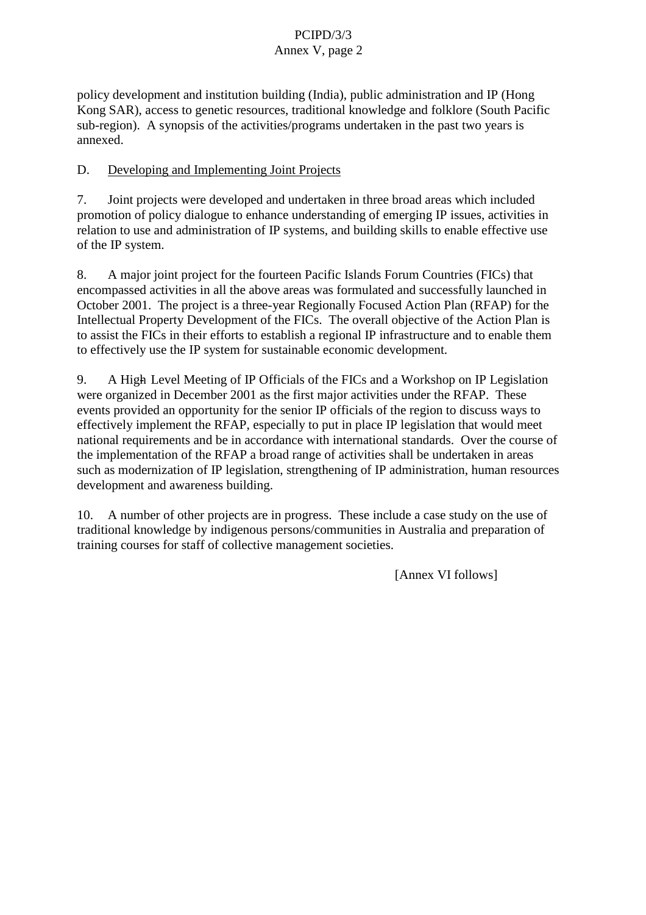policy development and institution building (India), public administration and IP (Hong Kong SAR), access to genetic r esources, traditional knowledge and folklore (South Pacific sub-region). Asynopsis of the activities/programs undertaken in the past two years is annexed.

### D. Developing and Implementing Joint Projects

7. Joint projects were developed and undertaken in three broad areas which included promotion of policy dialogue to enhance understanding of emerging IP issues, activities in relation to use and administration of IP systems, and buildings kills to enable effective use of the IP system.

8. Amajoriointp roject for the fourteen Pacific Islands Forum Countries (FICs) that encompassed activities in all the above areas was formulated and successfully launched in October 2001. The project is a three -vear Regionally Focused Action Plan (RFAP) for the Intellectual Property Development of the FICs. The overall objective of the Action Planis to assist the FIC sintheir efforts to establish a regional IP infrastructure and to enable them to effectively use the IP system for sustainable economic development.

9. A High- Level Meeting of IP Officials of the FICs and a Workshop on IP Legislation were organized in December 2001 as the first major activities under the RFAP. These events provided an opportunity for the senior IP of ficials of the region to discuss ways to obtain the region to discuss ways to  $\sim$ effectively implement the RFAP, especially to put in place IP legislation that would meet national requirements and be in accordance with international standards. Over the course of the implementation of the RFAP a broad range of activities shall be und ertaken in areas such as modernization of IP legislation, strengthening of IP administration, human resources development and awareness building.

10. A number of other projects are in progress. These include a case study on the use of traditional knowled geby indigenous persons/communities in Australia and preparation of training courses for staff of collective managements ocieties.

[Annex VI follows]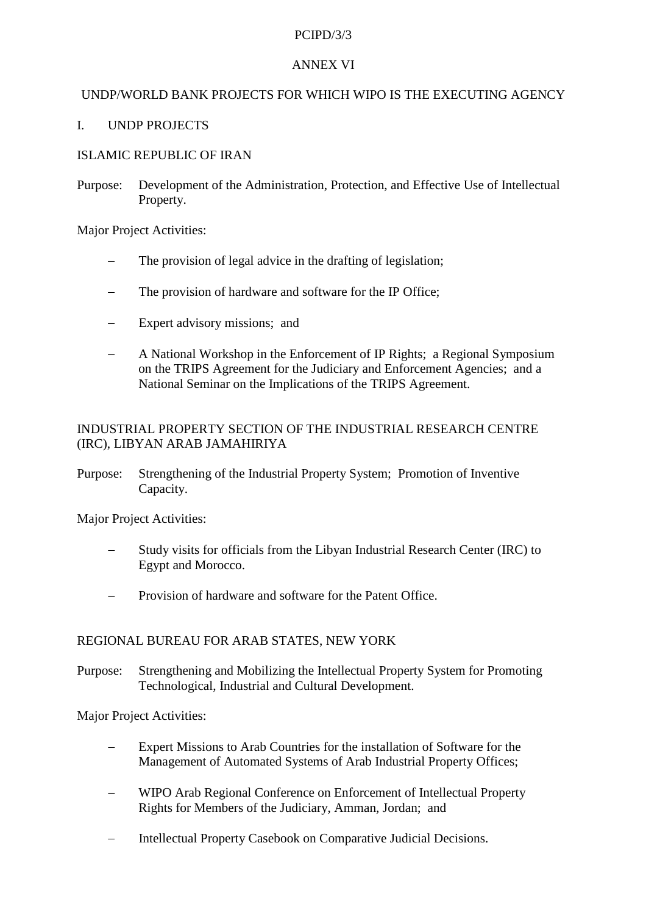### **ANNEXVI**

### UNDP/WORLDBANKPROJECTSFORWHICHWIPOISTHEEXECUTINGAGENCY

### I. UNDPPROJECTS

### **ISLAMICREPUBLICOFIRAN**

Purpose: Development of the Administration, Protection, and Effective Use of Intellectual Property.

MajorProjectActivities:

- The provision of legal advice in the drafting of legislation;
- The provision of hardware and software for the IPOffice;
- Expertadvisory missions; and
- A National Workshop in the Enforcement of IP Rights; a Regional Symposium on the TRIPS Agreement for the Judiciary and Enforcement Agencies; and a National Seminar on the Implications of the TRIPS Agreement.

### INDUSTRIAL PROPERTY SECTION OF THE INDUSTRIAL RESEARCH CENTRE (IRC), LIBYAN ARAB JAMAHIRIYA

Purpose: Strengthening of the Industrial Property Syst em; Promotion of Inventive Capacity.

MajorProjectActivities:

- Study visits for officials from the Libyan Industrial Research Center (IRC) to EgyptandMorocco.
- Provision of hardware and software for the Patent Office.

### REGIONAL BUREAU FOR ARABST ATES, NEW YORK

Purpose: Strengthening and Mobilizing the Intellectual Property System for Promoting Technological, Industrial and Cultural Development.

MajorProjectActivities:

- ExpertMissionstoArabCountriesfortheinstallation of Software for the e Management of Automated Systems of Arab Industrial Property Offices;
- WIPO Arab Regional Conference on Enforcement of Intellectual Property Rights for Members of the Judiciary, Amman, Jordan; and
- Intellectual Property Casebook on Comparative Judici al Decisions.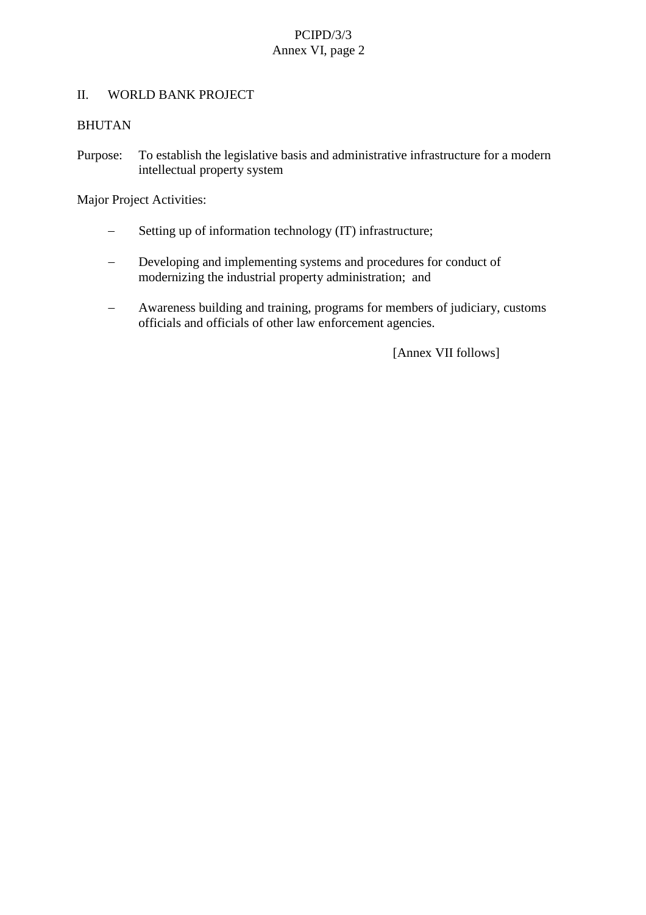### II. WORLDBANKPROJECT

### BHUTAN

Purpose: To establish the legislative basis and administrative infrastructure for a modern intellectual property system

MajorProjectActivities:

- Setting up of information technology (IT) infrastructure;
- Developing and implementingsystems and procedures for conduct of modernizing the industrial property administration; and
- Awareness building and training, programs for members of judiciary, customs officials and officials of other law enforcement age ncies.

[Annex VIIfollows]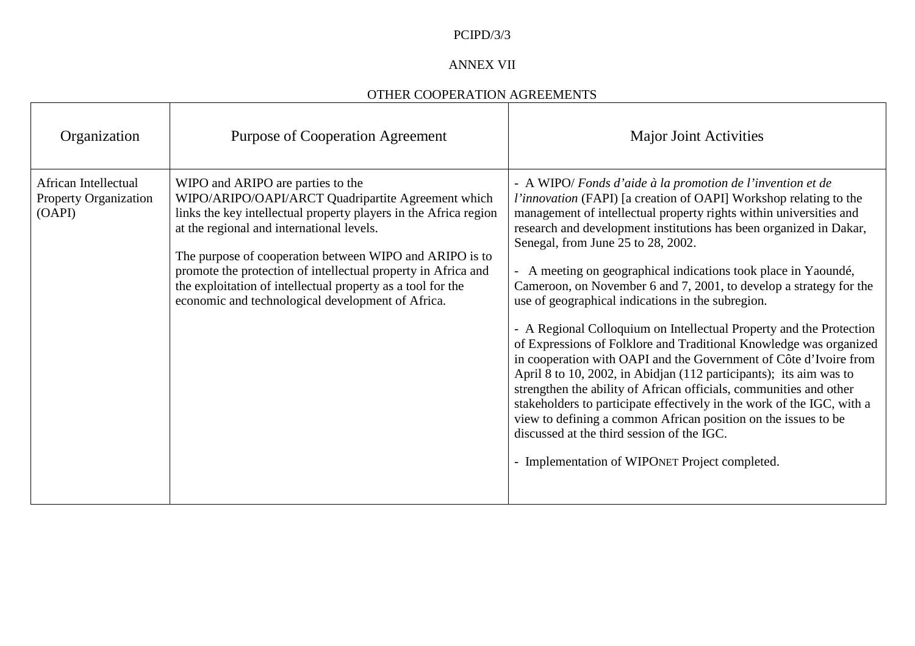### ANNEXVII

### OTHER COOPERATION AGREEMENTS

| Organization                                          | PurposeofCooperationAgreement                                                                                                                                                                                                                                                                                                                                                                                 | MajorJointActivities                                                                                                                                                                                                                                                                                                                                                                                                                                                                                                                                                                                                                                                                                                                                                                                                                                                                                                                                                                          |
|-------------------------------------------------------|---------------------------------------------------------------------------------------------------------------------------------------------------------------------------------------------------------------------------------------------------------------------------------------------------------------------------------------------------------------------------------------------------------------|-----------------------------------------------------------------------------------------------------------------------------------------------------------------------------------------------------------------------------------------------------------------------------------------------------------------------------------------------------------------------------------------------------------------------------------------------------------------------------------------------------------------------------------------------------------------------------------------------------------------------------------------------------------------------------------------------------------------------------------------------------------------------------------------------------------------------------------------------------------------------------------------------------------------------------------------------------------------------------------------------|
| AfricanIntellectual<br>PropertyOrganization<br>(OAPI) | WIPOandARIPOarepartiestothe<br>WIPO/ARIPO/OAPI/ARCTQuadripartiteAgreementwhich<br>linksthekeyin tellectualpropertyplayersintheAfricaregion<br>attheregionalandinternationallevels.<br>ThepurposeofcooperationbetweenWIPOandARIPOisto<br>promotetheprotectionofintellectualpropertyinAfricaand<br>the exploitation of intellectual property as a<br>toolforthe<br>economicandtechnologicaldevelopmentofAfrica. | -AWIPO/ Fondsd'aideàlapromotiondel'inventionetde<br>l'innovation(FAPI)[acreationofOAPI]Workshoprelatingtothe<br>managementofintellectualpropertyrightswithinuniversitiesand<br>researchanddevelopmentinstitutionshasbeenorganizedinDakar,<br>Senegal, from June 25to 28, 2002.<br>-AmeetingongeographicalindicationstookplaceinYaoundé,<br>Cameroon,onNovember6and7,2001,todevelopastrategyforthe<br>use of geographical in dications in the subregion.<br>-ARegionalColloquiumonIntellectualPropertyandthe<br>Protection<br>of Expressionsof Folkloreand Traditional Knowledgewasorganized<br>incooperationwithOAPIandtheGovernmentofCôted'Ivoirefrom<br>April8to10,2002,inAb idjan(112 participants);itsaimwasto<br>strengthentheabilityofAfricanofficials,communitiesandother<br>stakeholderstoparticipateeffectivelyintheworkoftheIGC,witha<br>viewtodefiningacommonAfricanpositionontheissuestobe<br>discussedat thethirdsessionoftheIGC.<br>-Implementation of WIPONETProjectcompleted. |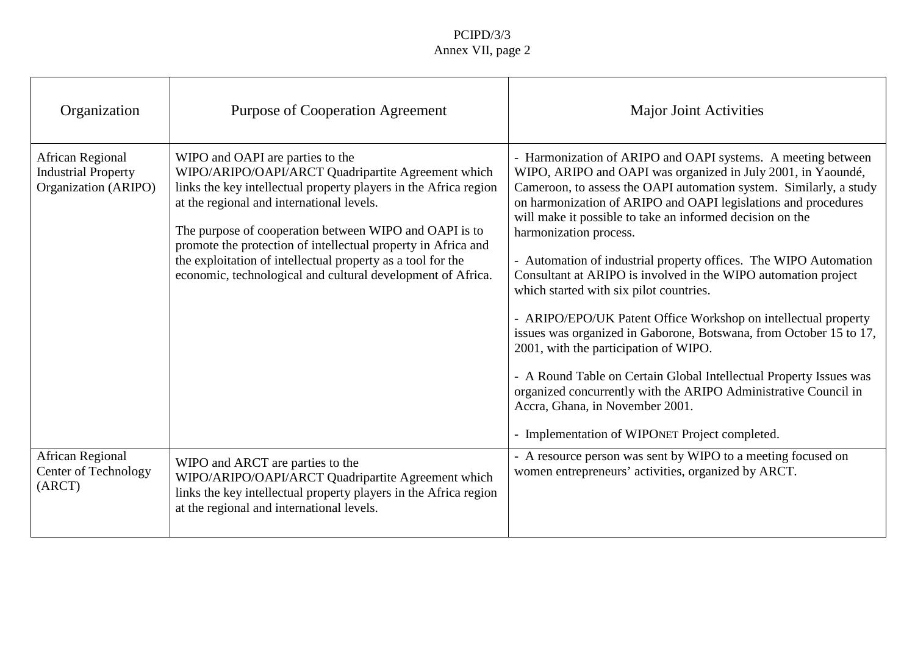| Organization                                                 | PurposeofCooperationAgreement                                                                                                                                                                                                                                                                                                                                                                                    | MajorJointActivities                                                                                                                                                                                                                                                                                                                                                                                                                                                                                                                                                                                                                                                                                                                                                                                                                                               |
|--------------------------------------------------------------|------------------------------------------------------------------------------------------------------------------------------------------------------------------------------------------------------------------------------------------------------------------------------------------------------------------------------------------------------------------------------------------------------------------|--------------------------------------------------------------------------------------------------------------------------------------------------------------------------------------------------------------------------------------------------------------------------------------------------------------------------------------------------------------------------------------------------------------------------------------------------------------------------------------------------------------------------------------------------------------------------------------------------------------------------------------------------------------------------------------------------------------------------------------------------------------------------------------------------------------------------------------------------------------------|
| AfricanRegional<br>IndustrialProperty<br>Organization(ARIPO) | WIPOandOAPIarepartiestothe<br>WIPO/ARIPO/OAPI/ARCTQuadripartiteAgreementwhich<br>linksthekeyintellectualpropert yplayersintheAfricaregion<br>attheregionalandinternationallevels.<br>ThepurposeofcooperationbetweenWIPOandOAPIisto<br>promotetheprotectionofintellectualpropertyinAfricaand<br>theexploitationofintellectualpropertyasatoolforthe<br>economic, technological and cultural development of Africa. | -HarmonizationofARIPOandOAPIsystems.Ameetingbetween<br>WIPO, ARIPOandOAPIwasorganizedinJuly2001, in Yaoundé,<br>Cameroon, toassess the OAPI automationsystem. Similarly, astudy<br>onharmoni zationofARIPOandOAPIlegislationsandprocedures<br>willmakeitpossibletotakeaninformeddecisiononthe<br>harmonizationprocess.<br>-Automationofindustrialpropertyoffices.TheWIPOAutomation<br>ConsultantatARIPOisinvolvedintheWIPOautomation<br>project<br>whichstartedwithsixpilotcountries.<br>-ARIPO/EPO/UKPatentOfficeWorkshoponintellectualproperty<br>issueswasorganizedinGaborone,Botswana,fromOctober15to17,<br>2001, with the participation of WIPO.<br>-ARoundTableonCertainGlobalInte<br>llectualPropertyIssueswas<br>organizedconcurrentlywiththeARIPOAdministrativeCouncilin<br>Accra, Ghana, inNovember 2001.<br>-Implementation of WIPONETProjectcompleted. |
| AfricanRegional<br>CenterofTechnology<br>(ARCT)              | WIPOandARCTarepartiestothe<br>WIPO/ARIPO/OAPI/ARCTQuadripartiteAgreementwhich<br>linksthekeyintellectualpropertyplayersintheAfricaregion<br>attheregionalandinternationallevels.                                                                                                                                                                                                                                 | -AresourcepersonwassentbyWIPOtoameetingfocusedon<br>womenentrepreneurs'activities, organi zedbyARCT.                                                                                                                                                                                                                                                                                                                                                                                                                                                                                                                                                                                                                                                                                                                                                               |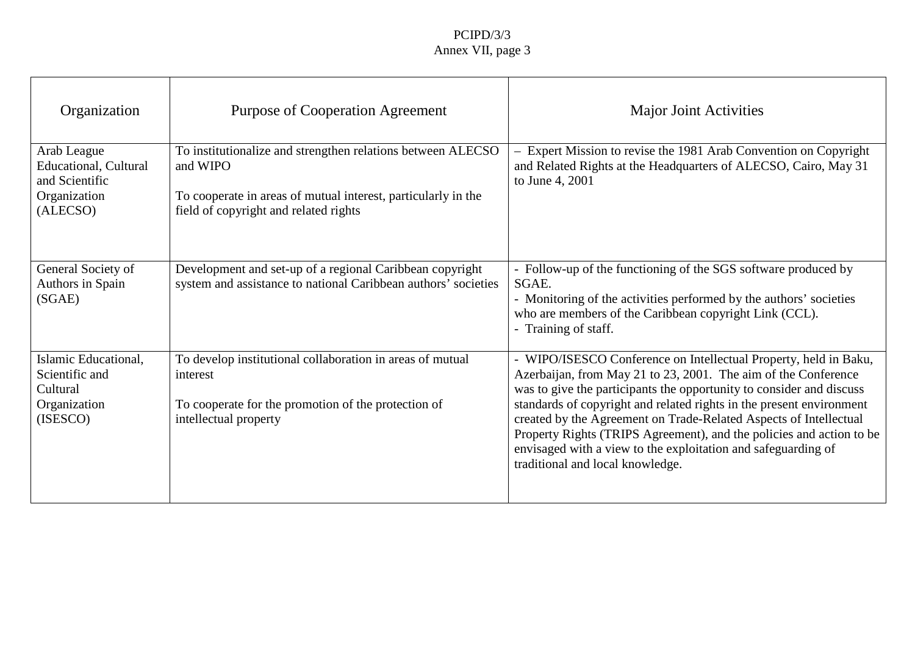| Organization                                                                     | PurposeofCooperationAgreement                                                                                                                                                | MajorJointActivities                                                                                                                                                                                                                                                                                                                                                                                                                                                          |
|----------------------------------------------------------------------------------|------------------------------------------------------------------------------------------------------------------------------------------------------------------------------|-------------------------------------------------------------------------------------------------------------------------------------------------------------------------------------------------------------------------------------------------------------------------------------------------------------------------------------------------------------------------------------------------------------------------------------------------------------------------------|
| ArabLeague<br>Educational, Cultural<br>andScientific<br>Organization<br>(ALECSO) | ToinstitutionalizeandstrengthenrelationsbetweenALECSO<br>andWIPO<br>Tocooperateinareasofmutualinterest, particularlyinthe<br>fieldofcopyrightandrelatedright<br>$\mathbf{s}$ | -ExpertMissiontorevisethe1981ArabConventiononCopyright<br>andRelatedRightsattheHeadquartersofALECSO,Cairo,May31<br>toJune4,2001                                                                                                                                                                                                                                                                                                                                               |
| GeneralSocietyof<br>AuthorsinSpain<br>(SGAE)                                     | Developmentandset -upofaregionalCaribbeancopyrigh<br>systemandassistancetonationalCaribbeanauthors'societies                                                                 | -Follow -upofthefunctioningoftheSGSsoftwareproducedby<br>SGAE.<br>-Monitoringoftheactivitiesperformedbytheauthors' societies<br>whoaremembersoftheCaribbeancopyrightLink(CCL)<br>-Trainingofstaff.                                                                                                                                                                                                                                                                            |
| IslamicEducational,<br>Scientificand<br>Cultural<br>Organization<br>(ISESCO)     | Todevelopinstitutionalcollaborationinareasofmutual<br>interest<br>Tocooperateforthepromotionoftheprotectionof<br>intellectualproperty                                        | -WIPO/ISESCO ConferenceonIntellectualProperty,heldinBaku,<br>Azerbaijan, from May 21 to 23, 2001. The aim of the Conference<br>wastogivetheparticipantstheopportunitytoconsideranddiscuss<br>standardsofcopyrightandrelatedrightsinthepresentenvironment<br>createdbytheAgreementonTrade -RelatedAspectsofIntellectual<br>PropertyRights(TRIPSAgreement),andthepoliciesandactiontobe<br>envisagedwithaviewtotheexploitationandsafeguardingof<br>traditionalandlocalknowledge. |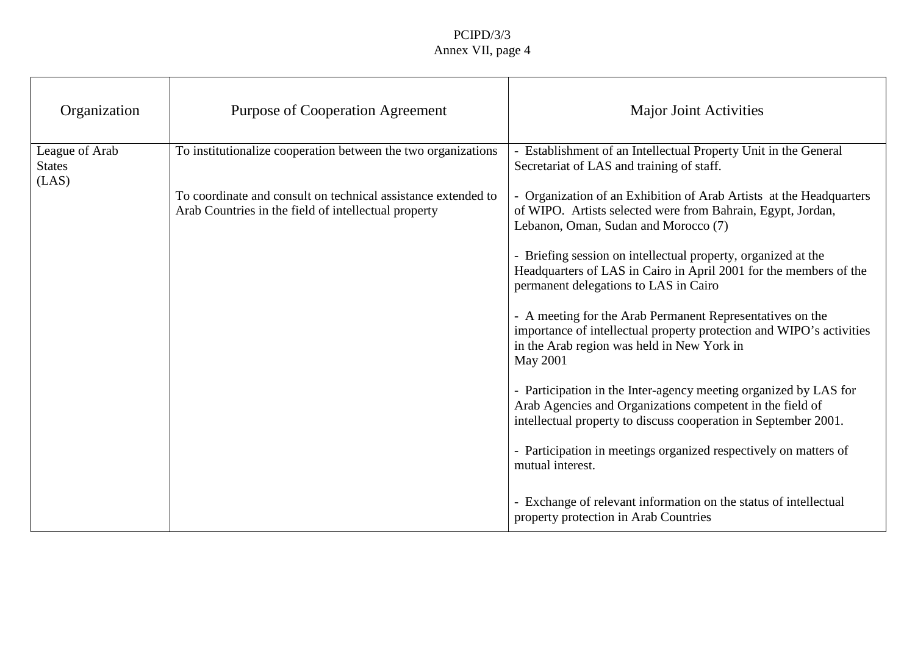| Organization                           | PurposeofCooperationAgreement                                                                          | MajorJointActivities                                                                                                                                                            |
|----------------------------------------|--------------------------------------------------------------------------------------------------------|---------------------------------------------------------------------------------------------------------------------------------------------------------------------------------|
| LeagueofArab<br><b>States</b><br>(LAS) | Toinstitutionalizecooperationbetweenthetwoorganizations                                                | -EstablishmentofanIntellectualPropertyUnitintheGeneral<br>SecretariatofLASandtrainingofstaff.                                                                                   |
|                                        | Tocoordinateandconsultontechnicalassistanceextendedto<br>ArabCountriesinthefieldofintellectualproperty | -OrganizationofanExhibitionofArabArtistsattheHeadquarters<br>ofWIPO.ArtistsselectedwerefromBahrain,Egypt,Jordan,<br>Lebanon, Oman, Sudanand Morocco(7)                          |
|                                        |                                                                                                        | -Briefingsessiononintellectualproperty, organ<br>izedatthe<br>HeadquartersofLASinCairoinApril2001forthemembersofthe<br>permanentdelegationstoLASinCairo                         |
|                                        |                                                                                                        | -AmeetingfortheArabPermanentRepresentativesonthe<br>importanceofintellectualpropertyprotectionandWIPO'sactivities<br>intheArab regionwasheldinNewYorkin<br>May2001              |
|                                        |                                                                                                        | -agencymeetingorganizedbyLASfor<br>-Participation in the Inter<br>ArabAgenciesandOrganizationscompetentinthefieldof<br>intellectualpropertytodiscusscooperationinSeptember2001. |
|                                        |                                                                                                        | -Participation in meet ingsorganized respectively on matters of<br>mutualinterest.                                                                                              |
|                                        |                                                                                                        | -Exchangeofrelevantinformationonthestatusofintellectual<br>propertyprotectioninArabCountries                                                                                    |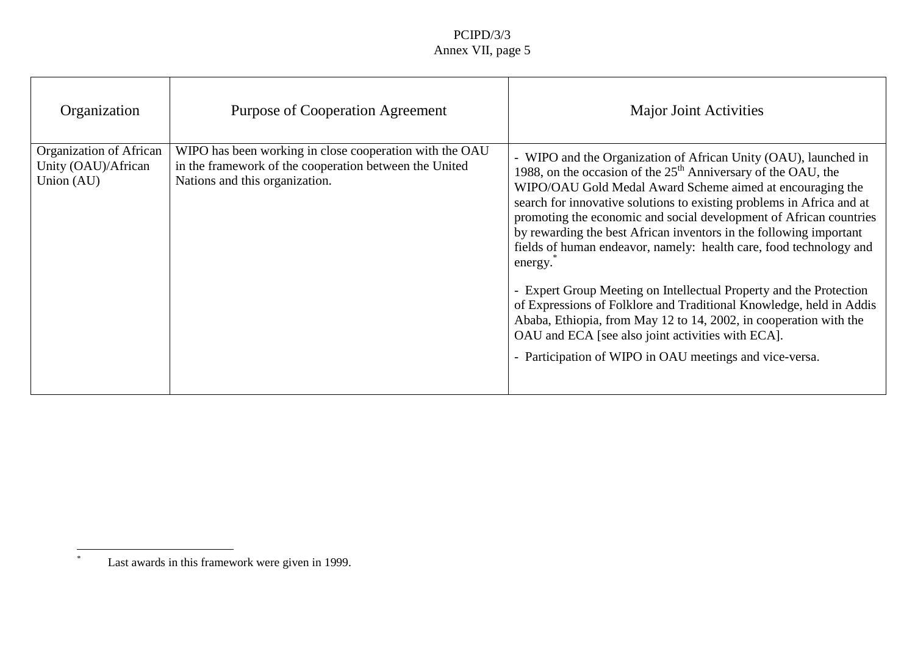| Organization                                             | PurposeofCooperationAgreement                                                                                                       | MajorJointActivities                                                                                                                                                                                                                                                                                                                                                                                                                                                                                                                                                                                                                                                                                                                                             |
|----------------------------------------------------------|-------------------------------------------------------------------------------------------------------------------------------------|------------------------------------------------------------------------------------------------------------------------------------------------------------------------------------------------------------------------------------------------------------------------------------------------------------------------------------------------------------------------------------------------------------------------------------------------------------------------------------------------------------------------------------------------------------------------------------------------------------------------------------------------------------------------------------------------------------------------------------------------------------------|
| OrganizationofAfrican<br>Unity(OAU)/African<br>Union(AU) | WIPOhasbeenworkinginclosecoope<br>rationwiththeOAU<br>intheframeworkofthecooperationbetweentheUnited<br>Nationsandthisorganization. | -WIPOandtheOrganizationofAfricanUnity(OAU),launchedin<br>1988, on the occasion of the 25 <sup>th</sup> Anniversary of the OAU, the<br>WIPO/OAUGoldMedalAwa rdSchemeaimedatencouragingthe<br>searchforinnovativesolutionstoexistingproblemsinAfricaandat<br>promotingtheeconomicandsocialdevelopmentofAfricancountries<br>byrewardingthebestAfricaninventorsinthefollowingimportant<br>fieldsofhumane ndeavor,namely:healthcare,foodtechnologyand<br>energy.<br>-ExpertGroupMeetingonIntellectualPropertyandtheProtection<br>ofExpressionsofFolkloreandTraditionalKnowledge,heldinAddis<br>Ababa, Ethiopia, from May 12to 14, 2002, incooperation wit<br>hthe<br>OAUandECA[seealsojointactivitieswithECA].<br>-ParticipationofWIPOinOAUmeetingsandvice<br>-versa. |

<sup>\*</sup>Last awards in this framework were given in 1999.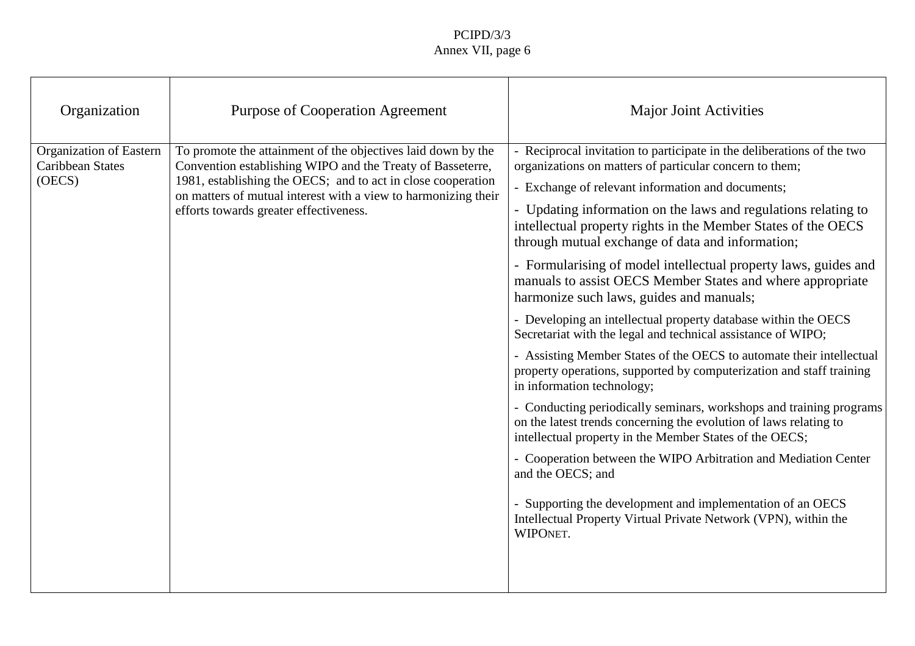| Organization                                       | PurposeofCooperationAgreement                                                                                                                                                                                                                                           | MajorJointActivities                                                                                                                                                                                                                                                                                                                                                                                                                                                                                                                                                                                                                                                                                                                                                                                                                                                                                                                                                                                                                                                                                                                                                        |
|----------------------------------------------------|-------------------------------------------------------------------------------------------------------------------------------------------------------------------------------------------------------------------------------------------------------------------------|-----------------------------------------------------------------------------------------------------------------------------------------------------------------------------------------------------------------------------------------------------------------------------------------------------------------------------------------------------------------------------------------------------------------------------------------------------------------------------------------------------------------------------------------------------------------------------------------------------------------------------------------------------------------------------------------------------------------------------------------------------------------------------------------------------------------------------------------------------------------------------------------------------------------------------------------------------------------------------------------------------------------------------------------------------------------------------------------------------------------------------------------------------------------------------|
| OrganizationofEastern<br>CaribbeanStates<br>(OECS) | Topromotetheattainmentoftheobjectiveslaiddownbythe<br>Conventionestablis hingWIPOandtheTreatyofBasseterre,<br>1981, establishing the OECS; and to actinclose cooperation<br>onmattersofmutualinterestwithaviewtoharmonizingtheir<br>effortstowardsgreatereffectiveness. | -Reciprocalinvitationtoparticipateinthedeli<br>berationsofthetwo<br>organizationsonmattersofparticularconcerntothem;<br>-Exchangeofrelevantinformationanddocuments;<br>-Updatinginformationonthelawsandregulationsrelatingto<br>intellectualpropertyrightsintheMemberStatesoftheOECS<br>throughmutualexchangeofdataandinformation;<br>-Formularisingofmodelintellectualpropertylaws, guides and<br>manualstoassistOECSMemberStatesandwhereappropriate<br>harmonizesuchlaws, guidesand manuals;<br>-Developinganintellectualpropertydatab<br>asewithintheOECS<br>SecretariatwiththelegalandtechnicalassistanceofWIPO;<br>-AssistingMemberStatesoftheOECStoautomatetheirintellectual<br>propertyoperations,supportedbycomputerizationandstafftraining<br>ininformationtechnology;<br>-Conduc tingperiodicallyseminars, workshopsandtrainingprograms<br>onthelatesttrendsconcerningtheevolutionoflawsrelatingto<br>intellectualpropertyintheMemberStatesoftheOECS;<br>-CooperationbetweentheWIPOArbitrationandMediationCenter<br>andtheO ECS;and<br>-SupportingthedevelopmentandimplementationofanOECS<br>IntellectualPropertyVirtualPrivateNetwork(VPN),withinthe<br>WIPONET. |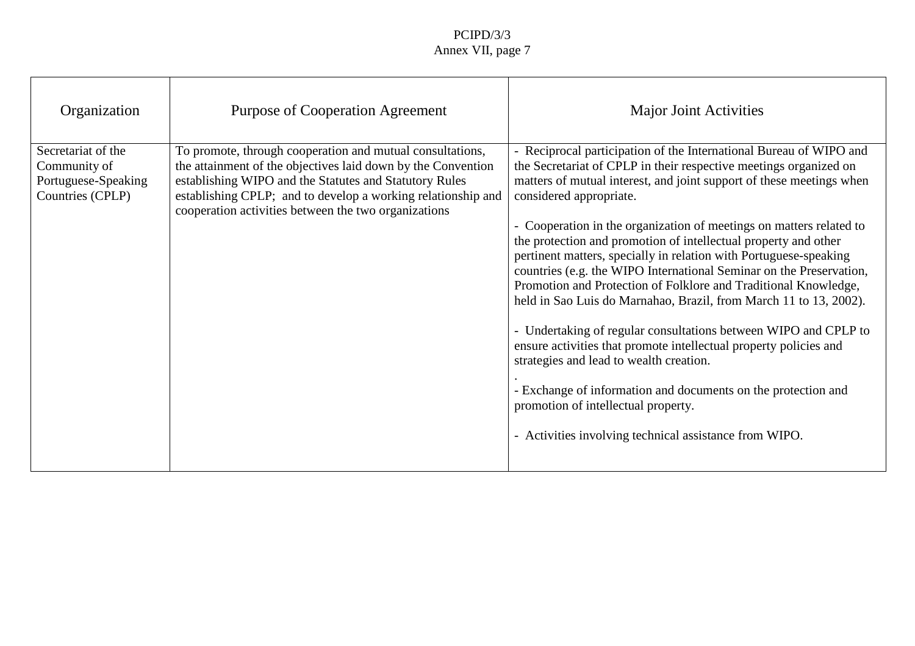| Organization                                                              | PurposeofCooperationAgreement                                                                                                                                                                                                                                                    | MajorJointActivities                                                                                                                                                                                                                                                                                                                                                                                                                                                                                                                                                                                                                                                                                                                                                                                                                                                                                                               |
|---------------------------------------------------------------------------|----------------------------------------------------------------------------------------------------------------------------------------------------------------------------------------------------------------------------------------------------------------------------------|------------------------------------------------------------------------------------------------------------------------------------------------------------------------------------------------------------------------------------------------------------------------------------------------------------------------------------------------------------------------------------------------------------------------------------------------------------------------------------------------------------------------------------------------------------------------------------------------------------------------------------------------------------------------------------------------------------------------------------------------------------------------------------------------------------------------------------------------------------------------------------------------------------------------------------|
| Secretariatofthe<br>Communityof<br>Portuguese-Speaking<br>Countries(CPLP) | Topromote, through cooperation and mutual<br>consultations,<br>theattainmentoftheobjectiveslaiddownbytheConvention<br>establishingWIPOandtheStatutesandStatutoryRules<br>establishingCPLP;andtodevelopaworkingrelationshipand<br>cooperationactivitiesbetweenthetwoorganizations | -Recipr ocalparticipationoftheInternationalBureauofWIPOand<br>theSecretariatofCPLPintheirrespectivemeetingsorganizedon<br>mattersofmutualinterest, and jointsupportof these meetings when<br>consideredappropriate.<br>-Cooperation in the organization of meetings on matters related to<br>theprotectionandpromotionofintellectualpropertyandother<br>pertinentmatters, specially inrelation with Portuguese<br>-speaking<br>countries(e.g.theWIPOInternationalSeminaronthePreservation,<br>PromotionandProtectiono fFolkloreandTraditionalKnowledge,<br>heldinSaoLuisdoMarnahao,Brazil,fromMarch11to13,2002).<br>-UndertakingofregularconsultationsbetweenWIPOandCPLPto<br>ensureactivitiesthatpromoteintellectualpropertypoliciesand<br>strategiesandlead towealthcreation.<br>-Exchangeofinformationanddocumentsontheprotectionand<br>promotion of intellectual property.<br>-ActivitiesinvolvingtechnicalassistancefromWIPO. |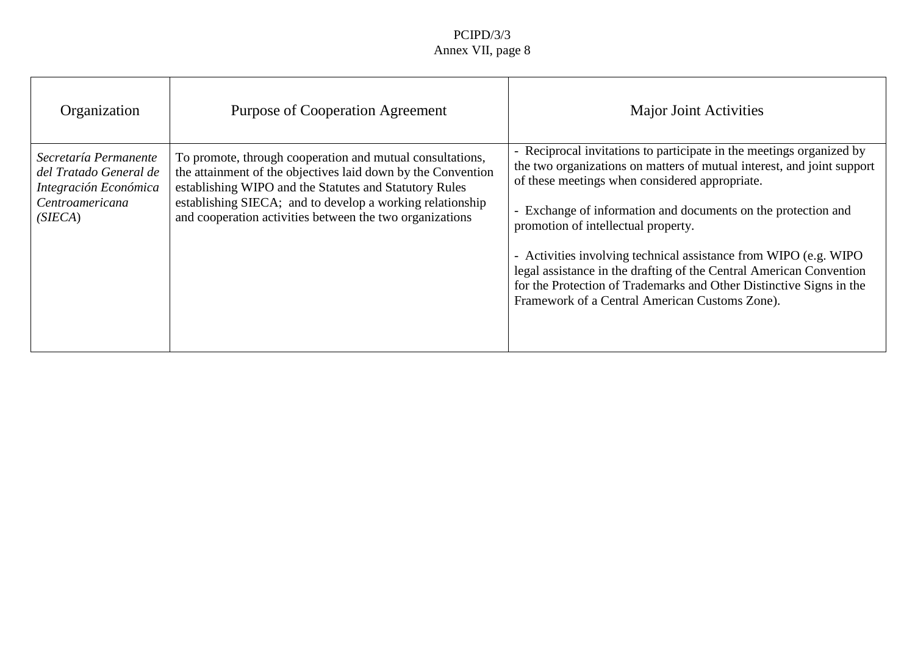| Organization                                                                                      | PurposeofCooperationAgreement                                                                                                                                                                                                                                                       | MajorJointActivities                                                                                                                                                                                                                                                                                                                                                                                                                                                                                      |
|---------------------------------------------------------------------------------------------------|-------------------------------------------------------------------------------------------------------------------------------------------------------------------------------------------------------------------------------------------------------------------------------------|-----------------------------------------------------------------------------------------------------------------------------------------------------------------------------------------------------------------------------------------------------------------------------------------------------------------------------------------------------------------------------------------------------------------------------------------------------------------------------------------------------------|
| SecretaríaPermanente<br>delTratadoGeneralde<br>IntegraciónEconómica<br>Centroamericana<br>(SIECA) | Topromote, through cooperation and mutual consultations,<br>theattainmentoftheobjectiveslaiddownbytheConvention<br>establishingWIPOandtheStatutesandStatutoryRules<br>establishingSIECA;andtodevelopaworkingrelationship<br>andcoope rationactivities between the two organizations | -Reciprocalinvitationstoparticipateinthemeetingsorganizedby<br>thetwoorganizationsonmattersofmutualinterest,andjointsupport<br>ofthesemeetingswhenconsideredappropriate.<br>-Exchangeofinfo rmationanddocumentsontheprotectionand<br>promotionofintellectualproperty.<br>-ActivitiesinvolvingtechnicalassistancefromWIPO(e.g.WIPO<br>legalassistanceinthedraftingoftheCentralAmericanConvention<br>fortheProtectionofTrademarksandOth erDistinctiveSignsinthe<br>FrameworkofaCentralAmericanCustomsZone). |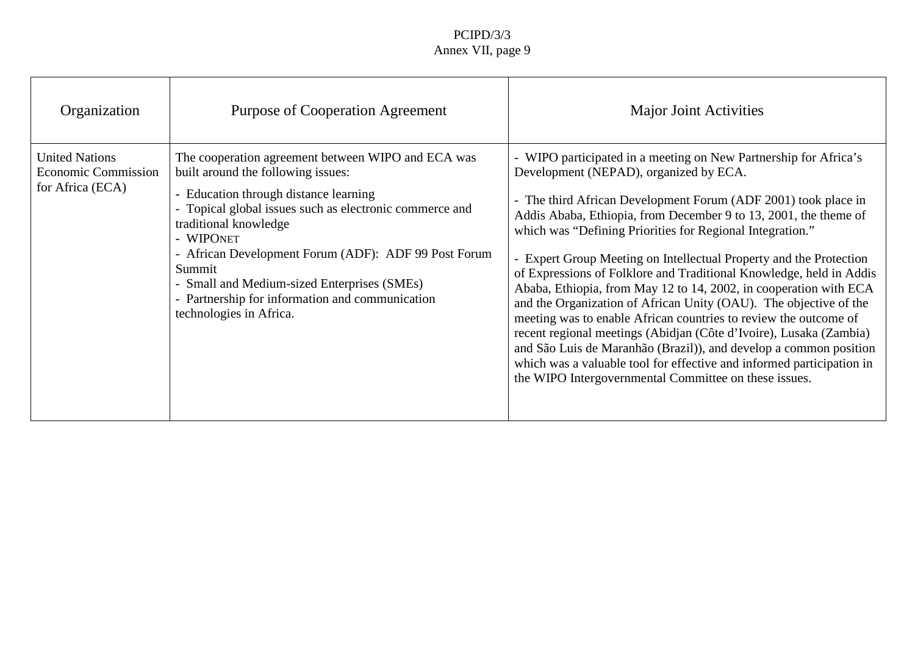| Organization                                                 | PurposeofCooperationAgreement                                                                                                                                                                                                                                                                                                                                                          | <b>MajorJointActivities</b>                                                                                                                                                                                                                                                                                                                                                                                                                                                                                                                                                                                                                                                                                                                                                                                                               |
|--------------------------------------------------------------|----------------------------------------------------------------------------------------------------------------------------------------------------------------------------------------------------------------------------------------------------------------------------------------------------------------------------------------------------------------------------------------|-------------------------------------------------------------------------------------------------------------------------------------------------------------------------------------------------------------------------------------------------------------------------------------------------------------------------------------------------------------------------------------------------------------------------------------------------------------------------------------------------------------------------------------------------------------------------------------------------------------------------------------------------------------------------------------------------------------------------------------------------------------------------------------------------------------------------------------------|
| <b>UnitedNations</b><br>EconomicCommission<br>forAfrica(ECA) | ThecooperationagreementbetweenWIPOandECAwas<br>builtaroundthefollowingissues:<br>-Educationthroughdistancelearning<br>-Topicalglobalissuessuchaselectroniccommerceand<br>traditionalknowledge<br>-WIPO NET<br>-AfricanDevelopmentForum(ADF):ADF99PostForum<br>Summit<br>-SmallandMedium -sizedEnterprises(SMEs)<br>-Partnershipforinformationandcommunication<br>technologiesinAfrica. | -WIPOparticipatedinameetingonNewPartnershipforAfrica's<br>Development(NEPAD),organizedbyECA.<br>-ThethirdAfricanDevelopmentForum(ADF2001)tookplacein<br>AddisAbaba,Ethiopia,fromDecember9to13,2001,thethemeof<br>whichwa s"DefiningPrioritiesforRegionalIntegration."<br>-ExpertGroupMeetingonIntellectualPropertyandtheProtection<br>ofExpressionsofFolkloreandTraditionalKnowledge,heldinAddis<br>Ababa, Ethiopia, from May 12to 14, 2002, incooperation with ECA<br>and theOrganizationofAfricanUnity(OAU).Theobjectiveofthe<br>meetingwastoenableAfricancountriestoreviewtheoutcomeof<br>recentregionalmeetings(Abidjan(Côted'Ivoire),Lusaka(Zambia)<br>andSãoLuisdeMaranhão(Brazil)),anddevelopacommonposi<br>tion<br>whichwasavaluabletoolforeffectiveandinformedparticipationin<br>theWIPOIntergovernmentalCommitteeontheseissues. |